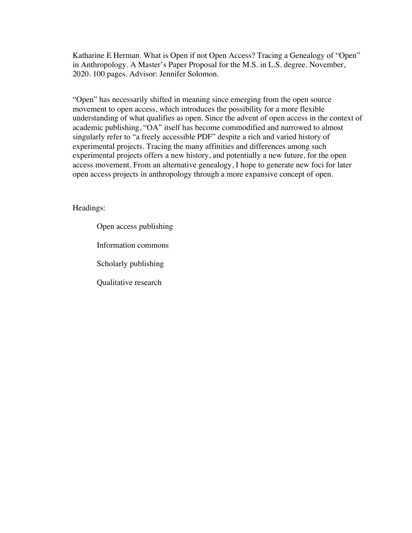Katharine E Herman. What is Open if not Open Access? Tracing a Genealogy of "Open" in Anthropology. A Master's Paper Proposal for the M.S. in L.S. degree. November, 2020. 100 pages. Advisor: Jennifer Solomon.

"Open" has necessarily shifted in meaning since emerging from the open source movement to open access, which introduces the possibility for a more flexible understanding of what qualifies as open. Since the advent of open access in the context of academic publishing, "OA" itself has become commodified and narrowed to almost singularly refer to "a freely accessible PDF" despite a rich and varied history of experimental projects. Tracing the many affinities and differences among such experimental projects offers a new history, and potentially a new future, for the open access movement. From an alternative genealogy, I hope to generate new foci for later open access projects in anthropology through a more expansive concept of open.

Headings:

Open access publishing Information commons Scholarly publishing Qualitative research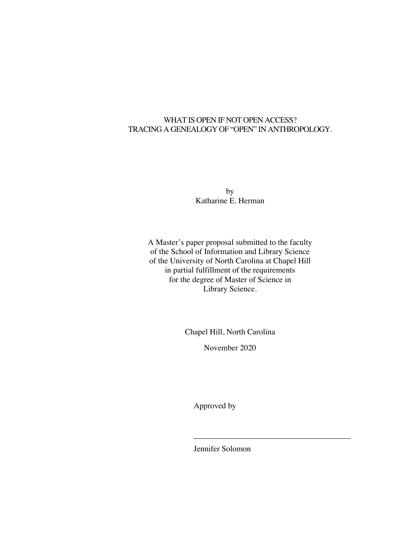## WHAT IS OPEN IF NOT OPEN ACCESS? TRACING A GENEALOGY OF "OPEN" IN ANTHROPOLOGY.

by Katharine E. Herman

A Master's paper proposal submitted to the faculty of the School of Information and Library Science of the University of North Carolina at Chapel Hill in partial fulfillment of the requirements for the degree of Master of Science in Library Science.

Chapel Hill, North Carolina

November 2020

Approved by

Jennifer Solomon

\_\_\_\_\_\_\_\_\_\_\_\_\_\_\_\_\_\_\_\_\_\_\_\_\_\_\_\_\_\_\_\_\_\_\_\_\_\_\_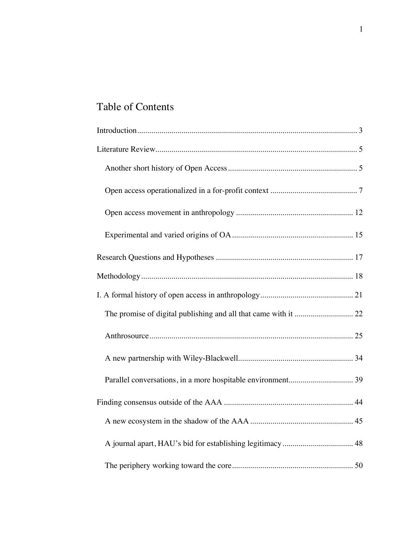# Table of Contents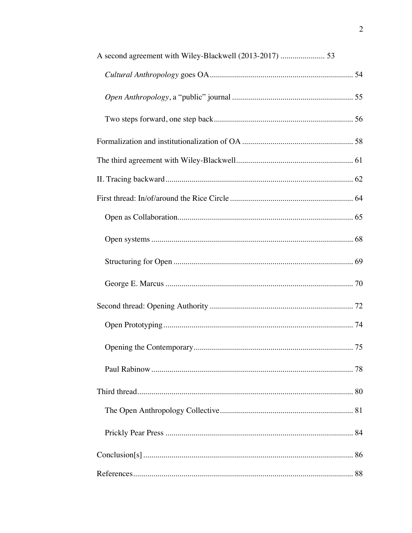| A second agreement with Wiley-Blackwell (2013-2017)  53 |
|---------------------------------------------------------|
|                                                         |
|                                                         |
|                                                         |
|                                                         |
|                                                         |
|                                                         |
|                                                         |
|                                                         |
|                                                         |
|                                                         |
|                                                         |
|                                                         |
|                                                         |
|                                                         |
|                                                         |
|                                                         |
|                                                         |
|                                                         |
|                                                         |
|                                                         |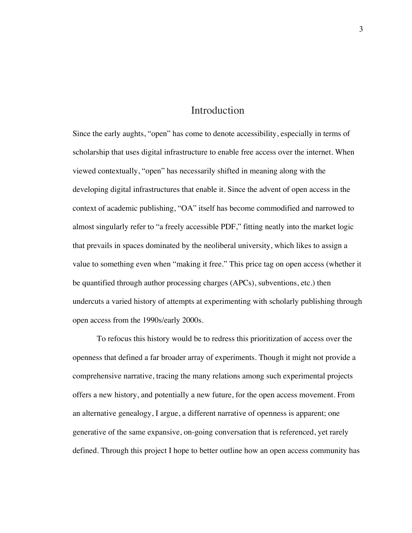## Introduction

Since the early aughts, "open" has come to denote accessibility, especially in terms of scholarship that uses digital infrastructure to enable free access over the internet. When viewed contextually, "open" has necessarily shifted in meaning along with the developing digital infrastructures that enable it. Since the advent of open access in the context of academic publishing, "OA" itself has become commodified and narrowed to almost singularly refer to "a freely accessible PDF," fitting neatly into the market logic that prevails in spaces dominated by the neoliberal university, which likes to assign a value to something even when "making it free." This price tag on open access (whether it be quantified through author processing charges (APCs), subventions, etc.) then undercuts a varied history of attempts at experimenting with scholarly publishing through open access from the 1990s/early 2000s.

To refocus this history would be to redress this prioritization of access over the openness that defined a far broader array of experiments. Though it might not provide a comprehensive narrative, tracing the many relations among such experimental projects offers a new history, and potentially a new future, for the open access movement. From an alternative genealogy, I argue, a different narrative of openness is apparent; one generative of the same expansive, on-going conversation that is referenced, yet rarely defined. Through this project I hope to better outline how an open access community has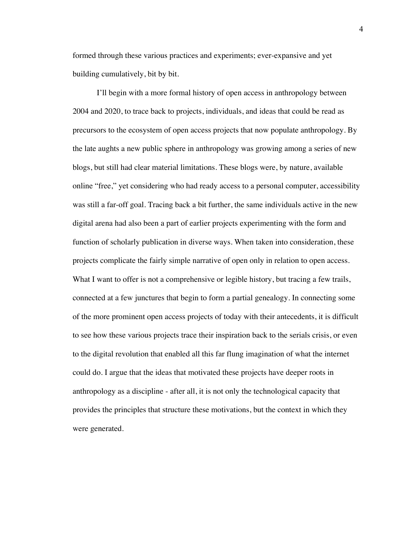formed through these various practices and experiments; ever-expansive and yet building cumulatively, bit by bit.

I'll begin with a more formal history of open access in anthropology between 2004 and 2020, to trace back to projects, individuals, and ideas that could be read as precursors to the ecosystem of open access projects that now populate anthropology. By the late aughts a new public sphere in anthropology was growing among a series of new blogs, but still had clear material limitations. These blogs were, by nature, available online "free," yet considering who had ready access to a personal computer, accessibility was still a far-off goal. Tracing back a bit further, the same individuals active in the new digital arena had also been a part of earlier projects experimenting with the form and function of scholarly publication in diverse ways. When taken into consideration, these projects complicate the fairly simple narrative of open only in relation to open access. What I want to offer is not a comprehensive or legible history, but tracing a few trails, connected at a few junctures that begin to form a partial genealogy. In connecting some of the more prominent open access projects of today with their antecedents, it is difficult to see how these various projects trace their inspiration back to the serials crisis, or even to the digital revolution that enabled all this far flung imagination of what the internet could do. I argue that the ideas that motivated these projects have deeper roots in anthropology as a discipline - after all, it is not only the technological capacity that provides the principles that structure these motivations, but the context in which they were generated.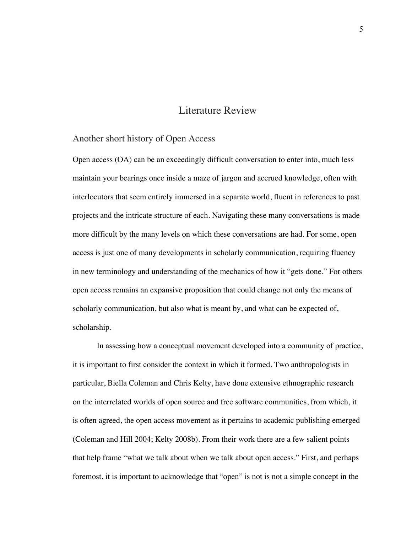# Literature Review

#### Another short history of Open Access

Open access (OA) can be an exceedingly difficult conversation to enter into, much less maintain your bearings once inside a maze of jargon and accrued knowledge, often with interlocutors that seem entirely immersed in a separate world, fluent in references to past projects and the intricate structure of each. Navigating these many conversations is made more difficult by the many levels on which these conversations are had. For some, open access is just one of many developments in scholarly communication, requiring fluency in new terminology and understanding of the mechanics of how it "gets done." For others open access remains an expansive proposition that could change not only the means of scholarly communication, but also what is meant by, and what can be expected of, scholarship.

In assessing how a conceptual movement developed into a community of practice, it is important to first consider the context in which it formed. Two anthropologists in particular, Biella Coleman and Chris Kelty, have done extensive ethnographic research on the interrelated worlds of open source and free software communities, from which, it is often agreed, the open access movement as it pertains to academic publishing emerged (Coleman and Hill 2004; Kelty 2008b). From their work there are a few salient points that help frame "what we talk about when we talk about open access." First, and perhaps foremost, it is important to acknowledge that "open" is not is not a simple concept in the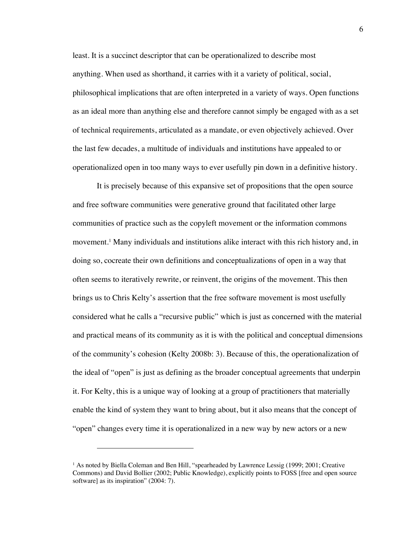least. It is a succinct descriptor that can be operationalized to describe most anything. When used as shorthand, it carries with it a variety of political, social, philosophical implications that are often interpreted in a variety of ways. Open functions as an ideal more than anything else and therefore cannot simply be engaged with as a set of technical requirements, articulated as a mandate, or even objectively achieved. Over the last few decades, a multitude of individuals and institutions have appealed to or operationalized open in too many ways to ever usefully pin down in a definitive history.

It is precisely because of this expansive set of propositions that the open source and free software communities were generative ground that facilitated other large communities of practice such as the copyleft movement or the information commons movement. <sup>1</sup> Many individuals and institutions alike interact with this rich history and, in doing so, cocreate their own definitions and conceptualizations of open in a way that often seems to iteratively rewrite, or reinvent, the origins of the movement. This then brings us to Chris Kelty's assertion that the free software movement is most usefully considered what he calls a "recursive public" which is just as concerned with the material and practical means of its community as it is with the political and conceptual dimensions of the community's cohesion (Kelty 2008b: 3). Because of this, the operationalization of the ideal of "open" is just as defining as the broader conceptual agreements that underpin it. For Kelty, this is a unique way of looking at a group of practitioners that materially enable the kind of system they want to bring about, but it also means that the concept of "open" changes every time it is operationalized in a new way by new actors or a new

<sup>&</sup>lt;sup>1</sup> As noted by Biella Coleman and Ben Hill, "spearheaded by Lawrence Lessig (1999; 2001; Creative Commons) and David Bollier (2002; Public Knowledge), explicitly points to FOSS [free and open source software] as its inspiration" (2004: 7).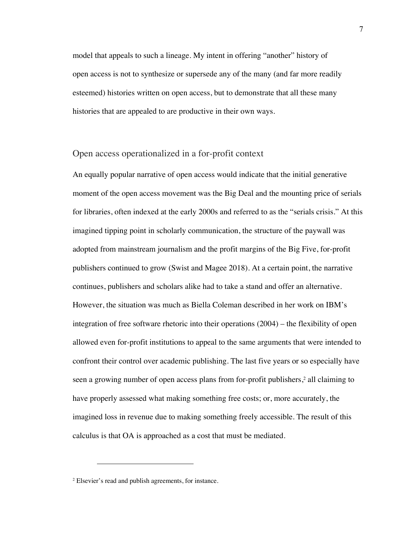model that appeals to such a lineage. My intent in offering "another" history of open access is not to synthesize or supersede any of the many (and far more readily esteemed) histories written on open access, but to demonstrate that all these many histories that are appealed to are productive in their own ways.

### Open access operationalized in a for-profit context

An equally popular narrative of open access would indicate that the initial generative moment of the open access movement was the Big Deal and the mounting price of serials for libraries, often indexed at the early 2000s and referred to as the "serials crisis." At this imagined tipping point in scholarly communication, the structure of the paywall was adopted from mainstream journalism and the profit margins of the Big Five, for-profit publishers continued to grow (Swist and Magee 2018). At a certain point, the narrative continues, publishers and scholars alike had to take a stand and offer an alternative. However, the situation was much as Biella Coleman described in her work on IBM's integration of free software rhetoric into their operations (2004) – the flexibility of open allowed even for-profit institutions to appeal to the same arguments that were intended to confront their control over academic publishing. The last five years or so especially have seen a growing number of open access plans from for-profit publishers,<sup>2</sup> all claiming to have properly assessed what making something free costs; or, more accurately, the imagined loss in revenue due to making something freely accessible. The result of this calculus is that OA is approached as a cost that must be mediated.

<sup>2</sup> Elsevier's read and publish agreements, for instance.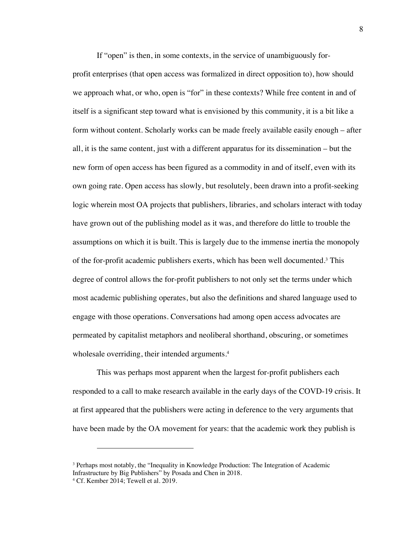If "open" is then, in some contexts, in the service of unambiguously forprofit enterprises (that open access was formalized in direct opposition to), how should we approach what, or who, open is "for" in these contexts? While free content in and of itself is a significant step toward what is envisioned by this community, it is a bit like a form without content. Scholarly works can be made freely available easily enough – after all, it is the same content, just with a different apparatus for its dissemination – but the new form of open access has been figured as a commodity in and of itself, even with its own going rate. Open access has slowly, but resolutely, been drawn into a profit-seeking logic wherein most OA projects that publishers, libraries, and scholars interact with today have grown out of the publishing model as it was, and therefore do little to trouble the assumptions on which it is built. This is largely due to the immense inertia the monopoly of the for-profit academic publishers exerts, which has been well documented.3 This degree of control allows the for-profit publishers to not only set the terms under which most academic publishing operates, but also the definitions and shared language used to engage with those operations. Conversations had among open access advocates are permeated by capitalist metaphors and neoliberal shorthand, obscuring, or sometimes wholesale overriding, their intended arguments. 4

This was perhaps most apparent when the largest for-profit publishers each responded to a call to make research available in the early days of the COVD-19 crisis. It at first appeared that the publishers were acting in deference to the very arguments that have been made by the OA movement for years: that the academic work they publish is

<sup>3</sup> Perhaps most notably, the "Inequality in Knowledge Production: The Integration of Academic Infrastructure by Big Publishers" by Posada and Chen in 2018.

<sup>4</sup> Cf. Kember 2014; Tewell et al. 2019.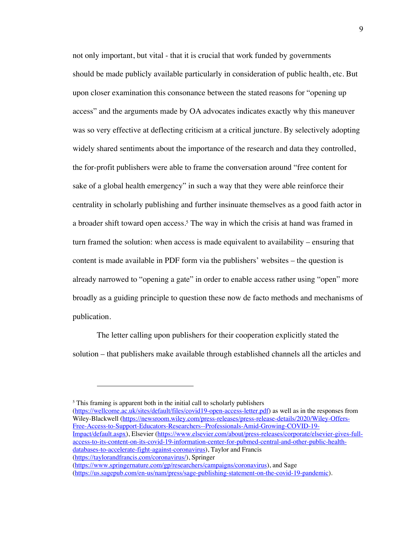not only important, but vital - that it is crucial that work funded by governments should be made publicly available particularly in consideration of public health, etc. But upon closer examination this consonance between the stated reasons for "opening up access" and the arguments made by OA advocates indicates exactly why this maneuver was so very effective at deflecting criticism at a critical juncture. By selectively adopting widely shared sentiments about the importance of the research and data they controlled, the for-profit publishers were able to frame the conversation around "free content for sake of a global health emergency" in such a way that they were able reinforce their centrality in scholarly publishing and further insinuate themselves as a good faith actor in a broader shift toward open access.<sup>5</sup> The way in which the crisis at hand was framed in turn framed the solution: when access is made equivalent to availability – ensuring that content is made available in PDF form via the publishers' websites – the question is already narrowed to "opening a gate" in order to enable access rather using "open" more broadly as a guiding principle to question these now de facto methods and mechanisms of publication.

The letter calling upon publishers for their cooperation explicitly stated the solution – that publishers make available through established channels all the articles and

 $<sup>5</sup>$  This framing is apparent both in the initial call to scholarly publishers</sup> (https://wellcome.ac.uk/sites/default/files/covid19-open-access-letter.pdf) as well as in the responses from Wiley-Blackwell (https://newsroom.wiley.com/press-releases/press-release-details/2020/Wiley-Offers-Free-Access-to-Support-Educators-Researchers--Professionals-Amid-Growing-COVID-19- Impact/default.aspx), Elsevier (https://www.elsevier.com/about/press-releases/corporate/elsevier-gives-fullaccess-to-its-content-on-its-covid-19-information-center-for-pubmed-central-and-other-public-healthdatabases-to-accelerate-fight-against-coronavirus), Taylor and Francis (https://taylorandfrancis.com/coronavirus/), Springer (https://www.springernature.com/gp/researchers/campaigns/coronavirus), and Sage

<sup>(</sup>https://us.sagepub.com/en-us/nam/press/sage-publishing-statement-on-the-covid-19-pandemic).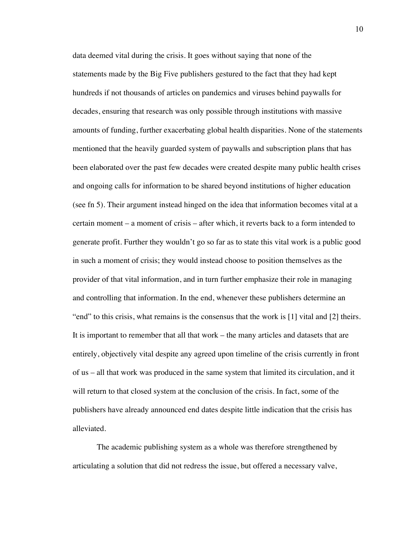data deemed vital during the crisis. It goes without saying that none of the statements made by the Big Five publishers gestured to the fact that they had kept hundreds if not thousands of articles on pandemics and viruses behind paywalls for decades, ensuring that research was only possible through institutions with massive amounts of funding, further exacerbating global health disparities. None of the statements mentioned that the heavily guarded system of paywalls and subscription plans that has been elaborated over the past few decades were created despite many public health crises and ongoing calls for information to be shared beyond institutions of higher education (see fn 5). Their argument instead hinged on the idea that information becomes vital at a certain moment – a moment of crisis – after which, it reverts back to a form intended to generate profit. Further they wouldn't go so far as to state this vital work is a public good in such a moment of crisis; they would instead choose to position themselves as the provider of that vital information, and in turn further emphasize their role in managing and controlling that information. In the end, whenever these publishers determine an "end" to this crisis, what remains is the consensus that the work is [1] vital and [2] theirs. It is important to remember that all that work – the many articles and datasets that are entirely, objectively vital despite any agreed upon timeline of the crisis currently in front of us – all that work was produced in the same system that limited its circulation, and it will return to that closed system at the conclusion of the crisis. In fact, some of the publishers have already announced end dates despite little indication that the crisis has alleviated.

The academic publishing system as a whole was therefore strengthened by articulating a solution that did not redress the issue, but offered a necessary valve,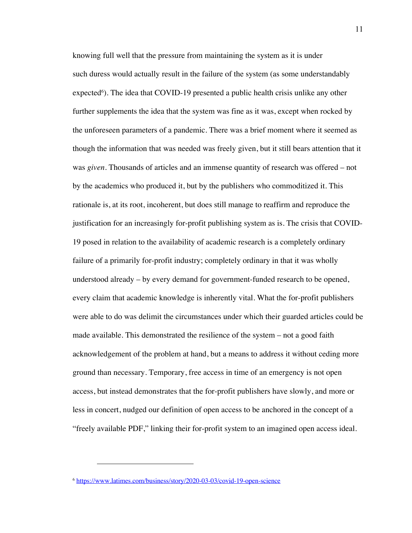knowing full well that the pressure from maintaining the system as it is under such duress would actually result in the failure of the system (as some understandably expected<sup>6</sup>). The idea that COVID-19 presented a public health crisis unlike any other further supplements the idea that the system was fine as it was, except when rocked by the unforeseen parameters of a pandemic. There was a brief moment where it seemed as though the information that was needed was freely given, but it still bears attention that it was *given*. Thousands of articles and an immense quantity of research was offered – not by the academics who produced it, but by the publishers who commoditized it. This rationale is, at its root, incoherent, but does still manage to reaffirm and reproduce the justification for an increasingly for-profit publishing system as is. The crisis that COVID-19 posed in relation to the availability of academic research is a completely ordinary failure of a primarily for-profit industry; completely ordinary in that it was wholly understood already – by every demand for government-funded research to be opened, every claim that academic knowledge is inherently vital. What the for-profit publishers were able to do was delimit the circumstances under which their guarded articles could be made available. This demonstrated the resilience of the system – not a good faith acknowledgement of the problem at hand, but a means to address it without ceding more ground than necessary. Temporary, free access in time of an emergency is not open access, but instead demonstrates that the for-profit publishers have slowly, and more or less in concert, nudged our definition of open access to be anchored in the concept of a "freely available PDF," linking their for-profit system to an imagined open access ideal.

<sup>6</sup> https://www.latimes.com/business/story/2020-03-03/covid-19-open-science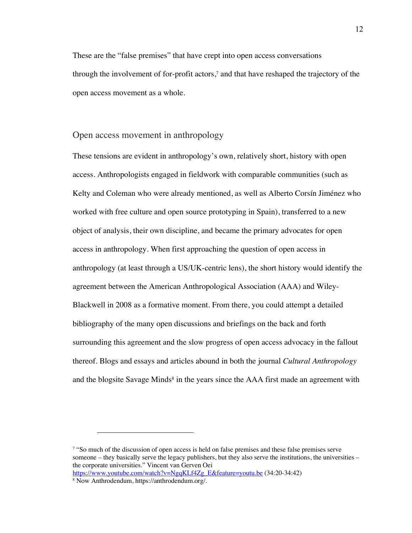These are the "false premises" that have crept into open access conversations through the involvement of for-profit actors, <sup>7</sup> and that have reshaped the trajectory of the open access movement as a whole.

#### Open access movement in anthropology

These tensions are evident in anthropology's own, relatively short, history with open access. Anthropologists engaged in fieldwork with comparable communities (such as Kelty and Coleman who were already mentioned, as well as Alberto Corsín Jiménez who worked with free culture and open source prototyping in Spain), transferred to a new object of analysis, their own discipline, and became the primary advocates for open access in anthropology. When first approaching the question of open access in anthropology (at least through a US/UK-centric lens), the short history would identify the agreement between the American Anthropological Association (AAA) and Wiley-Blackwell in 2008 as a formative moment. From there, you could attempt a detailed bibliography of the many open discussions and briefings on the back and forth surrounding this agreement and the slow progress of open access advocacy in the fallout thereof. Blogs and essays and articles abound in both the journal *Cultural Anthropology* and the blogsite Savage Minds<sup>8</sup> in the years since the  $AAA$  first made an agreement with

<sup>7</sup> "So much of the discussion of open access is held on false premises and these false premises serve someone – they basically serve the legacy publishers, but they also serve the institutions, the universities – the corporate universities." Vincent van Gerven Oei https://www.youtube.com/watch?v=NgqKLf4Zg\_E&feature=youtu.be (34:20-34:42)

<sup>8</sup> Now Anthrodendum, https://anthrodendum.org/.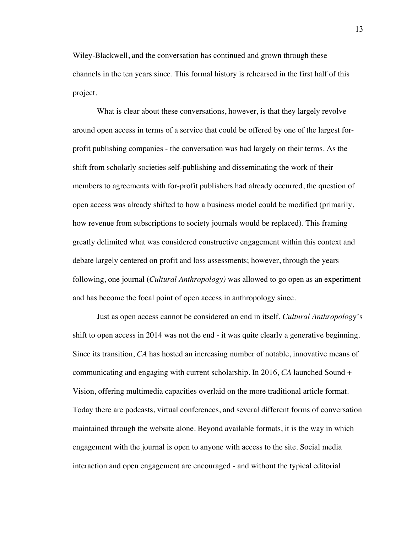Wiley-Blackwell, and the conversation has continued and grown through these channels in the ten years since. This formal history is rehearsed in the first half of this project.

What is clear about these conversations, however, is that they largely revolve around open access in terms of a service that could be offered by one of the largest forprofit publishing companies - the conversation was had largely on their terms. As the shift from scholarly societies self-publishing and disseminating the work of their members to agreements with for-profit publishers had already occurred, the question of open access was already shifted to how a business model could be modified (primarily, how revenue from subscriptions to society journals would be replaced). This framing greatly delimited what was considered constructive engagement within this context and debate largely centered on profit and loss assessments; however, through the years following, one journal (*Cultural Anthropology)* was allowed to go open as an experiment and has become the focal point of open access in anthropology since.

Just as open access cannot be considered an end in itself, *Cultural Anthropolog*y's shift to open access in 2014 was not the end - it was quite clearly a generative beginning. Since its transition, *CA* has hosted an increasing number of notable, innovative means of communicating and engaging with current scholarship. In 2016, *CA* launched Sound + Vision, offering multimedia capacities overlaid on the more traditional article format. Today there are podcasts, virtual conferences, and several different forms of conversation maintained through the website alone. Beyond available formats, it is the way in which engagement with the journal is open to anyone with access to the site. Social media interaction and open engagement are encouraged - and without the typical editorial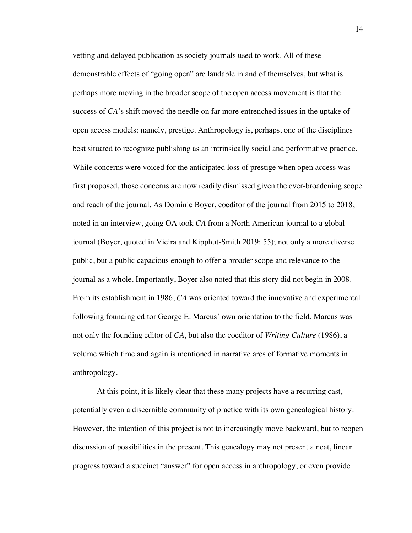vetting and delayed publication as society journals used to work. All of these demonstrable effects of "going open" are laudable in and of themselves, but what is perhaps more moving in the broader scope of the open access movement is that the success of *CA*'s shift moved the needle on far more entrenched issues in the uptake of open access models: namely, prestige. Anthropology is, perhaps, one of the disciplines best situated to recognize publishing as an intrinsically social and performative practice. While concerns were voiced for the anticipated loss of prestige when open access was first proposed, those concerns are now readily dismissed given the ever-broadening scope and reach of the journal. As Dominic Boyer, coeditor of the journal from 2015 to 2018, noted in an interview, going OA took *CA* from a North American journal to a global journal (Boyer, quoted in Vieira and Kipphut-Smith 2019: 55); not only a more diverse public, but a public capacious enough to offer a broader scope and relevance to the journal as a whole. Importantly, Boyer also noted that this story did not begin in 2008. From its establishment in 1986, *CA* was oriented toward the innovative and experimental following founding editor George E. Marcus' own orientation to the field. Marcus was not only the founding editor of *CA*, but also the coeditor of *Writing Culture* (1986), a volume which time and again is mentioned in narrative arcs of formative moments in anthropology.

At this point, it is likely clear that these many projects have a recurring cast, potentially even a discernible community of practice with its own genealogical history. However, the intention of this project is not to increasingly move backward, but to reopen discussion of possibilities in the present. This genealogy may not present a neat, linear progress toward a succinct "answer" for open access in anthropology, or even provide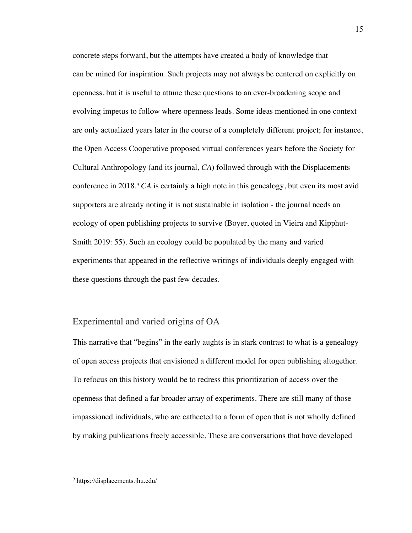concrete steps forward, but the attempts have created a body of knowledge that can be mined for inspiration. Such projects may not always be centered on explicitly on openness, but it is useful to attune these questions to an ever-broadening scope and evolving impetus to follow where openness leads. Some ideas mentioned in one context are only actualized years later in the course of a completely different project; for instance, the Open Access Cooperative proposed virtual conferences years before the Society for Cultural Anthropology (and its journal, *CA*) followed through with the Displacements conference in 2018.<sup>9</sup> *CA* is certainly a high note in this genealogy, but even its most avid supporters are already noting it is not sustainable in isolation - the journal needs an ecology of open publishing projects to survive (Boyer, quoted in Vieira and Kipphut-Smith 2019: 55). Such an ecology could be populated by the many and varied experiments that appeared in the reflective writings of individuals deeply engaged with these questions through the past few decades.

## Experimental and varied origins of OA

This narrative that "begins" in the early aughts is in stark contrast to what is a genealogy of open access projects that envisioned a different model for open publishing altogether. To refocus on this history would be to redress this prioritization of access over the openness that defined a far broader array of experiments. There are still many of those impassioned individuals, who are cathected to a form of open that is not wholly defined by making publications freely accessible. These are conversations that have developed

<sup>9</sup> https://displacements.jhu.edu/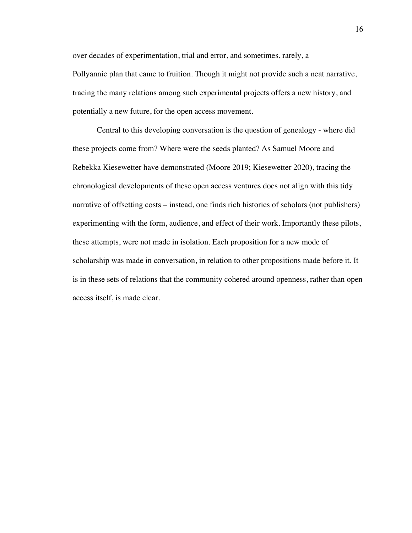over decades of experimentation, trial and error, and sometimes, rarely, a Pollyannic plan that came to fruition. Though it might not provide such a neat narrative, tracing the many relations among such experimental projects offers a new history, and potentially a new future, for the open access movement.

Central to this developing conversation is the question of genealogy - where did these projects come from? Where were the seeds planted? As Samuel Moore and Rebekka Kiesewetter have demonstrated (Moore 2019; Kiesewetter 2020), tracing the chronological developments of these open access ventures does not align with this tidy narrative of offsetting costs – instead, one finds rich histories of scholars (not publishers) experimenting with the form, audience, and effect of their work. Importantly these pilots, these attempts, were not made in isolation. Each proposition for a new mode of scholarship was made in conversation, in relation to other propositions made before it. It is in these sets of relations that the community cohered around openness, rather than open access itself, is made clear.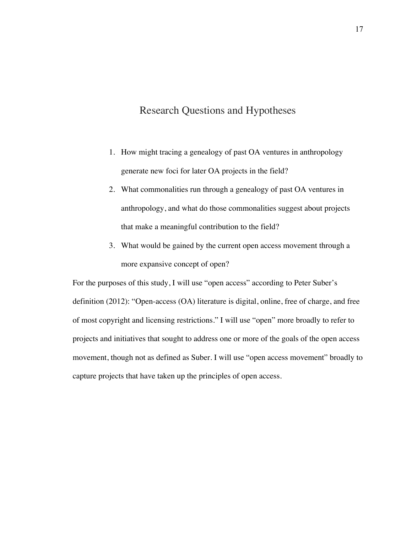# Research Questions and Hypotheses

- 1. How might tracing a genealogy of past OA ventures in anthropology generate new foci for later OA projects in the field?
- 2. What commonalities run through a genealogy of past OA ventures in anthropology, and what do those commonalities suggest about projects that make a meaningful contribution to the field?
- 3. What would be gained by the current open access movement through a more expansive concept of open?

For the purposes of this study, I will use "open access" according to Peter Suber's definition (2012): "Open-access (OA) literature is digital, online, free of charge, and free of most copyright and licensing restrictions." I will use "open" more broadly to refer to projects and initiatives that sought to address one or more of the goals of the open access movement, though not as defined as Suber. I will use "open access movement" broadly to capture projects that have taken up the principles of open access.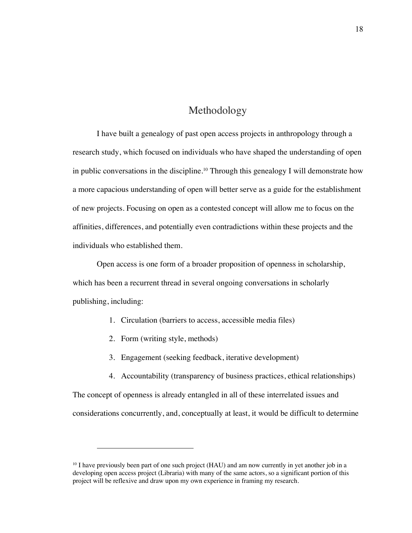## Methodology

I have built a genealogy of past open access projects in anthropology through a research study, which focused on individuals who have shaped the understanding of open in public conversations in the discipline.<sup>10</sup> Through this genealogy I will demonstrate how a more capacious understanding of open will better serve as a guide for the establishment of new projects. Focusing on open as a contested concept will allow me to focus on the affinities, differences, and potentially even contradictions within these projects and the individuals who established them.

Open access is one form of a broader proposition of openness in scholarship, which has been a recurrent thread in several ongoing conversations in scholarly publishing, including:

- 1. Circulation (barriers to access, accessible media files)
- 2. Form (writing style, methods)
- 3. Engagement (seeking feedback, iterative development)
- 4. Accountability (transparency of business practices, ethical relationships)

The concept of openness is already entangled in all of these interrelated issues and considerations concurrently, and, conceptually at least, it would be difficult to determine

<sup>&</sup>lt;sup>10</sup> I have previously been part of one such project (HAU) and am now currently in yet another job in a developing open access project (Libraria) with many of the same actors, so a significant portion of this project will be reflexive and draw upon my own experience in framing my research.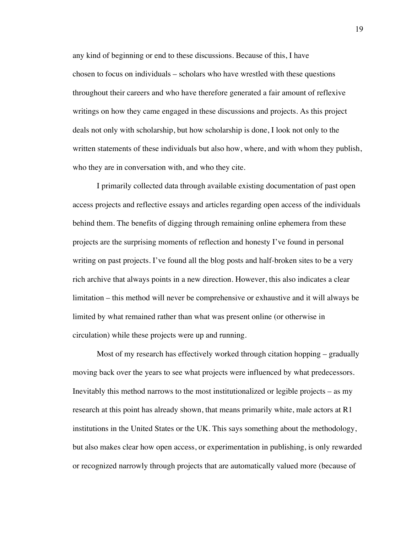any kind of beginning or end to these discussions. Because of this, I have chosen to focus on individuals – scholars who have wrestled with these questions throughout their careers and who have therefore generated a fair amount of reflexive writings on how they came engaged in these discussions and projects. As this project deals not only with scholarship, but how scholarship is done, I look not only to the written statements of these individuals but also how, where, and with whom they publish, who they are in conversation with, and who they cite.

I primarily collected data through available existing documentation of past open access projects and reflective essays and articles regarding open access of the individuals behind them. The benefits of digging through remaining online ephemera from these projects are the surprising moments of reflection and honesty I've found in personal writing on past projects. I've found all the blog posts and half-broken sites to be a very rich archive that always points in a new direction. However, this also indicates a clear limitation – this method will never be comprehensive or exhaustive and it will always be limited by what remained rather than what was present online (or otherwise in circulation) while these projects were up and running.

Most of my research has effectively worked through citation hopping – gradually moving back over the years to see what projects were influenced by what predecessors. Inevitably this method narrows to the most institutionalized or legible projects – as my research at this point has already shown, that means primarily white, male actors at R1 institutions in the United States or the UK. This says something about the methodology, but also makes clear how open access, or experimentation in publishing, is only rewarded or recognized narrowly through projects that are automatically valued more (because of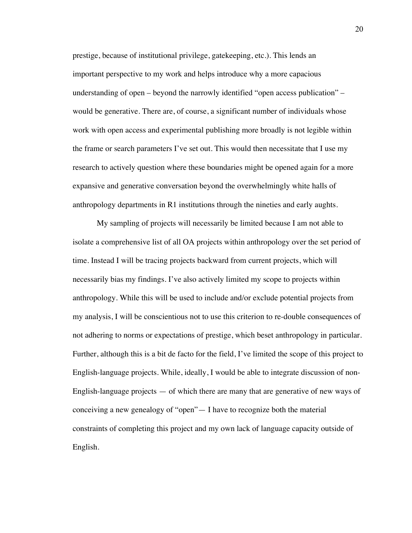prestige, because of institutional privilege, gatekeeping, etc.). This lends an important perspective to my work and helps introduce why a more capacious understanding of open – beyond the narrowly identified "open access publication" – would be generative. There are, of course, a significant number of individuals whose work with open access and experimental publishing more broadly is not legible within the frame or search parameters I've set out. This would then necessitate that I use my research to actively question where these boundaries might be opened again for a more expansive and generative conversation beyond the overwhelmingly white halls of anthropology departments in R1 institutions through the nineties and early aughts.

My sampling of projects will necessarily be limited because I am not able to isolate a comprehensive list of all OA projects within anthropology over the set period of time. Instead I will be tracing projects backward from current projects, which will necessarily bias my findings. I've also actively limited my scope to projects within anthropology. While this will be used to include and/or exclude potential projects from my analysis, I will be conscientious not to use this criterion to re-double consequences of not adhering to norms or expectations of prestige, which beset anthropology in particular. Further, although this is a bit de facto for the field, I've limited the scope of this project to English-language projects. While, ideally, I would be able to integrate discussion of non-English-language projects — of which there are many that are generative of new ways of conceiving a new genealogy of "open"— I have to recognize both the material constraints of completing this project and my own lack of language capacity outside of English.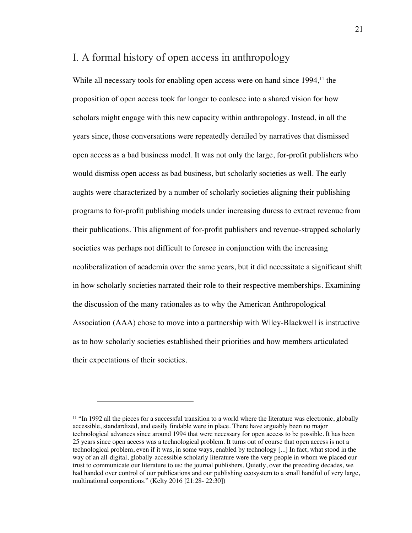## I. A formal history of open access in anthropology

While all necessary tools for enabling open access were on hand since 1994,<sup>11</sup> the proposition of open access took far longer to coalesce into a shared vision for how scholars might engage with this new capacity within anthropology. Instead, in all the years since, those conversations were repeatedly derailed by narratives that dismissed open access as a bad business model. It was not only the large, for-profit publishers who would dismiss open access as bad business, but scholarly societies as well. The early aughts were characterized by a number of scholarly societies aligning their publishing programs to for-profit publishing models under increasing duress to extract revenue from their publications. This alignment of for-profit publishers and revenue-strapped scholarly societies was perhaps not difficult to foresee in conjunction with the increasing neoliberalization of academia over the same years, but it did necessitate a significant shift in how scholarly societies narrated their role to their respective memberships. Examining the discussion of the many rationales as to why the American Anthropological Association (AAA) chose to move into a partnership with Wiley-Blackwell is instructive as to how scholarly societies established their priorities and how members articulated their expectations of their societies.

<sup>&</sup>lt;sup>11</sup> "In 1992 all the pieces for a successful transition to a world where the literature was electronic, globally accessible, standardized, and easily findable were in place. There have arguably been no major technological advances since around 1994 that were necessary for open access to be possible. It has been 25 years since open access was a technological problem. It turns out of course that open access is not a technological problem, even if it was, in some ways, enabled by technology [...] In fact, what stood in the way of an all-digital, globally-accessible scholarly literature were the very people in whom we placed our trust to communicate our literature to us: the journal publishers. Quietly, over the preceding decades, we had handed over control of our publications and our publishing ecosystem to a small handful of very large, multinational corporations." (Kelty 2016 [21:28- 22:30])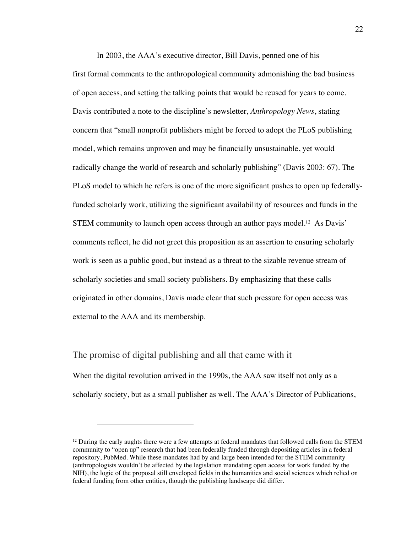In 2003, the AAA's executive director, Bill Davis, penned one of his first formal comments to the anthropological community admonishing the bad business of open access, and setting the talking points that would be reused for years to come. Davis contributed a note to the discipline's newsletter, *Anthropology News*, stating concern that "small nonprofit publishers might be forced to adopt the PLoS publishing model, which remains unproven and may be financially unsustainable, yet would radically change the world of research and scholarly publishing" (Davis 2003: 67). The PLoS model to which he refers is one of the more significant pushes to open up federallyfunded scholarly work, utilizing the significant availability of resources and funds in the STEM community to launch open access through an author pays model.<sup>12</sup> As Davis' comments reflect, he did not greet this proposition as an assertion to ensuring scholarly work is seen as a public good, but instead as a threat to the sizable revenue stream of scholarly societies and small society publishers. By emphasizing that these calls originated in other domains, Davis made clear that such pressure for open access was external to the AAA and its membership.

The promise of digital publishing and all that came with it When the digital revolution arrived in the 1990s, the AAA saw itself not only as a scholarly society, but as a small publisher as well. The AAA's Director of Publications,

 $12$  During the early aughts there were a few attempts at federal mandates that followed calls from the STEM community to "open up" research that had been federally funded through depositing articles in a federal repository, PubMed. While these mandates had by and large been intended for the STEM community (anthropologists wouldn't be affected by the legislation mandating open access for work funded by the NIH), the logic of the proposal still enveloped fields in the humanities and social sciences which relied on federal funding from other entities, though the publishing landscape did differ.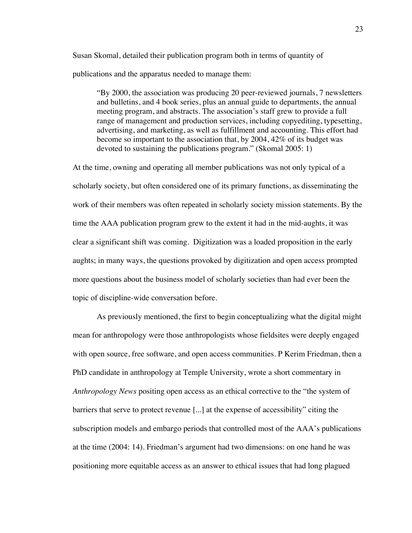Susan Skomal, detailed their publication program both in terms of quantity of publications and the apparatus needed to manage them:

"By 2000, the association was producing 20 peer-reviewed journals, 7 newsletters and bulletins, and 4 book series, plus an annual guide to departments, the annual meeting program, and abstracts. The association's staff grew to provide a full range of management and production services, including copyediting, typesetting, advertising, and marketing, as well as fulfillment and accounting. This effort had become so important to the association that, by 2004, 42% of its budget was devoted to sustaining the publications program." (Skomal 2005: 1)

At the time, owning and operating all member publications was not only typical of a scholarly society, but often considered one of its primary functions, as disseminating the work of their members was often repeated in scholarly society mission statements. By the time the AAA publication program grew to the extent it had in the mid-aughts, it was clear a significant shift was coming. Digitization was a loaded proposition in the early aughts; in many ways, the questions provoked by digitization and open access prompted more questions about the business model of scholarly societies than had ever been the topic of discipline-wide conversation before.

As previously mentioned, the first to begin conceptualizing what the digital might mean for anthropology were those anthropologists whose fieldsites were deeply engaged with open source, free software, and open access communities. P Kerim Friedman, then a PhD candidate in anthropology at Temple University, wrote a short commentary in *Anthropology News* positing open access as an ethical corrective to the "the system of barriers that serve to protect revenue [...] at the expense of accessibility" citing the subscription models and embargo periods that controlled most of the AAA's publications at the time (2004: 14). Friedman's argument had two dimensions: on one hand he was positioning more equitable access as an answer to ethical issues that had long plagued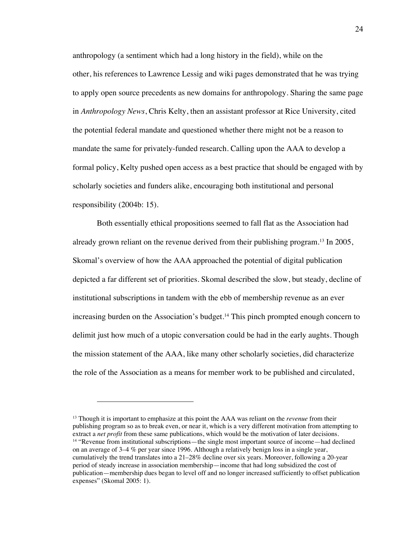anthropology (a sentiment which had a long history in the field), while on the other, his references to Lawrence Lessig and wiki pages demonstrated that he was trying to apply open source precedents as new domains for anthropology. Sharing the same page in *Anthropology News*, Chris Kelty, then an assistant professor at Rice University, cited the potential federal mandate and questioned whether there might not be a reason to mandate the same for privately-funded research. Calling upon the AAA to develop a formal policy, Kelty pushed open access as a best practice that should be engaged with by scholarly societies and funders alike, encouraging both institutional and personal responsibility (2004b: 15).

Both essentially ethical propositions seemed to fall flat as the Association had already grown reliant on the revenue derived from their publishing program.13 In 2005, Skomal's overview of how the AAA approached the potential of digital publication depicted a far different set of priorities. Skomal described the slow, but steady, decline of institutional subscriptions in tandem with the ebb of membership revenue as an ever increasing burden on the Association's budget.14 This pinch prompted enough concern to delimit just how much of a utopic conversation could be had in the early aughts. Though the mission statement of the AAA, like many other scholarly societies, did characterize the role of the Association as a means for member work to be published and circulated,

<sup>13</sup> Though it is important to emphasize at this point the AAA was reliant on the *revenue* from their publishing program so as to break even, or near it, which is a very different motivation from attempting to extract a *net profit* from these same publications, which would be the motivation of later decisions. <sup>14</sup> "Revenue from institutional subscriptions—the single most important source of income—had declined on an average of 3–4 % per year since 1996. Although a relatively benign loss in a single year, cumulatively the trend translates into a 21–28% decline over six years. Moreover, following a 20-year period of steady increase in association membership—income that had long subsidized the cost of publication—membership dues began to level off and no longer increased sufficiently to offset publication expenses" (Skomal 2005: 1).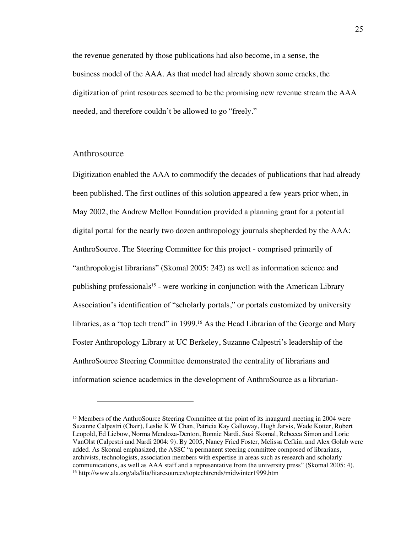the revenue generated by those publications had also become, in a sense, the business model of the AAA. As that model had already shown some cracks, the digitization of print resources seemed to be the promising new revenue stream the AAA needed, and therefore couldn't be allowed to go "freely."

#### Anthrosource

Digitization enabled the AAA to commodify the decades of publications that had already been published. The first outlines of this solution appeared a few years prior when, in May 2002, the Andrew Mellon Foundation provided a planning grant for a potential digital portal for the nearly two dozen anthropology journals shepherded by the AAA: AnthroSource. The Steering Committee for this project - comprised primarily of "anthropologist librarians" (Skomal 2005: 242) as well as information science and publishing professionals<sup>15</sup> - were working in conjunction with the American Library Association's identification of "scholarly portals," or portals customized by university libraries, as a "top tech trend" in 1999.<sup>16</sup> As the Head Librarian of the George and Mary Foster Anthropology Library at UC Berkeley, Suzanne Calpestri's leadership of the AnthroSource Steering Committee demonstrated the centrality of librarians and information science academics in the development of AnthroSource as a librarian-

<sup>&</sup>lt;sup>15</sup> Members of the AnthroSource Steering Committee at the point of its inaugural meeting in 2004 were Suzanne Calpestri (Chair), Leslie K W Chan, Patricia Kay Galloway, Hugh Jarvis, Wade Kotter, Robert Leopold, Ed Liebow, Norma Mendoza-Denton, Bonnie Nardi, Susi Skomal, Rebecca Simon and Lorie VanOlst (Calpestri and Nardi 2004: 9). By 2005, Nancy Fried Foster, Melissa Cefkin, and Alex Golub were added. As Skomal emphasized, the ASSC "a permanent steering committee composed of librarians, archivists, technologists, association members with expertise in areas such as research and scholarly communications, as well as AAA staff and a representative from the university press" (Skomal 2005: 4). <sup>16</sup> http://www.ala.org/ala/lita/litaresources/toptechtrends/midwinter1999.htm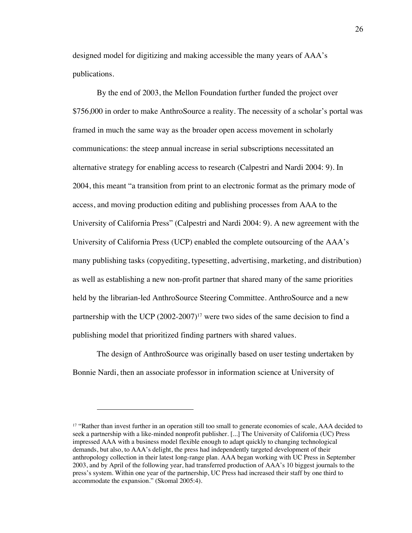designed model for digitizing and making accessible the many years of AAA's publications.

By the end of 2003, the Mellon Foundation further funded the project over \$756,000 in order to make AnthroSource a reality. The necessity of a scholar's portal was framed in much the same way as the broader open access movement in scholarly communications: the steep annual increase in serial subscriptions necessitated an alternative strategy for enabling access to research (Calpestri and Nardi 2004: 9). In 2004, this meant "a transition from print to an electronic format as the primary mode of access, and moving production editing and publishing processes from AAA to the University of California Press" (Calpestri and Nardi 2004: 9). A new agreement with the University of California Press (UCP) enabled the complete outsourcing of the AAA's many publishing tasks (copyediting, typesetting, advertising, marketing, and distribution) as well as establishing a new non-profit partner that shared many of the same priorities held by the librarian-led AnthroSource Steering Committee. AnthroSource and a new partnership with the UCP (2002-2007)<sup>17</sup> were two sides of the same decision to find a publishing model that prioritized finding partners with shared values.

The design of AnthroSource was originally based on user testing undertaken by Bonnie Nardi, then an associate professor in information science at University of

<sup>&</sup>lt;sup>17</sup> "Rather than invest further in an operation still too small to generate economies of scale, AAA decided to seek a partnership with a like-minded nonprofit publisher. [...] The University of California (UC) Press impressed AAA with a business model flexible enough to adapt quickly to changing technological demands, but also, to AAA's delight, the press had independently targeted development of their anthropology collection in their latest long-range plan. AAA began working with UC Press in September 2003, and by April of the following year, had transferred production of AAA's 10 biggest journals to the press's system. Within one year of the partnership, UC Press had increased their staff by one third to accommodate the expansion." (Skomal 2005:4).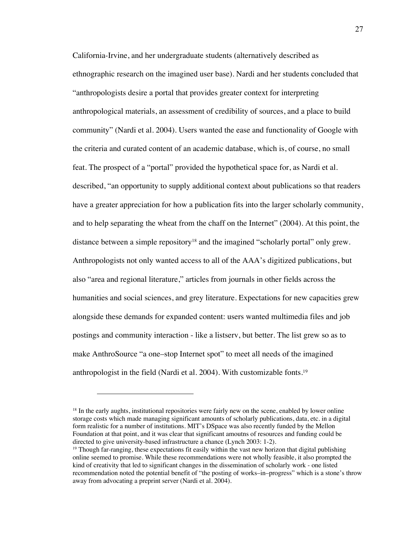California-Irvine, and her undergraduate students (alternatively described as ethnographic research on the imagined user base). Nardi and her students concluded that "anthropologists desire a portal that provides greater context for interpreting anthropological materials, an assessment of credibility of sources, and a place to build community" (Nardi et al. 2004). Users wanted the ease and functionality of Google with the criteria and curated content of an academic database, which is, of course, no small feat. The prospect of a "portal" provided the hypothetical space for, as Nardi et al. described, "an opportunity to supply additional context about publications so that readers have a greater appreciation for how a publication fits into the larger scholarly community, and to help separating the wheat from the chaff on the Internet" (2004). At this point, the distance between a simple repository<sup>18</sup> and the imagined "scholarly portal" only grew. Anthropologists not only wanted access to all of the AAA's digitized publications, but also "area and regional literature," articles from journals in other fields across the humanities and social sciences, and grey literature. Expectations for new capacities grew alongside these demands for expanded content: users wanted multimedia files and job postings and community interaction - like a listserv, but better. The list grew so as to make AnthroSource "a one–stop Internet spot" to meet all needs of the imagined anthropologist in the field (Nardi et al. 2004). With customizable fonts.19

<sup>&</sup>lt;sup>18</sup> In the early aughts, institutional repositories were fairly new on the scene, enabled by lower online storage costs which made managing significant amounts of scholarly publications, data, etc. in a digital form realistic for a number of institutions. MIT's DSpace was also recently funded by the Mellon Foundation at that point, and it was clear that significant amoutns of resources and funding could be directed to give university-based infrastructure a chance (Lynch 2003: 1-2).<br><sup>19</sup> Though far-ranging, these expectations fit easily within the vast new horizon that digital publishing

online seemed to promise. While these recommendations were not wholly feasible, it also prompted the kind of creativity that led to significant changes in the dissemination of scholarly work - one listed recommendation noted the potential benefit of "the posting of works–in–progress" which is a stone's throw away from advocating a preprint server (Nardi et al. 2004).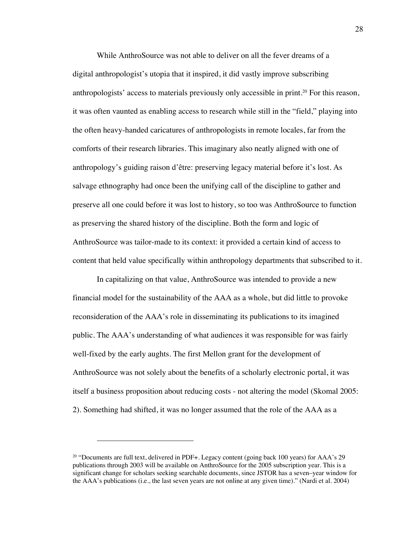While AnthroSource was not able to deliver on all the fever dreams of a digital anthropologist's utopia that it inspired, it did vastly improve subscribing anthropologists' access to materials previously only accessible in print.20 For this reason, it was often vaunted as enabling access to research while still in the "field," playing into the often heavy-handed caricatures of anthropologists in remote locales, far from the comforts of their research libraries. This imaginary also neatly aligned with one of anthropology's guiding raison d'être: preserving legacy material before it's lost. As salvage ethnography had once been the unifying call of the discipline to gather and preserve all one could before it was lost to history, so too was AnthroSource to function as preserving the shared history of the discipline. Both the form and logic of AnthroSource was tailor-made to its context: it provided a certain kind of access to content that held value specifically within anthropology departments that subscribed to it.

In capitalizing on that value, AnthroSource was intended to provide a new financial model for the sustainability of the AAA as a whole, but did little to provoke reconsideration of the AAA's role in disseminating its publications to its imagined public. The AAA's understanding of what audiences it was responsible for was fairly well-fixed by the early aughts. The first Mellon grant for the development of AnthroSource was not solely about the benefits of a scholarly electronic portal, it was itself a business proposition about reducing costs - not altering the model (Skomal 2005: 2). Something had shifted, it was no longer assumed that the role of the AAA as a

<sup>&</sup>lt;sup>20</sup> "Documents are full text, delivered in PDF+. Legacy content (going back 100 years) for AAA's 29 publications through 2003 will be available on AnthroSource for the 2005 subscription year. This is a significant change for scholars seeking searchable documents, since JSTOR has a seven–year window for the AAA's publications (i.e., the last seven years are not online at any given time)." (Nardi et al. 2004)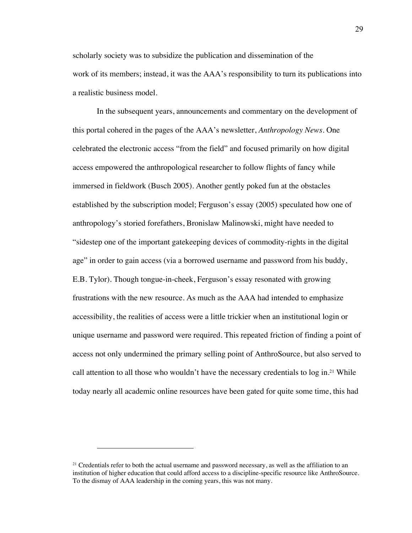scholarly society was to subsidize the publication and dissemination of the work of its members; instead, it was the AAA's responsibility to turn its publications into a realistic business model.

In the subsequent years, announcements and commentary on the development of this portal cohered in the pages of the AAA's newsletter, *Anthropology News*. One celebrated the electronic access "from the field" and focused primarily on how digital access empowered the anthropological researcher to follow flights of fancy while immersed in fieldwork (Busch 2005). Another gently poked fun at the obstacles established by the subscription model; Ferguson's essay (2005) speculated how one of anthropology's storied forefathers, Bronislaw Malinowski, might have needed to "sidestep one of the important gatekeeping devices of commodity-rights in the digital age" in order to gain access (via a borrowed username and password from his buddy, E.B. Tylor). Though tongue-in-cheek, Ferguson's essay resonated with growing frustrations with the new resource. As much as the AAA had intended to emphasize accessibility, the realities of access were a little trickier when an institutional login or unique username and password were required. This repeated friction of finding a point of access not only undermined the primary selling point of AnthroSource, but also served to call attention to all those who wouldn't have the necessary credentials to log in.<sup>21</sup> While today nearly all academic online resources have been gated for quite some time, this had

<sup>&</sup>lt;sup>21</sup> Credentials refer to both the actual username and password necessary, as well as the affiliation to an institution of higher education that could afford access to a discipline-specific resource like AnthroSource. To the dismay of AAA leadership in the coming years, this was not many.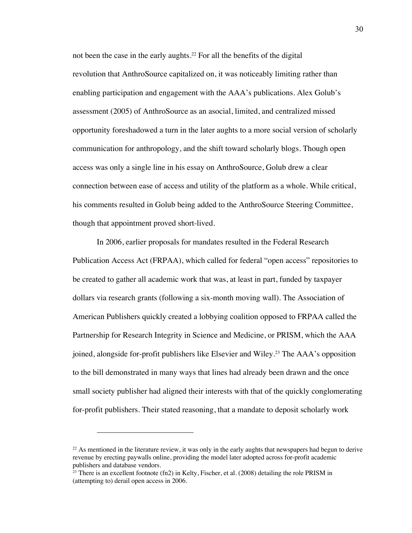not been the case in the early aughts.22 For all the benefits of the digital revolution that AnthroSource capitalized on, it was noticeably limiting rather than enabling participation and engagement with the AAA's publications. Alex Golub's assessment (2005) of AnthroSource as an asocial, limited, and centralized missed opportunity foreshadowed a turn in the later aughts to a more social version of scholarly communication for anthropology, and the shift toward scholarly blogs. Though open access was only a single line in his essay on AnthroSource, Golub drew a clear connection between ease of access and utility of the platform as a whole. While critical, his comments resulted in Golub being added to the AnthroSource Steering Committee, though that appointment proved short-lived.

In 2006, earlier proposals for mandates resulted in the Federal Research Publication Access Act (FRPAA), which called for federal "open access" repositories to be created to gather all academic work that was, at least in part, funded by taxpayer dollars via research grants (following a six-month moving wall). The Association of American Publishers quickly created a lobbying coalition opposed to FRPAA called the Partnership for Research Integrity in Science and Medicine, or PRISM, which the AAA joined, alongside for-profit publishers like Elsevier and Wiley.23 The AAA's opposition to the bill demonstrated in many ways that lines had already been drawn and the once small society publisher had aligned their interests with that of the quickly conglomerating for-profit publishers. Their stated reasoning, that a mandate to deposit scholarly work

<sup>&</sup>lt;sup>22</sup> As mentioned in the literature review, it was only in the early aughts that newspapers had begun to derive revenue by erecting paywalls online, providing the model later adopted across for-profit academic publishers and database vendors.

<sup>&</sup>lt;sup>23</sup> There is an excellent footnote (fn2) in Kelty, Fischer, et al. (2008) detailing the role PRISM in (attempting to) derail open access in 2006.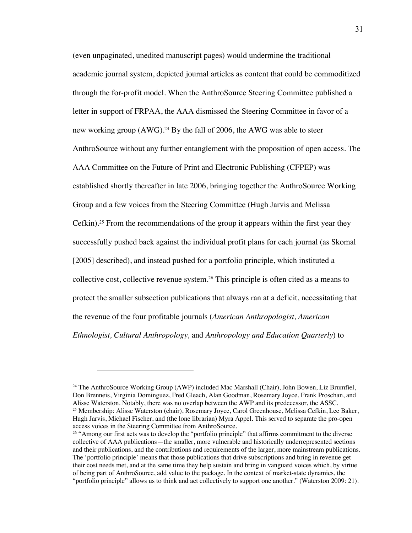(even unpaginated, unedited manuscript pages) would undermine the traditional academic journal system, depicted journal articles as content that could be commoditized through the for-profit model. When the AnthroSource Steering Committee published a letter in support of FRPAA, the AAA dismissed the Steering Committee in favor of a new working group (AWG).<sup>24</sup> By the fall of 2006, the AWG was able to steer AnthroSource without any further entanglement with the proposition of open access. The AAA Committee on the Future of Print and Electronic Publishing (CFPEP) was established shortly thereafter in late 2006, bringing together the AnthroSource Working Group and a few voices from the Steering Committee (Hugh Jarvis and Melissa Cefkin).25 From the recommendations of the group it appears within the first year they successfully pushed back against the individual profit plans for each journal (as Skomal [2005] described), and instead pushed for a portfolio principle, which instituted a collective cost, collective revenue system.26 This principle is often cited as a means to protect the smaller subsection publications that always ran at a deficit, necessitating that the revenue of the four profitable journals (*American Anthropologist, American Ethnologist, Cultural Anthropology,* and *Anthropology and Education Quarterly*) to

<sup>24</sup> The AnthroSource Working Group (AWP) included Mac Marshall (Chair), John Bowen, Liz Brumfiel, Don Brenneis, Virginia Dominguez, Fred Gleach, Alan Goodman, Rosemary Joyce, Frank Proschan, and Alisse Waterston. Notably, there was no overlap between the AWP and its predecessor, the ASSC. <sup>25</sup> Membership: Alisse Waterston (chair), Rosemary Joyce, Carol Greenhouse, Melissa Cefkin, Lee Baker, Hugh Jarvis, Michael Fischer, and (the lone librarian) Myra Appel. This served to separate the pro-open access voices in the Steering Committee from AnthroSource.

<sup>&</sup>lt;sup>26</sup> "Among our first acts was to develop the "portfolio principle" that affirms commitment to the diverse collective of AAA publications—the smaller, more vulnerable and historically underrepresented sections and their publications, and the contributions and requirements of the larger, more mainstream publications. The 'portfolio principle' means that those publications that drive subscriptions and bring in revenue get their cost needs met, and at the same time they help sustain and bring in vanguard voices which, by virtue of being part of AnthroSource, add value to the package. In the context of market-state dynamics, the "portfolio principle" allows us to think and act collectively to support one another." (Waterston 2009: 21).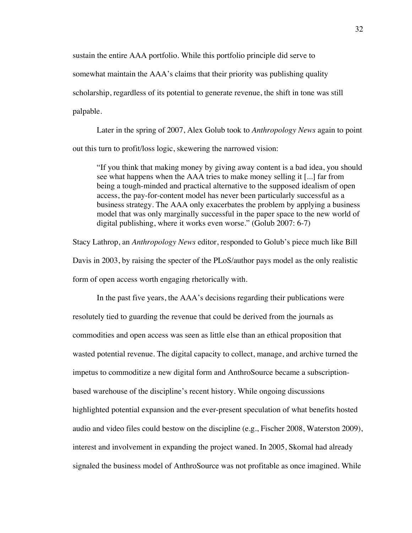sustain the entire AAA portfolio. While this portfolio principle did serve to somewhat maintain the AAA's claims that their priority was publishing quality scholarship, regardless of its potential to generate revenue, the shift in tone was still palpable.

Later in the spring of 2007, Alex Golub took to *Anthropology News* again to point out this turn to profit/loss logic, skewering the narrowed vision:

"If you think that making money by giving away content is a bad idea, you should see what happens when the AAA tries to make money selling it [...] far from being a tough-minded and practical alternative to the supposed idealism of open access, the pay-for-content model has never been particularly successful as a business strategy. The AAA only exacerbates the problem by applying a business model that was only marginally successful in the paper space to the new world of digital publishing, where it works even worse." (Golub 2007: 6-7)

Stacy Lathrop, an *Anthropology News* editor, responded to Golub's piece much like Bill Davis in 2003, by raising the specter of the PLoS/author pays model as the only realistic form of open access worth engaging rhetorically with.

In the past five years, the AAA's decisions regarding their publications were resolutely tied to guarding the revenue that could be derived from the journals as commodities and open access was seen as little else than an ethical proposition that wasted potential revenue. The digital capacity to collect, manage, and archive turned the impetus to commoditize a new digital form and AnthroSource became a subscriptionbased warehouse of the discipline's recent history. While ongoing discussions highlighted potential expansion and the ever-present speculation of what benefits hosted audio and video files could bestow on the discipline (e.g., Fischer 2008, Waterston 2009), interest and involvement in expanding the project waned. In 2005, Skomal had already signaled the business model of AnthroSource was not profitable as once imagined. While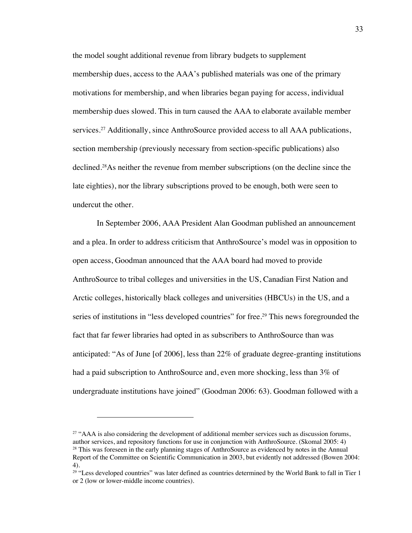the model sought additional revenue from library budgets to supplement membership dues, access to the AAA's published materials was one of the primary motivations for membership, and when libraries began paying for access, individual membership dues slowed. This in turn caused the AAA to elaborate available member services.<sup>27</sup> Additionally, since AnthroSource provided access to all AAA publications, section membership (previously necessary from section-specific publications) also declined.28As neither the revenue from member subscriptions (on the decline since the late eighties), nor the library subscriptions proved to be enough, both were seen to undercut the other.

In September 2006, AAA President Alan Goodman published an announcement and a plea. In order to address criticism that AnthroSource's model was in opposition to open access, Goodman announced that the AAA board had moved to provide AnthroSource to tribal colleges and universities in the US, Canadian First Nation and Arctic colleges, historically black colleges and universities (HBCUs) in the US, and a series of institutions in "less developed countries" for free.<sup>29</sup> This news foregrounded the fact that far fewer libraries had opted in as subscribers to AnthroSource than was anticipated: "As of June [of 2006], less than 22% of graduate degree-granting institutions had a paid subscription to AnthroSource and, even more shocking, less than 3% of undergraduate institutions have joined" (Goodman 2006: 63). Goodman followed with a

 $27$  "AAA is also considering the development of additional member services such as discussion forums, author services, and repository functions for use in conjunction with AnthroSource. (Skomal 2005: 4) <sup>28</sup> This was foreseen in the early planning stages of AnthroSource as evidenced by notes in the Annual Report of the Committee on Scientific Communication in 2003, but evidently not addressed (Bowen 2004: 4).

 $29$  "Less developed countries" was later defined as countries determined by the World Bank to fall in Tier 1 or 2 (low or lower-middle income countries).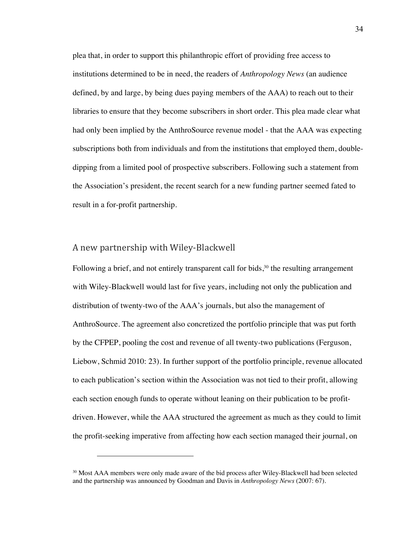plea that, in order to support this philanthropic effort of providing free access to institutions determined to be in need, the readers of *Anthropology News* (an audience defined, by and large, by being dues paying members of the AAA) to reach out to their libraries to ensure that they become subscribers in short order. This plea made clear what had only been implied by the AnthroSource revenue model - that the AAA was expecting subscriptions both from individuals and from the institutions that employed them, doubledipping from a limited pool of prospective subscribers. Following such a statement from the Association's president, the recent search for a new funding partner seemed fated to result in a for-profit partnership.

#### A new partnership with Wiley-Blackwell

Following a brief, and not entirely transparent call for bids, $30$  the resulting arrangement with Wiley-Blackwell would last for five years, including not only the publication and distribution of twenty-two of the AAA's journals, but also the management of AnthroSource. The agreement also concretized the portfolio principle that was put forth by the CFPEP, pooling the cost and revenue of all twenty-two publications (Ferguson, Liebow, Schmid 2010: 23). In further support of the portfolio principle, revenue allocated to each publication's section within the Association was not tied to their profit, allowing each section enough funds to operate without leaning on their publication to be profitdriven. However, while the AAA structured the agreement as much as they could to limit the profit-seeking imperative from affecting how each section managed their journal, on

<sup>&</sup>lt;sup>30</sup> Most AAA members were only made aware of the bid process after Wiley-Blackwell had been selected and the partnership was announced by Goodman and Davis in *Anthropology News* (2007: 67).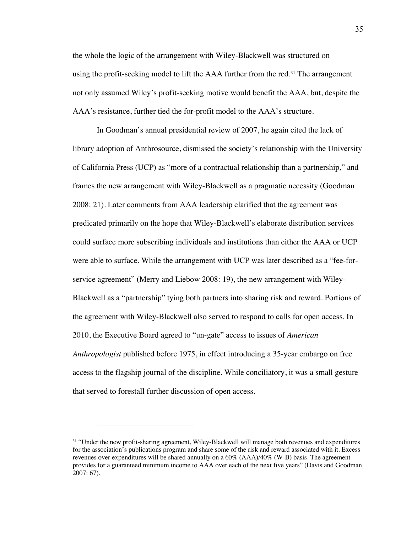the whole the logic of the arrangement with Wiley-Blackwell was structured on using the profit-seeking model to lift the AAA further from the red.<sup>31</sup> The arrangement not only assumed Wiley's profit-seeking motive would benefit the AAA, but, despite the AAA's resistance, further tied the for-profit model to the AAA's structure.

In Goodman's annual presidential review of 2007, he again cited the lack of library adoption of Anthrosource, dismissed the society's relationship with the University of California Press (UCP) as "more of a contractual relationship than a partnership," and frames the new arrangement with Wiley-Blackwell as a pragmatic necessity (Goodman 2008: 21). Later comments from AAA leadership clarified that the agreement was predicated primarily on the hope that Wiley-Blackwell's elaborate distribution services could surface more subscribing individuals and institutions than either the AAA or UCP were able to surface. While the arrangement with UCP was later described as a "fee-forservice agreement" (Merry and Liebow 2008: 19), the new arrangement with Wiley-Blackwell as a "partnership" tying both partners into sharing risk and reward. Portions of the agreement with Wiley-Blackwell also served to respond to calls for open access. In 2010, the Executive Board agreed to "un-gate" access to issues of *American Anthropologist* published before 1975, in effect introducing a 35-year embargo on free access to the flagship journal of the discipline. While conciliatory, it was a small gesture that served to forestall further discussion of open access.

<sup>31</sup> "Under the new profit-sharing agreement, Wiley-Blackwell will manage both revenues and expenditures for the association's publications program and share some of the risk and reward associated with it. Excess revenues over expenditures will be shared annually on a 60% (AAA)/40% (W-B) basis. The agreement provides for a guaranteed minimum income to AAA over each of the next five years" (Davis and Goodman 2007: 67).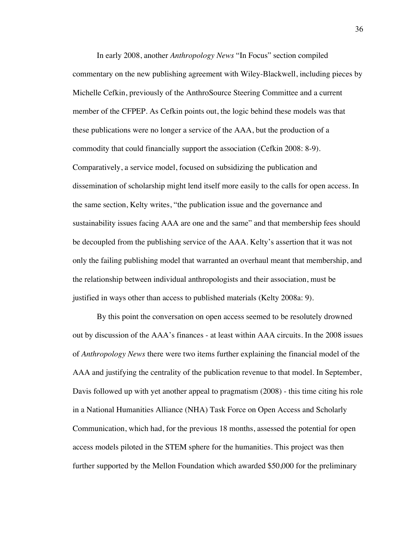In early 2008, another *Anthropology News* "In Focus" section compiled commentary on the new publishing agreement with Wiley-Blackwell, including pieces by Michelle Cefkin, previously of the AnthroSource Steering Committee and a current member of the CFPEP. As Cefkin points out, the logic behind these models was that these publications were no longer a service of the AAA, but the production of a commodity that could financially support the association (Cefkin 2008: 8-9). Comparatively, a service model, focused on subsidizing the publication and dissemination of scholarship might lend itself more easily to the calls for open access. In the same section, Kelty writes, "the publication issue and the governance and sustainability issues facing AAA are one and the same" and that membership fees should be decoupled from the publishing service of the AAA. Kelty's assertion that it was not only the failing publishing model that warranted an overhaul meant that membership, and the relationship between individual anthropologists and their association, must be justified in ways other than access to published materials (Kelty 2008a: 9).

By this point the conversation on open access seemed to be resolutely drowned out by discussion of the AAA's finances - at least within AAA circuits. In the 2008 issues of *Anthropology News* there were two items further explaining the financial model of the AAA and justifying the centrality of the publication revenue to that model. In September, Davis followed up with yet another appeal to pragmatism (2008) - this time citing his role in a National Humanities Alliance (NHA) Task Force on Open Access and Scholarly Communication, which had, for the previous 18 months, assessed the potential for open access models piloted in the STEM sphere for the humanities. This project was then further supported by the Mellon Foundation which awarded \$50,000 for the preliminary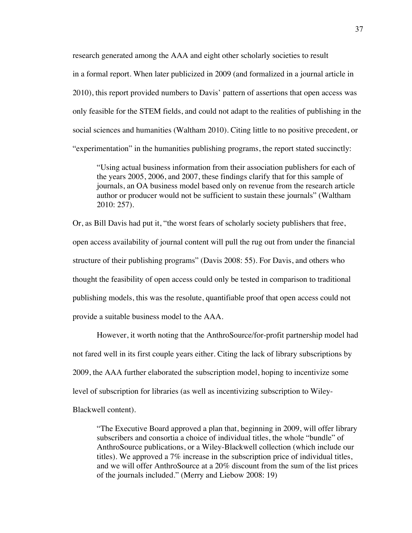research generated among the AAA and eight other scholarly societies to result in a formal report. When later publicized in 2009 (and formalized in a journal article in 2010), this report provided numbers to Davis' pattern of assertions that open access was only feasible for the STEM fields, and could not adapt to the realities of publishing in the social sciences and humanities (Waltham 2010). Citing little to no positive precedent, or "experimentation" in the humanities publishing programs, the report stated succinctly:

"Using actual business information from their association publishers for each of the years 2005, 2006, and 2007, these findings clarify that for this sample of journals, an OA business model based only on revenue from the research article author or producer would not be sufficient to sustain these journals" (Waltham 2010: 257).

Or, as Bill Davis had put it, "the worst fears of scholarly society publishers that free, open access availability of journal content will pull the rug out from under the financial structure of their publishing programs" (Davis 2008: 55). For Davis, and others who thought the feasibility of open access could only be tested in comparison to traditional publishing models, this was the resolute, quantifiable proof that open access could not provide a suitable business model to the AAA.

However, it worth noting that the AnthroSource/for-profit partnership model had not fared well in its first couple years either. Citing the lack of library subscriptions by 2009, the AAA further elaborated the subscription model, hoping to incentivize some level of subscription for libraries (as well as incentivizing subscription to Wiley-Blackwell content).

"The Executive Board approved a plan that, beginning in 2009, will offer library subscribers and consortia a choice of individual titles, the whole "bundle" of AnthroSource publications, or a Wiley-Blackwell collection (which include our titles). We approved a 7% increase in the subscription price of individual titles, and we will offer AnthroSource at a 20% discount from the sum of the list prices of the journals included." (Merry and Liebow 2008: 19)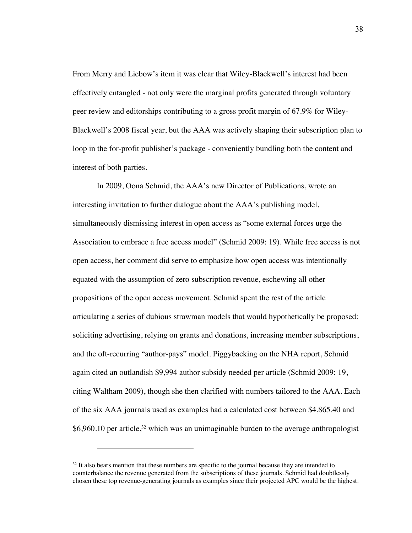From Merry and Liebow's item it was clear that Wiley-Blackwell's interest had been effectively entangled - not only were the marginal profits generated through voluntary peer review and editorships contributing to a gross profit margin of 67.9% for Wiley-Blackwell's 2008 fiscal year, but the AAA was actively shaping their subscription plan to loop in the for-profit publisher's package - conveniently bundling both the content and interest of both parties.

In 2009, Oona Schmid, the AAA's new Director of Publications, wrote an interesting invitation to further dialogue about the AAA's publishing model, simultaneously dismissing interest in open access as "some external forces urge the Association to embrace a free access model" (Schmid 2009: 19). While free access is not open access, her comment did serve to emphasize how open access was intentionally equated with the assumption of zero subscription revenue, eschewing all other propositions of the open access movement. Schmid spent the rest of the article articulating a series of dubious strawman models that would hypothetically be proposed: soliciting advertising, relying on grants and donations, increasing member subscriptions, and the oft-recurring "author-pays" model. Piggybacking on the NHA report, Schmid again cited an outlandish \$9,994 author subsidy needed per article (Schmid 2009: 19, citing Waltham 2009), though she then clarified with numbers tailored to the AAA. Each of the six AAA journals used as examples had a calculated cost between \$4,865.40 and  $$6,960.10$  per article,<sup>32</sup> which was an unimaginable burden to the average anthropologist

 $32$  It also bears mention that these numbers are specific to the journal because they are intended to counterbalance the revenue generated from the subscriptions of these journals. Schmid had doubtlessly chosen these top revenue-generating journals as examples since their projected APC would be the highest.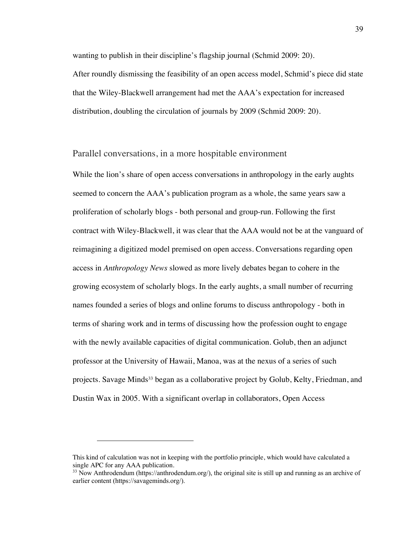wanting to publish in their discipline's flagship journal (Schmid 2009: 20). After roundly dismissing the feasibility of an open access model, Schmid's piece did state that the Wiley-Blackwell arrangement had met the AAA's expectation for increased distribution, doubling the circulation of journals by 2009 (Schmid 2009: 20).

#### Parallel conversations, in a more hospitable environment

While the lion's share of open access conversations in anthropology in the early aughts seemed to concern the AAA's publication program as a whole, the same years saw a proliferation of scholarly blogs - both personal and group-run. Following the first contract with Wiley-Blackwell, it was clear that the AAA would not be at the vanguard of reimagining a digitized model premised on open access. Conversations regarding open access in *Anthropology News* slowed as more lively debates began to cohere in the growing ecosystem of scholarly blogs. In the early aughts, a small number of recurring names founded a series of blogs and online forums to discuss anthropology - both in terms of sharing work and in terms of discussing how the profession ought to engage with the newly available capacities of digital communication. Golub, then an adjunct professor at the University of Hawaii, Manoa, was at the nexus of a series of such projects. Savage Minds<sup>33</sup> began as a collaborative project by Golub, Kelty, Friedman, and Dustin Wax in 2005. With a significant overlap in collaborators, Open Access

This kind of calculation was not in keeping with the portfolio principle, which would have calculated a single APC for any AAA publication.

 $33$  Now Anthrodendum (https://anthrodendum.org/), the original site is still up and running as an archive of earlier content (https://savageminds.org/).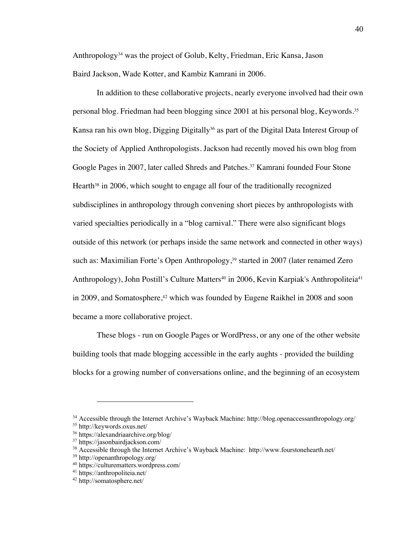Anthropology34 was the project of Golub, Kelty, Friedman, Eric Kansa, Jason Baird Jackson, Wade Kotter, and Kambiz Kamrani in 2006.

In addition to these collaborative projects, nearly everyone involved had their own personal blog. Friedman had been blogging since 2001 at his personal blog, Keywords. 35 Kansa ran his own blog, Digging Digitally<sup>36</sup> as part of the Digital Data Interest Group of the Society of Applied Anthropologists. Jackson had recently moved his own blog from Google Pages in 2007, later called Shreds and Patches.37 Kamrani founded Four Stone Hearth<sup>38</sup> in 2006, which sought to engage all four of the traditionally recognized subdisciplines in anthropology through convening short pieces by anthropologists with varied specialties periodically in a "blog carnival." There were also significant blogs outside of this network (or perhaps inside the same network and connected in other ways) such as: Maximilian Forte's Open Anthropology,<sup>39</sup> started in 2007 (later renamed Zero Anthropology), John Postill's Culture Matters<sup>40</sup> in 2006, Kevin Karpiak's Anthropoliteia<sup>41</sup> in 2009, and Somatosphere, $42$  which was founded by Eugene Raikhel in 2008 and soon became a more collaborative project.

These blogs - run on Google Pages or WordPress, or any one of the other website building tools that made blogging accessible in the early aughts - provided the building blocks for a growing number of conversations online, and the beginning of an ecosystem

<sup>34</sup> Accessible through the Internet Archive's Wayback Machine: http://blog.openaccessanthropology.org/

<sup>35</sup> http://keywords.oxus.net/

<sup>36</sup> https://alexandriaarchive.org/blog/

<sup>37</sup> https://jasonbairdjackson.com/

<sup>38</sup> Accessible through the Internet Archive's Wayback Machine: http://www.fourstonehearth.net/

<sup>39</sup> http://openanthropology.org/

<sup>40</sup> https://culturematters.wordpress.com/

<sup>41</sup> https://anthropoliteia.net/

<sup>42</sup> http://somatosphere.net/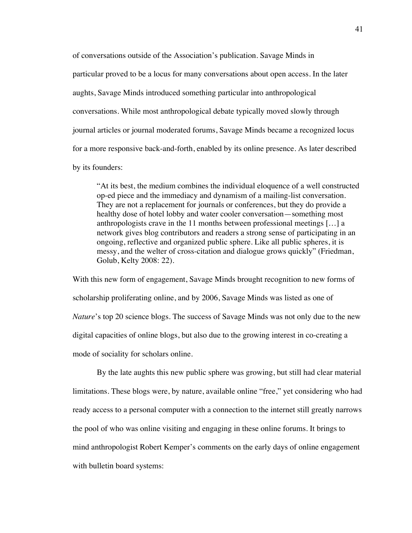of conversations outside of the Association's publication. Savage Minds in particular proved to be a locus for many conversations about open access. In the later aughts, Savage Minds introduced something particular into anthropological conversations. While most anthropological debate typically moved slowly through journal articles or journal moderated forums, Savage Minds became a recognized locus for a more responsive back-and-forth, enabled by its online presence. As later described by its founders:

"At its best, the medium combines the individual eloquence of a well constructed op-ed piece and the immediacy and dynamism of a mailing-list conversation. They are not a replacement for journals or conferences, but they do provide a healthy dose of hotel lobby and water cooler conversation—something most anthropologists crave in the 11 months between professional meetings […] a network gives blog contributors and readers a strong sense of participating in an ongoing, reflective and organized public sphere. Like all public spheres, it is messy, and the welter of cross-citation and dialogue grows quickly" (Friedman, Golub, Kelty 2008: 22).

With this new form of engagement, Savage Minds brought recognition to new forms of scholarship proliferating online, and by 2006, Savage Minds was listed as one of *Nature*'s top 20 science blogs. The success of Savage Minds was not only due to the new digital capacities of online blogs, but also due to the growing interest in co-creating a mode of sociality for scholars online.

By the late aughts this new public sphere was growing, but still had clear material limitations. These blogs were, by nature, available online "free," yet considering who had ready access to a personal computer with a connection to the internet still greatly narrows the pool of who was online visiting and engaging in these online forums. It brings to mind anthropologist Robert Kemper's comments on the early days of online engagement with bulletin board systems: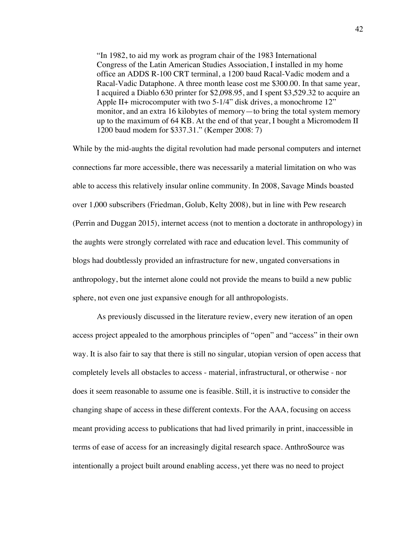"In 1982, to aid my work as program chair of the 1983 International Congress of the Latin American Studies Association, I installed in my home office an ADDS R-100 CRT terminal, a 1200 baud Racal-Vadic modem and a Racal-Vadic Dataphone. A three month lease cost me \$300.00. In that same year, I acquired a Diablo 630 printer for \$2,098.95, and I spent \$3,529.32 to acquire an Apple II+ microcomputer with two 5-1/4" disk drives, a monochrome 12" monitor, and an extra 16 kilobytes of memory—to bring the total system memory up to the maximum of 64 KB. At the end of that year, I bought a Micromodem II 1200 baud modem for \$337.31." (Kemper 2008: 7)

While by the mid-aughts the digital revolution had made personal computers and internet connections far more accessible, there was necessarily a material limitation on who was able to access this relatively insular online community. In 2008, Savage Minds boasted over 1,000 subscribers (Friedman, Golub, Kelty 2008), but in line with Pew research (Perrin and Duggan 2015), internet access (not to mention a doctorate in anthropology) in the aughts were strongly correlated with race and education level. This community of blogs had doubtlessly provided an infrastructure for new, ungated conversations in anthropology, but the internet alone could not provide the means to build a new public sphere, not even one just expansive enough for all anthropologists.

As previously discussed in the literature review, every new iteration of an open access project appealed to the amorphous principles of "open" and "access" in their own way. It is also fair to say that there is still no singular, utopian version of open access that completely levels all obstacles to access - material, infrastructural, or otherwise - nor does it seem reasonable to assume one is feasible. Still, it is instructive to consider the changing shape of access in these different contexts. For the AAA, focusing on access meant providing access to publications that had lived primarily in print, inaccessible in terms of ease of access for an increasingly digital research space. AnthroSource was intentionally a project built around enabling access, yet there was no need to project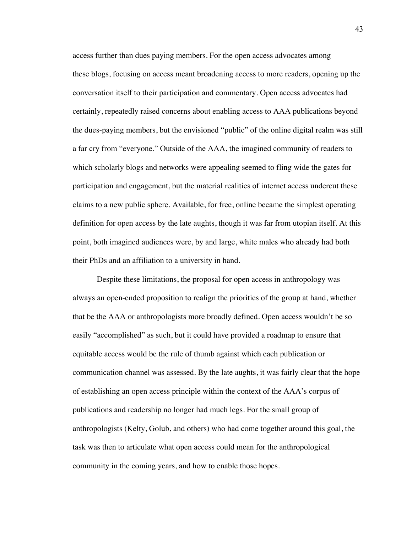access further than dues paying members. For the open access advocates among these blogs, focusing on access meant broadening access to more readers, opening up the conversation itself to their participation and commentary. Open access advocates had certainly, repeatedly raised concerns about enabling access to AAA publications beyond the dues-paying members, but the envisioned "public" of the online digital realm was still a far cry from "everyone." Outside of the AAA, the imagined community of readers to which scholarly blogs and networks were appealing seemed to fling wide the gates for participation and engagement, but the material realities of internet access undercut these claims to a new public sphere. Available, for free, online became the simplest operating definition for open access by the late aughts, though it was far from utopian itself. At this point, both imagined audiences were, by and large, white males who already had both their PhDs and an affiliation to a university in hand.

Despite these limitations, the proposal for open access in anthropology was always an open-ended proposition to realign the priorities of the group at hand, whether that be the AAA or anthropologists more broadly defined. Open access wouldn't be so easily "accomplished" as such, but it could have provided a roadmap to ensure that equitable access would be the rule of thumb against which each publication or communication channel was assessed. By the late aughts, it was fairly clear that the hope of establishing an open access principle within the context of the AAA's corpus of publications and readership no longer had much legs. For the small group of anthropologists (Kelty, Golub, and others) who had come together around this goal, the task was then to articulate what open access could mean for the anthropological community in the coming years, and how to enable those hopes.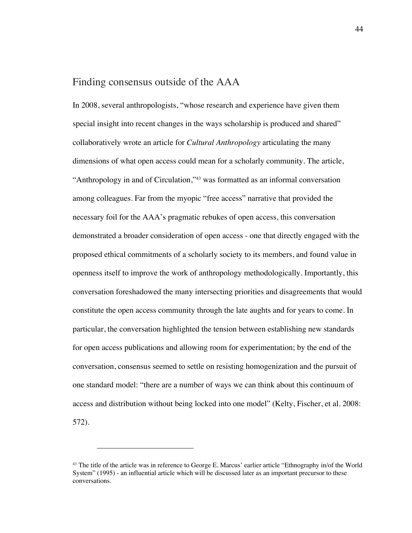# Finding consensus outside of the AAA

In 2008, several anthropologists, "whose research and experience have given them special insight into recent changes in the ways scholarship is produced and shared" collaboratively wrote an article for *Cultural Anthropology* articulating the many dimensions of what open access could mean for a scholarly community. The article, "Anthropology in and of Circulation,"43 was formatted as an informal conversation among colleagues. Far from the myopic "free access" narrative that provided the necessary foil for the AAA's pragmatic rebukes of open access, this conversation demonstrated a broader consideration of open access - one that directly engaged with the proposed ethical commitments of a scholarly society to its members, and found value in openness itself to improve the work of anthropology methodologically. Importantly, this conversation foreshadowed the many intersecting priorities and disagreements that would constitute the open access community through the late aughts and for years to come. In particular, the conversation highlighted the tension between establishing new standards for open access publications and allowing room for experimentation; by the end of the conversation, consensus seemed to settle on resisting homogenization and the pursuit of one standard model: "there are a number of ways we can think about this continuum of access and distribution without being locked into one model" (Kelty, Fischer, et al. 2008: 572).

<sup>43</sup> The title of the article was in reference to George E. Marcus' earlier article "Ethnography in/of the World System" (1995) - an influential article which will be discussed later as an important precursor to these conversations.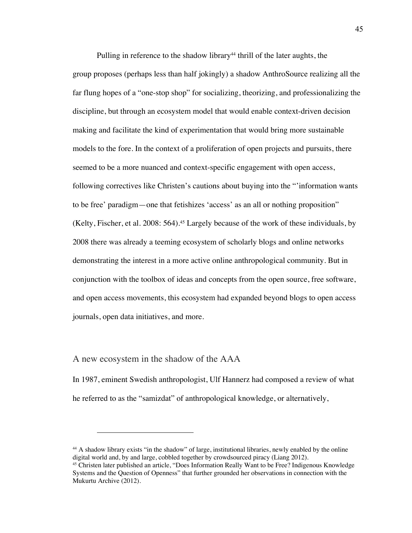Pulling in reference to the shadow library<sup>44</sup> thrill of the later aughts, the group proposes (perhaps less than half jokingly) a shadow AnthroSource realizing all the far flung hopes of a "one-stop shop" for socializing, theorizing, and professionalizing the discipline, but through an ecosystem model that would enable context-driven decision making and facilitate the kind of experimentation that would bring more sustainable models to the fore. In the context of a proliferation of open projects and pursuits, there seemed to be a more nuanced and context-specific engagement with open access, following correctives like Christen's cautions about buying into the "'information wants to be free' paradigm—one that fetishizes 'access' as an all or nothing proposition" (Kelty, Fischer, et al. 2008: 564).45 Largely because of the work of these individuals, by 2008 there was already a teeming ecosystem of scholarly blogs and online networks demonstrating the interest in a more active online anthropological community. But in conjunction with the toolbox of ideas and concepts from the open source, free software, and open access movements, this ecosystem had expanded beyond blogs to open access journals, open data initiatives, and more.

### A new ecosystem in the shadow of the AAA

In 1987, eminent Swedish anthropologist, Ulf Hannerz had composed a review of what he referred to as the "samizdat" of anthropological knowledge, or alternatively,

<sup>44</sup> A shadow library exists "in the shadow" of large, institutional libraries, newly enabled by the online digital world and, by and large, cobbled together by crowdsourced piracy (Liang 2012).

<sup>45</sup> Christen later published an article, "Does Information Really Want to be Free? Indigenous Knowledge Systems and the Question of Openness" that further grounded her observations in connection with the Mukurtu Archive (2012).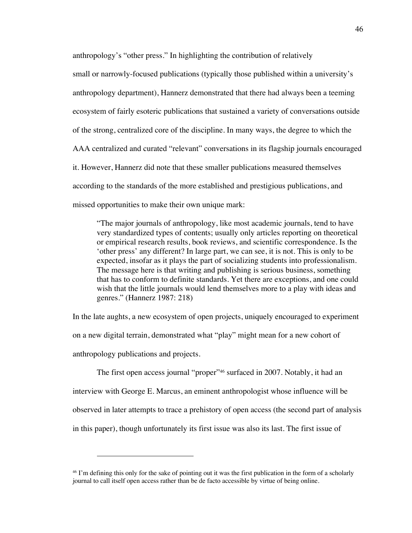anthropology's "other press." In highlighting the contribution of relatively

small or narrowly-focused publications (typically those published within a university's anthropology department), Hannerz demonstrated that there had always been a teeming ecosystem of fairly esoteric publications that sustained a variety of conversations outside of the strong, centralized core of the discipline. In many ways, the degree to which the AAA centralized and curated "relevant" conversations in its flagship journals encouraged it. However, Hannerz did note that these smaller publications measured themselves according to the standards of the more established and prestigious publications, and missed opportunities to make their own unique mark:

"The major journals of anthropology, like most academic journals, tend to have very standardized types of contents; usually only articles reporting on theoretical or empirical research results, book reviews, and scientific correspondence. Is the 'other press' any different? In large part, we can see, it is not. This is only to be expected, insofar as it plays the part of socializing students into professionalism. The message here is that writing and publishing is serious business, something that has to conform to definite standards. Yet there are exceptions, and one could wish that the little journals would lend themselves more to a play with ideas and genres." (Hannerz 1987: 218)

In the late aughts, a new ecosystem of open projects, uniquely encouraged to experiment on a new digital terrain, demonstrated what "play" might mean for a new cohort of anthropology publications and projects.

The first open access journal "proper"46 surfaced in 2007. Notably, it had an interview with George E. Marcus, an eminent anthropologist whose influence will be observed in later attempts to trace a prehistory of open access (the second part of analysis in this paper), though unfortunately its first issue was also its last. The first issue of

<sup>46</sup> I'm defining this only for the sake of pointing out it was the first publication in the form of a scholarly journal to call itself open access rather than be de facto accessible by virtue of being online.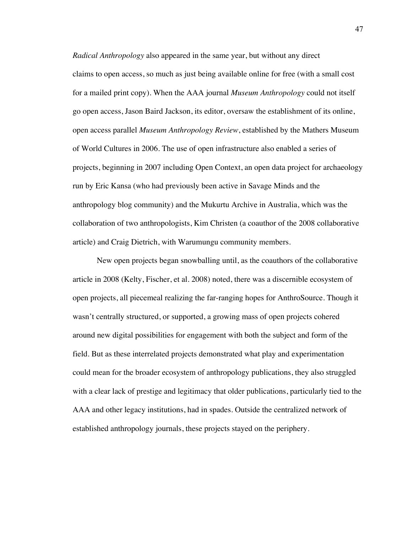*Radical Anthropology* also appeared in the same year, but without any direct claims to open access, so much as just being available online for free (with a small cost for a mailed print copy). When the AAA journal *Museum Anthropology* could not itself go open access, Jason Baird Jackson, its editor, oversaw the establishment of its online, open access parallel *Museum Anthropology Review*, established by the Mathers Museum of World Cultures in 2006. The use of open infrastructure also enabled a series of projects, beginning in 2007 including Open Context, an open data project for archaeology run by Eric Kansa (who had previously been active in Savage Minds and the anthropology blog community) and the Mukurtu Archive in Australia, which was the collaboration of two anthropologists, Kim Christen (a coauthor of the 2008 collaborative article) and Craig Dietrich, with Warumungu community members.

New open projects began snowballing until, as the coauthors of the collaborative article in 2008 (Kelty, Fischer, et al. 2008) noted, there was a discernible ecosystem of open projects, all piecemeal realizing the far-ranging hopes for AnthroSource. Though it wasn't centrally structured, or supported, a growing mass of open projects cohered around new digital possibilities for engagement with both the subject and form of the field. But as these interrelated projects demonstrated what play and experimentation could mean for the broader ecosystem of anthropology publications, they also struggled with a clear lack of prestige and legitimacy that older publications, particularly tied to the AAA and other legacy institutions, had in spades. Outside the centralized network of established anthropology journals, these projects stayed on the periphery.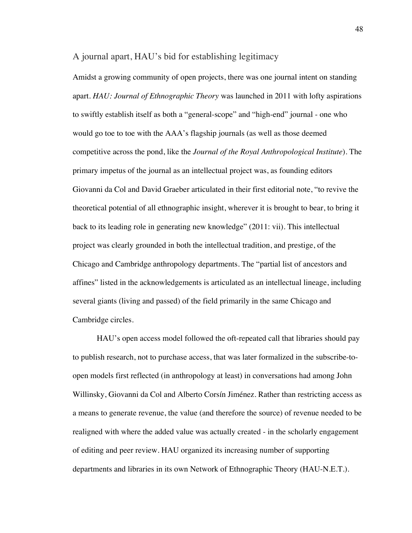### A journal apart, HAU's bid for establishing legitimacy

Amidst a growing community of open projects, there was one journal intent on standing apart. *HAU: Journal of Ethnographic Theory* was launched in 2011 with lofty aspirations to swiftly establish itself as both a "general-scope" and "high-end" journal - one who would go toe to toe with the AAA's flagship journals (as well as those deemed competitive across the pond, like the *Journal of the Royal Anthropological Institute*). The primary impetus of the journal as an intellectual project was, as founding editors Giovanni da Col and David Graeber articulated in their first editorial note, "to revive the theoretical potential of all ethnographic insight, wherever it is brought to bear, to bring it back to its leading role in generating new knowledge" (2011: vii). This intellectual project was clearly grounded in both the intellectual tradition, and prestige, of the Chicago and Cambridge anthropology departments. The "partial list of ancestors and affines" listed in the acknowledgements is articulated as an intellectual lineage, including several giants (living and passed) of the field primarily in the same Chicago and Cambridge circles.

HAU's open access model followed the oft-repeated call that libraries should pay to publish research, not to purchase access, that was later formalized in the subscribe-toopen models first reflected (in anthropology at least) in conversations had among John Willinsky, Giovanni da Col and Alberto Corsín Jiménez. Rather than restricting access as a means to generate revenue, the value (and therefore the source) of revenue needed to be realigned with where the added value was actually created - in the scholarly engagement of editing and peer review. HAU organized its increasing number of supporting departments and libraries in its own Network of Ethnographic Theory (HAU-N.E.T.).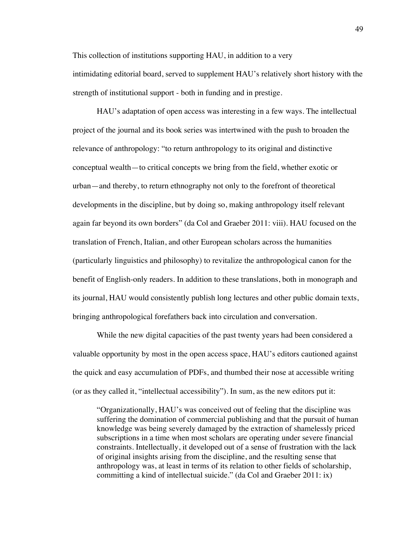This collection of institutions supporting HAU, in addition to a very intimidating editorial board, served to supplement HAU's relatively short history with the strength of institutional support - both in funding and in prestige.

HAU's adaptation of open access was interesting in a few ways. The intellectual project of the journal and its book series was intertwined with the push to broaden the relevance of anthropology: "to return anthropology to its original and distinctive conceptual wealth—to critical concepts we bring from the field, whether exotic or urban—and thereby, to return ethnography not only to the forefront of theoretical developments in the discipline, but by doing so, making anthropology itself relevant again far beyond its own borders" (da Col and Graeber 2011: viii). HAU focused on the translation of French, Italian, and other European scholars across the humanities (particularly linguistics and philosophy) to revitalize the anthropological canon for the benefit of English-only readers. In addition to these translations, both in monograph and its journal, HAU would consistently publish long lectures and other public domain texts, bringing anthropological forefathers back into circulation and conversation.

While the new digital capacities of the past twenty years had been considered a valuable opportunity by most in the open access space, HAU's editors cautioned against the quick and easy accumulation of PDFs, and thumbed their nose at accessible writing (or as they called it, "intellectual accessibility"). In sum, as the new editors put it:

"Organizationally, HAU's was conceived out of feeling that the discipline was suffering the domination of commercial publishing and that the pursuit of human knowledge was being severely damaged by the extraction of shamelessly priced subscriptions in a time when most scholars are operating under severe financial constraints. Intellectually, it developed out of a sense of frustration with the lack of original insights arising from the discipline, and the resulting sense that anthropology was, at least in terms of its relation to other fields of scholarship, committing a kind of intellectual suicide." (da Col and Graeber 2011: ix)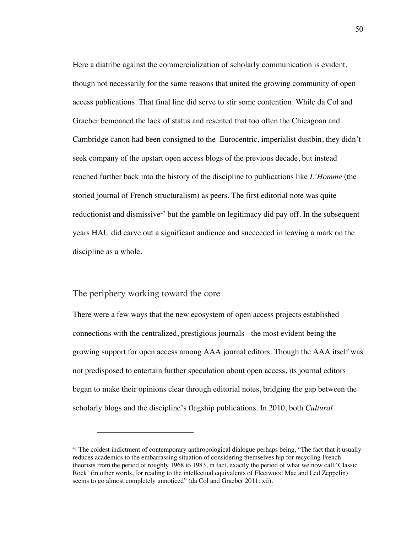Here a diatribe against the commercialization of scholarly communication is evident, though not necessarily for the same reasons that united the growing community of open access publications. That final line did serve to stir some contention. While da Col and Graeber bemoaned the lack of status and resented that too often the Chicagoan and Cambridge canon had been consigned to the Eurocentric, imperialist dustbin, they didn't seek company of the upstart open access blogs of the previous decade, but instead reached further back into the history of the discipline to publications like *L'Homme* (the storied journal of French structuralism) as peers. The first editorial note was quite reductionist and dismissive<sup>47</sup> but the gamble on legitimacy did pay off. In the subsequent years HAU did carve out a significant audience and succeeded in leaving a mark on the discipline as a whole.

### The periphery working toward the core

There were a few ways that the new ecosystem of open access projects established connections with the centralized, prestigious journals - the most evident being the growing support for open access among AAA journal editors. Though the AAA itself was not predisposed to entertain further speculation about open access, its journal editors began to make their opinions clear through editorial notes, bridging the gap between the scholarly blogs and the discipline's flagship publications. In 2010, both *Cultural* 

<sup>&</sup>lt;sup>47</sup> The coldest indictment of contemporary anthropological dialogue perhaps being, "The fact that it usually reduces academics to the embarrassing situation of considering themselves hip for recycling French theorists from the period of roughly 1968 to 1983, in fact, exactly the period of what we now call 'Classic Rock' (in other words, for reading to the intellectual equivalents of Fleetwood Mac and Led Zeppelin) seems to go almost completely unnoticed" (da Col and Graeber 2011: xii).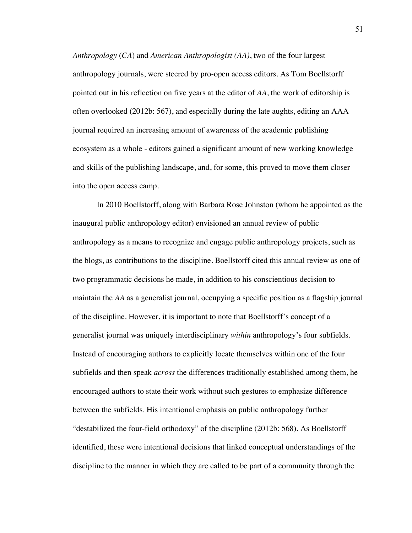*Anthropology* (*CA*) and *American Anthropologist (AA)*, two of the four largest anthropology journals, were steered by pro-open access editors. As Tom Boellstorff pointed out in his reflection on five years at the editor of *AA*, the work of editorship is often overlooked (2012b: 567), and especially during the late aughts, editing an AAA journal required an increasing amount of awareness of the academic publishing ecosystem as a whole - editors gained a significant amount of new working knowledge and skills of the publishing landscape, and, for some, this proved to move them closer into the open access camp.

In 2010 Boellstorff, along with Barbara Rose Johnston (whom he appointed as the inaugural public anthropology editor) envisioned an annual review of public anthropology as a means to recognize and engage public anthropology projects, such as the blogs, as contributions to the discipline. Boellstorff cited this annual review as one of two programmatic decisions he made, in addition to his conscientious decision to maintain the *AA* as a generalist journal, occupying a specific position as a flagship journal of the discipline. However, it is important to note that Boellstorff's concept of a generalist journal was uniquely interdisciplinary *within* anthropology's four subfields. Instead of encouraging authors to explicitly locate themselves within one of the four subfields and then speak *across* the differences traditionally established among them, he encouraged authors to state their work without such gestures to emphasize difference between the subfields. His intentional emphasis on public anthropology further "destabilized the four-field orthodoxy" of the discipline (2012b: 568). As Boellstorff identified, these were intentional decisions that linked conceptual understandings of the discipline to the manner in which they are called to be part of a community through the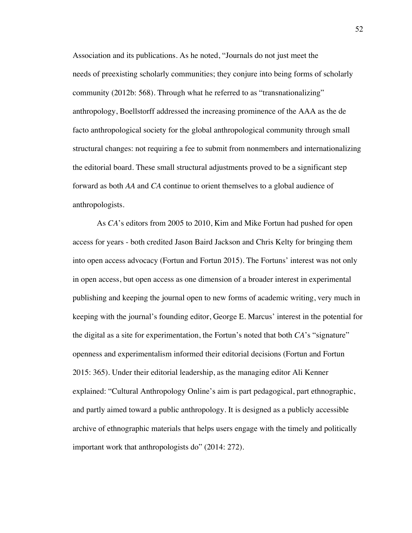Association and its publications. As he noted, "Journals do not just meet the needs of preexisting scholarly communities; they conjure into being forms of scholarly community (2012b: 568). Through what he referred to as "transnationalizing" anthropology, Boellstorff addressed the increasing prominence of the AAA as the de facto anthropological society for the global anthropological community through small structural changes: not requiring a fee to submit from nonmembers and internationalizing the editorial board. These small structural adjustments proved to be a significant step forward as both *AA* and *CA* continue to orient themselves to a global audience of anthropologists.

As *CA*'s editors from 2005 to 2010, Kim and Mike Fortun had pushed for open access for years - both credited Jason Baird Jackson and Chris Kelty for bringing them into open access advocacy (Fortun and Fortun 2015). The Fortuns' interest was not only in open access, but open access as one dimension of a broader interest in experimental publishing and keeping the journal open to new forms of academic writing, very much in keeping with the journal's founding editor, George E. Marcus' interest in the potential for the digital as a site for experimentation, the Fortun's noted that both *CA*'s "signature" openness and experimentalism informed their editorial decisions (Fortun and Fortun 2015: 365). Under their editorial leadership, as the managing editor Ali Kenner explained: "Cultural Anthropology Online's aim is part pedagogical, part ethnographic, and partly aimed toward a public anthropology. It is designed as a publicly accessible archive of ethnographic materials that helps users engage with the timely and politically important work that anthropologists do" (2014: 272).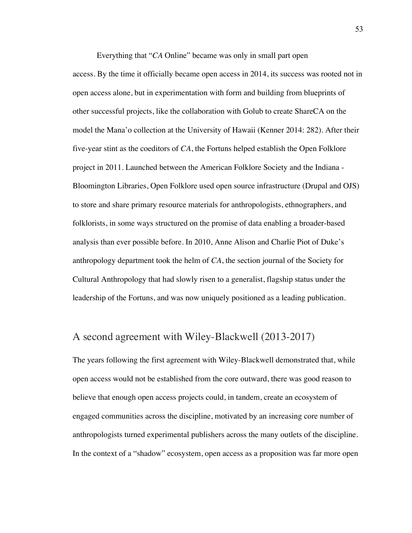Everything that "*CA* Online" became was only in small part open

access. By the time it officially became open access in 2014, its success was rooted not in open access alone, but in experimentation with form and building from blueprints of other successful projects, like the collaboration with Golub to create ShareCA on the model the Mana'o collection at the University of Hawaii (Kenner 2014: 282). After their five-year stint as the coeditors of *CA*, the Fortuns helped establish the Open Folklore project in 2011. Launched between the American Folklore Society and the Indiana - Bloomington Libraries, Open Folklore used open source infrastructure (Drupal and OJS) to store and share primary resource materials for anthropologists, ethnographers, and folklorists, in some ways structured on the promise of data enabling a broader-based analysis than ever possible before. In 2010, Anne Alison and Charlie Piot of Duke's anthropology department took the helm of *CA*, the section journal of the Society for Cultural Anthropology that had slowly risen to a generalist, flagship status under the leadership of the Fortuns, and was now uniquely positioned as a leading publication.

## A second agreement with Wiley-Blackwell (2013-2017)

The years following the first agreement with Wiley-Blackwell demonstrated that, while open access would not be established from the core outward, there was good reason to believe that enough open access projects could, in tandem, create an ecosystem of engaged communities across the discipline, motivated by an increasing core number of anthropologists turned experimental publishers across the many outlets of the discipline. In the context of a "shadow" ecosystem, open access as a proposition was far more open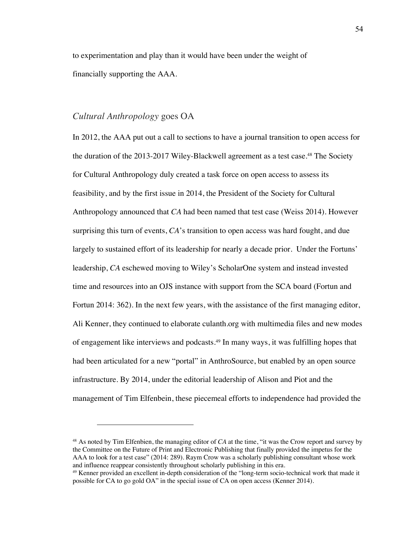to experimentation and play than it would have been under the weight of financially supporting the AAA.

## *Cultural Anthropology* goes OA

In 2012, the AAA put out a call to sections to have a journal transition to open access for the duration of the 2013-2017 Wiley-Blackwell agreement as a test case.<sup>48</sup> The Society for Cultural Anthropology duly created a task force on open access to assess its feasibility, and by the first issue in 2014, the President of the Society for Cultural Anthropology announced that *CA* had been named that test case (Weiss 2014). However surprising this turn of events, *CA*'s transition to open access was hard fought, and due largely to sustained effort of its leadership for nearly a decade prior. Under the Fortuns' leadership, *CA* eschewed moving to Wiley's ScholarOne system and instead invested time and resources into an OJS instance with support from the SCA board (Fortun and Fortun 2014: 362). In the next few years, with the assistance of the first managing editor, Ali Kenner, they continued to elaborate culanth.org with multimedia files and new modes of engagement like interviews and podcasts.49 In many ways, it was fulfilling hopes that had been articulated for a new "portal" in AnthroSource, but enabled by an open source infrastructure. By 2014, under the editorial leadership of Alison and Piot and the management of Tim Elfenbein, these piecemeal efforts to independence had provided the

<sup>48</sup> As noted by Tim Elfenbien, the managing editor of *CA* at the time, "it was the Crow report and survey by the Committee on the Future of Print and Electronic Publishing that finally provided the impetus for the AAA to look for a test case" (2014: 289). Raym Crow was a scholarly publishing consultant whose work and influence reappear consistently throughout scholarly publishing in this era.

<sup>49</sup> Kenner provided an excellent in-depth consideration of the "long-term socio-technical work that made it possible for CA to go gold OA" in the special issue of CA on open access (Kenner 2014).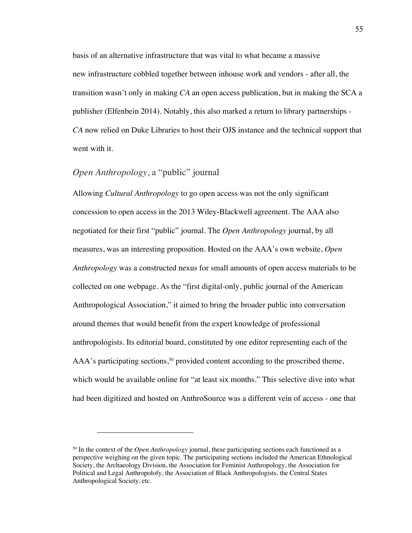basis of an alternative infrastructure that was vital to what became a massive new infrastructure cobbled together between inhouse work and vendors - after all, the transition wasn't only in making *CA* an open access publication, but in making the SCA a publisher (Elfenbein 2014). Notably, this also marked a return to library partnerships - *CA* now relied on Duke Libraries to host their OJS instance and the technical support that went with it.

### *Open Anthropology*, a "public" journal

Allowing *Cultural Anthropology* to go open access was not the only significant concession to open access in the 2013 Wiley-Blackwell agreement. The AAA also negotiated for their first "public" journal. The *Open Anthropology* journal, by all measures, was an interesting proposition. Hosted on the AAA's own website, *Open Anthropology* was a constructed nexus for small amounts of open access materials to be collected on one webpage. As the "first digital-only, public journal of the American Anthropological Association," it aimed to bring the broader public into conversation around themes that would benefit from the expert knowledge of professional anthropologists. Its editorial board, constituted by one editor representing each of the AAA's participating sections,<sup>50</sup> provided content according to the proscribed theme, which would be available online for "at least six months." This selective dive into what had been digitized and hosted on AnthroSource was a different vein of access - one that

<sup>50</sup> In the context of the *Open Anthropology* journal, these participating sections each functioned as a perspective weighing on the given topic. The participating sections included the American Ethnological Society, the Archaeology Division, the Association for Feminist Anthropology, the Association for Political and Legal Anthropolofy, the Association of Black Anthropologists, the Central States Anthropological Society, etc.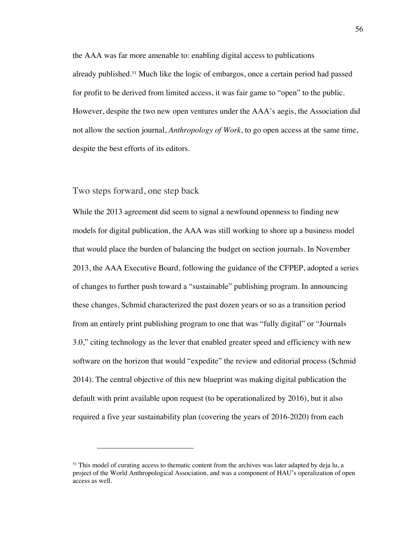the AAA was far more amenable to: enabling digital access to publications already published.<sup>51</sup> Much like the logic of embargos, once a certain period had passed for profit to be derived from limited access, it was fair game to "open" to the public. However, despite the two new open ventures under the AAA's aegis, the Association did not allow the section journal, *Anthropology of Work*, to go open access at the same time, despite the best efforts of its editors.

#### Two steps forward, one step back

While the 2013 agreement did seem to signal a newfound openness to finding new models for digital publication, the AAA was still working to shore up a business model that would place the burden of balancing the budget on section journals. In November 2013, the AAA Executive Board, following the guidance of the CFPEP, adopted a series of changes to further push toward a "sustainable" publishing program. In announcing these changes, Schmid characterized the past dozen years or so as a transition period from an entirely print publishing program to one that was "fully digital" or "Journals 3.0," citing technology as the lever that enabled greater speed and efficiency with new software on the horizon that would "expedite" the review and editorial process (Schmid 2014). The central objective of this new blueprint was making digital publication the default with print available upon request (to be operationalized by 2016), but it also required a five year sustainability plan (covering the years of 2016-2020) from each

<sup>&</sup>lt;sup>51</sup> This model of curating access to thematic content from the archives was later adapted by deja lu, a project of the World Anthropological Association, and was a component of HAU's operalization of open access as well.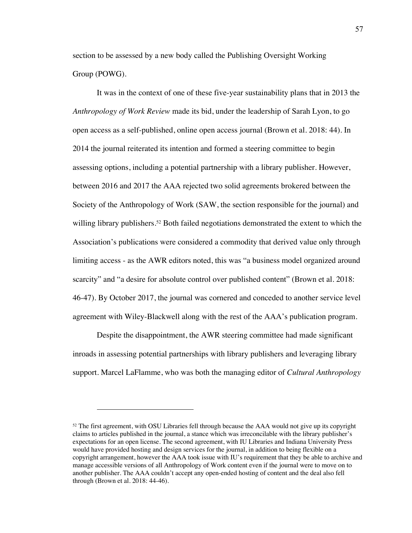section to be assessed by a new body called the Publishing Oversight Working Group (POWG).

It was in the context of one of these five-year sustainability plans that in 2013 the *Anthropology of Work Review* made its bid, under the leadership of Sarah Lyon, to go open access as a self-published, online open access journal (Brown et al. 2018: 44). In 2014 the journal reiterated its intention and formed a steering committee to begin assessing options, including a potential partnership with a library publisher. However, between 2016 and 2017 the AAA rejected two solid agreements brokered between the Society of the Anthropology of Work (SAW, the section responsible for the journal) and willing library publishers.<sup>52</sup> Both failed negotiations demonstrated the extent to which the Association's publications were considered a commodity that derived value only through limiting access - as the AWR editors noted, this was "a business model organized around scarcity" and "a desire for absolute control over published content" (Brown et al. 2018: 46-47). By October 2017, the journal was cornered and conceded to another service level agreement with Wiley-Blackwell along with the rest of the AAA's publication program.

Despite the disappointment, the AWR steering committee had made significant inroads in assessing potential partnerships with library publishers and leveraging library support. Marcel LaFlamme, who was both the managing editor of *Cultural Anthropology*

<sup>&</sup>lt;sup>52</sup> The first agreement, with OSU Libraries fell through because the AAA would not give up its copyright claims to articles published in the journal, a stance which was irreconcilable with the library publisher's expectations for an open license. The second agreement, with IU Libraries and Indiana University Press would have provided hosting and design services for the journal, in addition to being flexible on a copyright arrangement, however the AAA took issue with IU's requirement that they be able to archive and manage accessible versions of all Anthropology of Work content even if the journal were to move on to another publisher. The AAA couldn't accept any open-ended hosting of content and the deal also fell through (Brown et al. 2018: 44-46).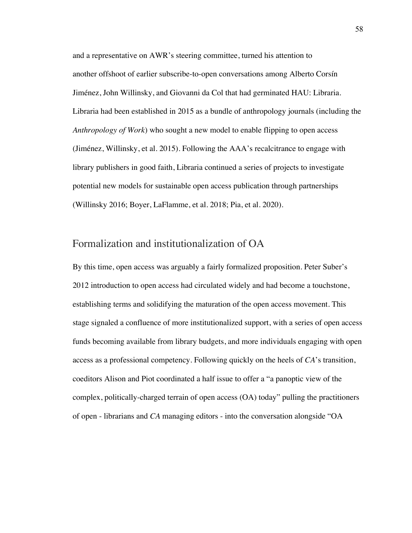and a representative on AWR's steering committee, turned his attention to another offshoot of earlier subscribe-to-open conversations among Alberto Corsín Jiménez, John Willinsky, and Giovanni da Col that had germinated HAU: Libraria. Libraria had been established in 2015 as a bundle of anthropology journals (including the *Anthropology of Work*) who sought a new model to enable flipping to open access (Jiménez, Willinsky, et al. 2015). Following the AAA's recalcitrance to engage with library publishers in good faith, Libraria continued a series of projects to investigate potential new models for sustainable open access publication through partnerships (Willinsky 2016; Boyer, LaFlamme, et al. 2018; Pia, et al. 2020).

## Formalization and institutionalization of OA

By this time, open access was arguably a fairly formalized proposition. Peter Suber's 2012 introduction to open access had circulated widely and had become a touchstone, establishing terms and solidifying the maturation of the open access movement. This stage signaled a confluence of more institutionalized support, with a series of open access funds becoming available from library budgets, and more individuals engaging with open access as a professional competency. Following quickly on the heels of *CA*'s transition, coeditors Alison and Piot coordinated a half issue to offer a "a panoptic view of the complex, politically-charged terrain of open access (OA) today" pulling the practitioners of open - librarians and *CA* managing editors - into the conversation alongside "OA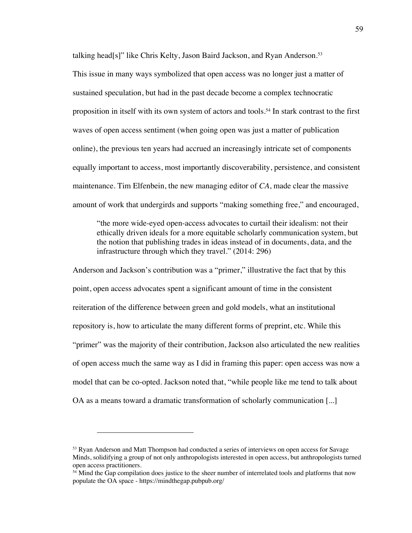talking head[s]" like Chris Kelty, Jason Baird Jackson, and Ryan Anderson.<sup>53</sup>

This issue in many ways symbolized that open access was no longer just a matter of sustained speculation, but had in the past decade become a complex technocratic proposition in itself with its own system of actors and tools.54 In stark contrast to the first waves of open access sentiment (when going open was just a matter of publication online), the previous ten years had accrued an increasingly intricate set of components equally important to access, most importantly discoverability, persistence, and consistent maintenance. Tim Elfenbein, the new managing editor of *CA*, made clear the massive amount of work that undergirds and supports "making something free," and encouraged,

"the more wide-eyed open-access advocates to curtail their idealism: not their ethically driven ideals for a more equitable scholarly communication system, but the notion that publishing trades in ideas instead of in documents, data, and the infrastructure through which they travel." (2014: 296)

Anderson and Jackson's contribution was a "primer," illustrative the fact that by this point, open access advocates spent a significant amount of time in the consistent reiteration of the difference between green and gold models, what an institutional repository is, how to articulate the many different forms of preprint, etc. While this "primer" was the majority of their contribution, Jackson also articulated the new realities of open access much the same way as I did in framing this paper: open access was now a model that can be co-opted. Jackson noted that, "while people like me tend to talk about OA as a means toward a dramatic transformation of scholarly communication [...]

<sup>&</sup>lt;sup>53</sup> Ryan Anderson and Matt Thompson had conducted a series of interviews on open access for Savage Minds, solidifying a group of not only anthropologists interested in open access, but anthropologists turned open access practitioners.

<sup>&</sup>lt;sup>54</sup> Mind the Gap compilation does justice to the sheer number of interrelated tools and platforms that now populate the OA space - https://mindthegap.pubpub.org/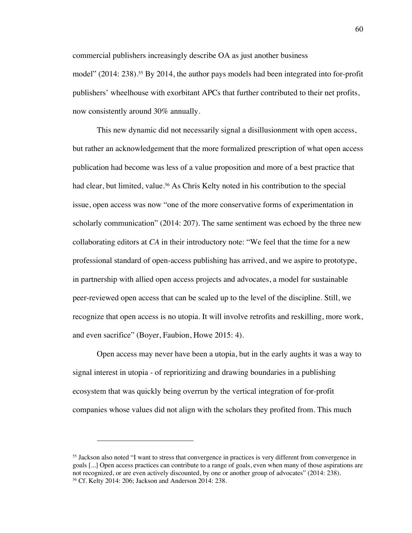commercial publishers increasingly describe OA as just another business model" (2014: 238).<sup>55</sup> By 2014, the author pays models had been integrated into for-profit publishers' wheelhouse with exorbitant APCs that further contributed to their net profits, now consistently around 30% annually.

This new dynamic did not necessarily signal a disillusionment with open access, but rather an acknowledgement that the more formalized prescription of what open access publication had become was less of a value proposition and more of a best practice that had clear, but limited, value.<sup>56</sup> As Chris Kelty noted in his contribution to the special issue, open access was now "one of the more conservative forms of experimentation in scholarly communication" (2014: 207). The same sentiment was echoed by the three new collaborating editors at *CA* in their introductory note: "We feel that the time for a new professional standard of open-access publishing has arrived, and we aspire to prototype, in partnership with allied open access projects and advocates, a model for sustainable peer-reviewed open access that can be scaled up to the level of the discipline. Still, we recognize that open access is no utopia. It will involve retrofits and reskilling, more work, and even sacrifice" (Boyer, Faubion, Howe 2015: 4).

Open access may never have been a utopia, but in the early aughts it was a way to signal interest in utopia - of reprioritizing and drawing boundaries in a publishing ecosystem that was quickly being overrun by the vertical integration of for-profit companies whose values did not align with the scholars they profited from. This much

<sup>55</sup> Jackson also noted "I want to stress that convergence in practices is very different from convergence in goals [...] Open access practices can contribute to a range of goals, even when many of those aspirations are not recognized, or are even actively discounted, by one or another group of advocates" (2014: 238). <sup>56</sup> Cf. Kelty 2014: 206; Jackson and Anderson 2014: 238.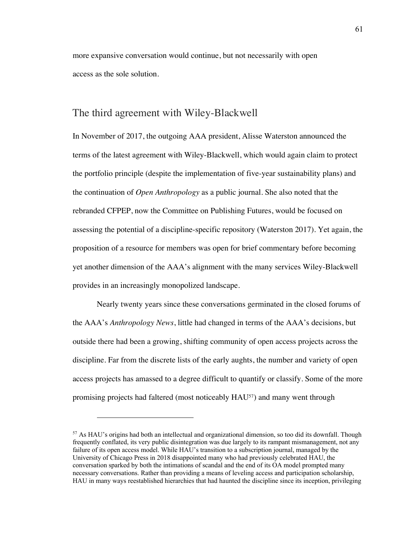more expansive conversation would continue, but not necessarily with open access as the sole solution.

## The third agreement with Wiley-Blackwell

In November of 2017, the outgoing AAA president, Alisse Waterston announced the terms of the latest agreement with Wiley-Blackwell, which would again claim to protect the portfolio principle (despite the implementation of five-year sustainability plans) and the continuation of *Open Anthropology* as a public journal. She also noted that the rebranded CFPEP, now the Committee on Publishing Futures, would be focused on assessing the potential of a discipline-specific repository (Waterston 2017). Yet again, the proposition of a resource for members was open for brief commentary before becoming yet another dimension of the AAA's alignment with the many services Wiley-Blackwell provides in an increasingly monopolized landscape.

Nearly twenty years since these conversations germinated in the closed forums of the AAA's *Anthropology News*, little had changed in terms of the AAA's decisions, but outside there had been a growing, shifting community of open access projects across the discipline. Far from the discrete lists of the early aughts, the number and variety of open access projects has amassed to a degree difficult to quantify or classify. Some of the more promising projects had faltered (most noticeably HAU57) and many went through

<sup>57</sup> As HAU's origins had both an intellectual and organizational dimension, so too did its downfall. Though frequently conflated, its very public disintegration was due largely to its rampant mismanagement, not any failure of its open access model. While HAU's transition to a subscription journal, managed by the University of Chicago Press in 2018 disappointed many who had previously celebrated HAU, the conversation sparked by both the intimations of scandal and the end of its OA model prompted many necessary conversations. Rather than providing a means of leveling access and participation scholarship, HAU in many ways reestablished hierarchies that had haunted the discipline since its inception, privileging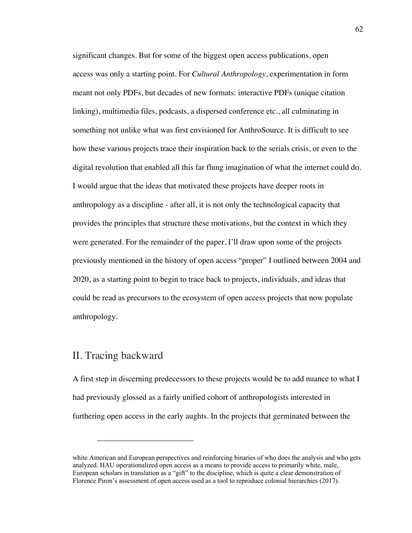significant changes. But for some of the biggest open access publications, open access was only a starting point. For *Cultural Anthropology*, experimentation in form meant not only PDFs, but decades of new formats: interactive PDFs (unique citation linking), multimedia files, podcasts, a dispersed conference etc., all culminating in something not unlike what was first envisioned for AnthroSource. It is difficult to see how these various projects trace their inspiration back to the serials crisis, or even to the digital revolution that enabled all this far flung imagination of what the internet could do. I would argue that the ideas that motivated these projects have deeper roots in anthropology as a discipline - after all, it is not only the technological capacity that provides the principles that structure these motivations, but the context in which they were generated. For the remainder of the paper, I'll draw upon some of the projects previously mentioned in the history of open access "proper" I outlined between 2004 and 2020, as a starting point to begin to trace back to projects, individuals, and ideas that could be read as precursors to the ecosystem of open access projects that now populate anthropology.

## II. Tracing backward

A first step in discerning predecessors to these projects would be to add nuance to what I had previously glossed as a fairly unified cohort of anthropologists interested in furthering open access in the early aughts. In the projects that germinated between the

white American and European perspectives and reinforcing binaries of who does the analysis and who gets analyzed. HAU operationalized open access as a means to provide access to primarily white, male, European scholars in translation as a "gift" to the discipline, which is quite a clear demonstration of Florence Piron's assessment of open access used as a tool to reproduce colonial hierarchies (2017).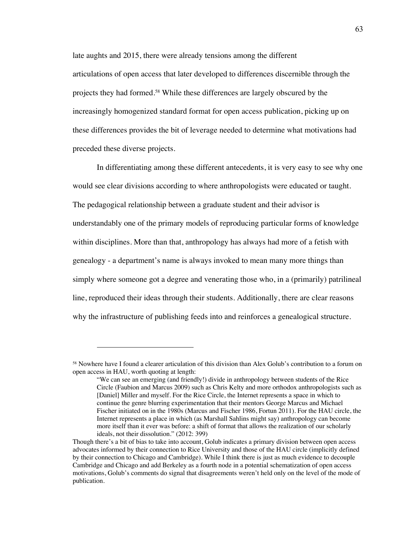late aughts and 2015, there were already tensions among the different articulations of open access that later developed to differences discernible through the projects they had formed.58 While these differences are largely obscured by the increasingly homogenized standard format for open access publication, picking up on these differences provides the bit of leverage needed to determine what motivations had preceded these diverse projects.

In differentiating among these different antecedents, it is very easy to see why one would see clear divisions according to where anthropologists were educated or taught. The pedagogical relationship between a graduate student and their advisor is understandably one of the primary models of reproducing particular forms of knowledge within disciplines. More than that, anthropology has always had more of a fetish with genealogy - a department's name is always invoked to mean many more things than simply where someone got a degree and venerating those who, in a (primarily) patrilineal line, reproduced their ideas through their students. Additionally, there are clear reasons why the infrastructure of publishing feeds into and reinforces a genealogical structure.

<sup>58</sup> Nowhere have I found a clearer articulation of this division than Alex Golub's contribution to a forum on open access in HAU, worth quoting at length:

<sup>&</sup>quot;We can see an emerging (and friendly!) divide in anthropology between students of the Rice Circle (Faubion and Marcus 2009) such as Chris Kelty and more orthodox anthropologists such as [Daniel] Miller and myself. For the Rice Circle, the Internet represents a space in which to continue the genre blurring experimentation that their mentors George Marcus and Michael Fischer initiated on in the 1980s (Marcus and Fischer 1986, Fortun 2011). For the HAU circle, the Internet represents a place in which (as Marshall Sahlins might say) anthropology can become more itself than it ever was before: a shift of format that allows the realization of our scholarly ideals, not their dissolution." (2012: 399)

Though there's a bit of bias to take into account, Golub indicates a primary division between open access advocates informed by their connection to Rice University and those of the HAU circle (implicitly defined by their connection to Chicago and Cambridge). While I think there is just as much evidence to decouple Cambridge and Chicago and add Berkeley as a fourth node in a potential schematization of open access motivations, Golub's comments do signal that disagreements weren't held only on the level of the mode of publication.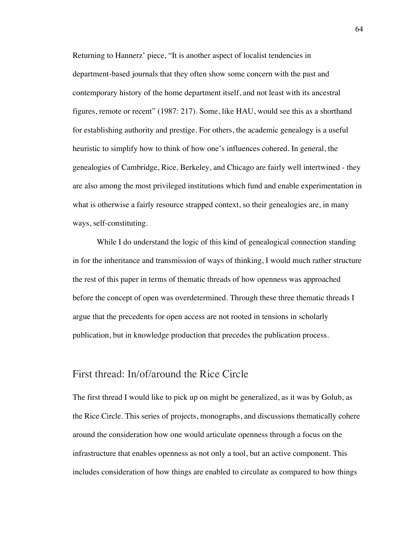Returning to Hannerz' piece, "It is another aspect of localist tendencies in department-based journals that they often show some concern with the past and contemporary history of the home department itself, and not least with its ancestral figures, remote or recent" (1987: 217). Some, like HAU, would see this as a shorthand for establishing authority and prestige. For others, the academic genealogy is a useful heuristic to simplify how to think of how one's influences cohered. In general, the genealogies of Cambridge, Rice, Berkeley, and Chicago are fairly well intertwined - they are also among the most privileged institutions which fund and enable experimentation in what is otherwise a fairly resource strapped context, so their genealogies are, in many ways, self-constituting.

While I do understand the logic of this kind of genealogical connection standing in for the inheritance and transmission of ways of thinking, I would much rather structure the rest of this paper in terms of thematic threads of how openness was approached before the concept of open was overdetermined. Through these three thematic threads I argue that the precedents for open access are not rooted in tensions in scholarly publication, but in knowledge production that precedes the publication process.

## First thread: In/of/around the Rice Circle

The first thread I would like to pick up on might be generalized, as it was by Golub, as the Rice Circle. This series of projects, monographs, and discussions thematically cohere around the consideration how one would articulate openness through a focus on the infrastructure that enables openness as not only a tool, but an active component. This includes consideration of how things are enabled to circulate as compared to how things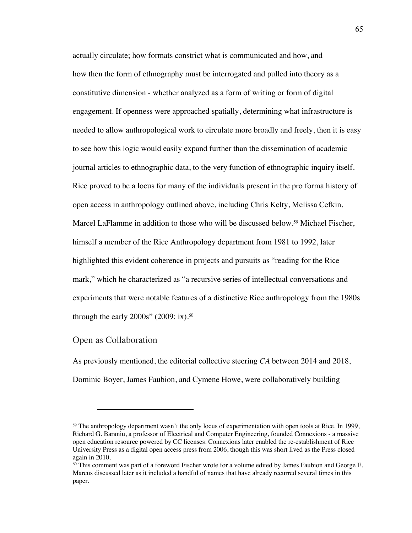actually circulate; how formats constrict what is communicated and how, and how then the form of ethnography must be interrogated and pulled into theory as a constitutive dimension - whether analyzed as a form of writing or form of digital engagement. If openness were approached spatially, determining what infrastructure is needed to allow anthropological work to circulate more broadly and freely, then it is easy to see how this logic would easily expand further than the dissemination of academic journal articles to ethnographic data, to the very function of ethnographic inquiry itself. Rice proved to be a locus for many of the individuals present in the pro forma history of open access in anthropology outlined above, including Chris Kelty, Melissa Cefkin, Marcel LaFlamme in addition to those who will be discussed below.59 Michael Fischer, himself a member of the Rice Anthropology department from 1981 to 1992, later highlighted this evident coherence in projects and pursuits as "reading for the Rice mark," which he characterized as "a recursive series of intellectual conversations and experiments that were notable features of a distinctive Rice anthropology from the 1980s through the early  $2000s$ " (2009: ix).<sup>60</sup>

#### Open as Collaboration

As previously mentioned, the editorial collective steering *CA* between 2014 and 2018, Dominic Boyer, James Faubion, and Cymene Howe, were collaboratively building

<sup>&</sup>lt;sup>59</sup> The anthropology department wasn't the only locus of experimentation with open tools at Rice. In 1999, Richard G. Baraniu, a professor of Electrical and Computer Engineering, founded Connexions - a massive open education resource powered by CC licenses. Connexions later enabled the re-establishment of Rice University Press as a digital open access press from 2006, though this was short lived as the Press closed again in 2010.

<sup>60</sup> This comment was part of a foreword Fischer wrote for a volume edited by James Faubion and George E. Marcus discussed later as it included a handful of names that have already recurred several times in this paper.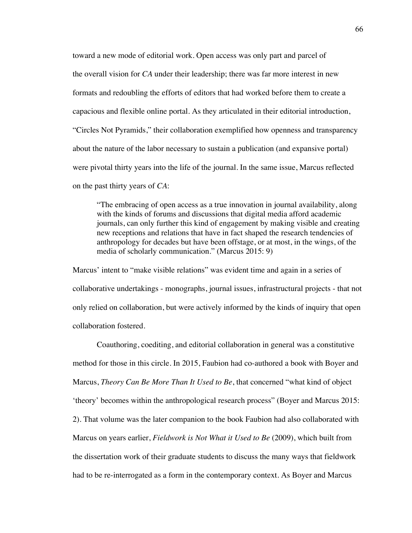toward a new mode of editorial work. Open access was only part and parcel of the overall vision for *CA* under their leadership; there was far more interest in new formats and redoubling the efforts of editors that had worked before them to create a capacious and flexible online portal. As they articulated in their editorial introduction, "Circles Not Pyramids," their collaboration exemplified how openness and transparency about the nature of the labor necessary to sustain a publication (and expansive portal) were pivotal thirty years into the life of the journal. In the same issue, Marcus reflected on the past thirty years of *CA*:

"The embracing of open access as a true innovation in journal availability, along with the kinds of forums and discussions that digital media afford academic journals, can only further this kind of engagement by making visible and creating new receptions and relations that have in fact shaped the research tendencies of anthropology for decades but have been offstage, or at most, in the wings, of the media of scholarly communication." (Marcus 2015: 9)

Marcus' intent to "make visible relations" was evident time and again in a series of collaborative undertakings - monographs, journal issues, infrastructural projects - that not only relied on collaboration, but were actively informed by the kinds of inquiry that open collaboration fostered.

Coauthoring, coediting, and editorial collaboration in general was a constitutive method for those in this circle. In 2015, Faubion had co-authored a book with Boyer and Marcus, *Theory Can Be More Than It Used to Be*, that concerned "what kind of object 'theory' becomes within the anthropological research process" (Boyer and Marcus 2015: 2). That volume was the later companion to the book Faubion had also collaborated with Marcus on years earlier, *Fieldwork is Not What it Used to Be* (2009), which built from the dissertation work of their graduate students to discuss the many ways that fieldwork had to be re-interrogated as a form in the contemporary context. As Boyer and Marcus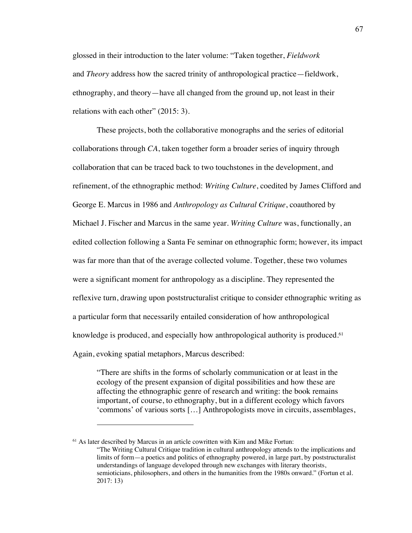glossed in their introduction to the later volume: "Taken together, *Fieldwork* and *Theory* address how the sacred trinity of anthropological practice—fieldwork, ethnography, and theory—have all changed from the ground up, not least in their relations with each other" (2015: 3).

These projects, both the collaborative monographs and the series of editorial collaborations through *CA*, taken together form a broader series of inquiry through collaboration that can be traced back to two touchstones in the development, and refinement, of the ethnographic method: *Writing Culture*, coedited by James Clifford and George E. Marcus in 1986 and *Anthropology as Cultural Critique*, coauthored by Michael J. Fischer and Marcus in the same year. *Writing Culture* was, functionally, an edited collection following a Santa Fe seminar on ethnographic form; however, its impact was far more than that of the average collected volume. Together, these two volumes were a significant moment for anthropology as a discipline. They represented the reflexive turn, drawing upon poststructuralist critique to consider ethnographic writing as a particular form that necessarily entailed consideration of how anthropological knowledge is produced, and especially how anthropological authority is produced.<sup>61</sup> Again, evoking spatial metaphors, Marcus described:

"There are shifts in the forms of scholarly communication or at least in the ecology of the present expansion of digital possibilities and how these are affecting the ethnographic genre of research and writing: the book remains important, of course, to ethnography, but in a different ecology which favors 'commons' of various sorts […] Anthropologists move in circuits, assemblages,

<sup>61</sup> As later described by Marcus in an article cowritten with Kim and Mike Fortun: "The Writing Cultural Critique tradition in cultural anthropology attends to the implications and limits of form—a poetics and politics of ethnography powered, in large part, by poststructuralist understandings of language developed through new exchanges with literary theorists, semioticians, philosophers, and others in the humanities from the 1980s onward." (Fortun et al. 2017: 13)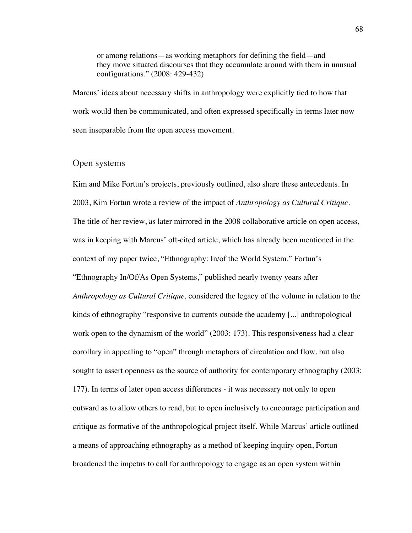or among relations—as working metaphors for defining the field—and they move situated discourses that they accumulate around with them in unusual configurations." (2008: 429-432)

Marcus' ideas about necessary shifts in anthropology were explicitly tied to how that work would then be communicated, and often expressed specifically in terms later now seen inseparable from the open access movement.

#### Open systems

Kim and Mike Fortun's projects, previously outlined, also share these antecedents. In 2003, Kim Fortun wrote a review of the impact of *Anthropology as Cultural Critique*. The title of her review, as later mirrored in the 2008 collaborative article on open access, was in keeping with Marcus' oft-cited article, which has already been mentioned in the context of my paper twice, "Ethnography: In/of the World System." Fortun's "Ethnography In/Of/As Open Systems," published nearly twenty years after *Anthropology as Cultural Critique,* considered the legacy of the volume in relation to the kinds of ethnography "responsive to currents outside the academy [...] anthropological work open to the dynamism of the world" (2003: 173). This responsiveness had a clear corollary in appealing to "open" through metaphors of circulation and flow, but also sought to assert openness as the source of authority for contemporary ethnography (2003: 177). In terms of later open access differences - it was necessary not only to open outward as to allow others to read, but to open inclusively to encourage participation and critique as formative of the anthropological project itself. While Marcus' article outlined a means of approaching ethnography as a method of keeping inquiry open, Fortun broadened the impetus to call for anthropology to engage as an open system within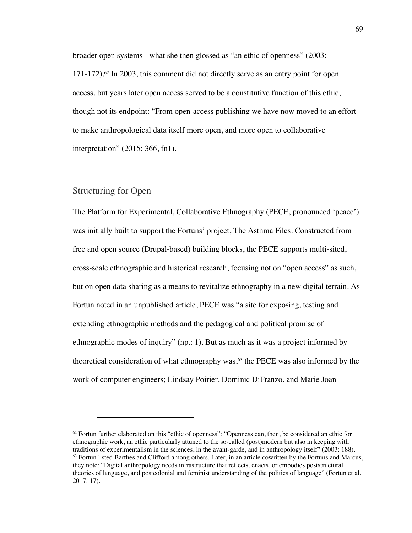broader open systems - what she then glossed as "an ethic of openness" (2003: 171-172).62 In 2003, this comment did not directly serve as an entry point for open access, but years later open access served to be a constitutive function of this ethic, though not its endpoint: "From open-access publishing we have now moved to an effort to make anthropological data itself more open, and more open to collaborative interpretation" (2015: 366, fn1).

### Structuring for Open

The Platform for Experimental, Collaborative Ethnography (PECE, pronounced 'peace') was initially built to support the Fortuns' project, The Asthma Files. Constructed from free and open source (Drupal-based) building blocks, the PECE supports multi-sited, cross-scale ethnographic and historical research, focusing not on "open access" as such, but on open data sharing as a means to revitalize ethnography in a new digital terrain. As Fortun noted in an unpublished article, PECE was "a site for exposing, testing and extending ethnographic methods and the pedagogical and political promise of ethnographic modes of inquiry" (np.: 1). But as much as it was a project informed by theoretical consideration of what ethnography was, $63$  the PECE was also informed by the work of computer engineers; Lindsay Poirier, Dominic DiFranzo, and Marie Joan

 $62$  Fortun further elaborated on this "ethic of openness": "Openness can, then, be considered an ethic for ethnographic work, an ethic particularly attuned to the so-called (post)modern but also in keeping with traditions of experimentalism in the sciences, in the avant-garde, and in anthropology itself" (2003: 188). <sup>63</sup> Fortun listed Barthes and Clifford among others. Later, in an article cowritten by the Fortuns and Marcus, they note: "Digital anthropology needs infrastructure that reflects, enacts, or embodies poststructural theories of language, and postcolonial and feminist understanding of the politics of language" (Fortun et al. 2017: 17).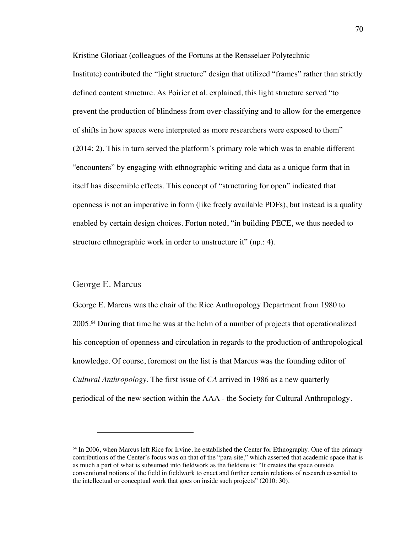Kristine Gloriaat (colleagues of the Fortuns at the Rensselaer Polytechnic Institute) contributed the "light structure" design that utilized "frames" rather than strictly defined content structure. As Poirier et al. explained, this light structure served "to prevent the production of blindness from over-classifying and to allow for the emergence of shifts in how spaces were interpreted as more researchers were exposed to them" (2014: 2). This in turn served the platform's primary role which was to enable different "encounters" by engaging with ethnographic writing and data as a unique form that in itself has discernible effects. This concept of "structuring for open" indicated that openness is not an imperative in form (like freely available PDFs), but instead is a quality enabled by certain design choices. Fortun noted, "in building PECE, we thus needed to structure ethnographic work in order to unstructure it" (np.: 4).

#### George E. Marcus

George E. Marcus was the chair of the Rice Anthropology Department from 1980 to 2005. <sup>64</sup> During that time he was at the helm of a number of projects that operationalized his conception of openness and circulation in regards to the production of anthropological knowledge. Of course, foremost on the list is that Marcus was the founding editor of *Cultural Anthropology.* The first issue of *CA* arrived in 1986 as a new quarterly periodical of the new section within the AAA - the Society for Cultural Anthropology.

<sup>&</sup>lt;sup>64</sup> In 2006, when Marcus left Rice for Irvine, he established the Center for Ethnography. One of the primary contributions of the Center's focus was on that of the "para-site," which asserted that academic space that is as much a part of what is subsumed into fieldwork as the fieldsite is: "It creates the space outside conventional notions of the field in fieldwork to enact and further certain relations of research essential to the intellectual or conceptual work that goes on inside such projects" (2010: 30).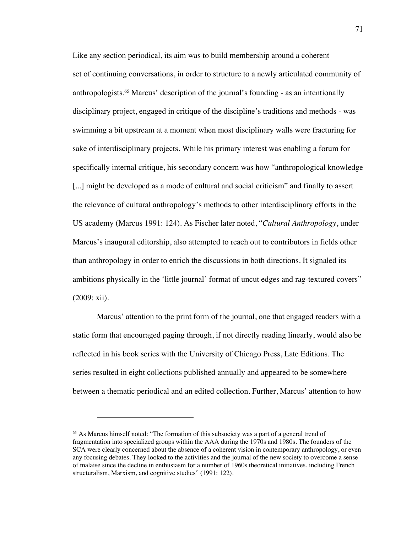Like any section periodical, its aim was to build membership around a coherent set of continuing conversations, in order to structure to a newly articulated community of anthropologists.65 Marcus' description of the journal's founding - as an intentionally disciplinary project, engaged in critique of the discipline's traditions and methods - was swimming a bit upstream at a moment when most disciplinary walls were fracturing for sake of interdisciplinary projects. While his primary interest was enabling a forum for specifically internal critique, his secondary concern was how "anthropological knowledge [...] might be developed as a mode of cultural and social criticism" and finally to assert the relevance of cultural anthropology's methods to other interdisciplinary efforts in the US academy (Marcus 1991: 124). As Fischer later noted, "*Cultural Anthropology*, under Marcus's inaugural editorship, also attempted to reach out to contributors in fields other than anthropology in order to enrich the discussions in both directions. It signaled its ambitions physically in the 'little journal' format of uncut edges and rag-textured covers" (2009: xii).

Marcus' attention to the print form of the journal, one that engaged readers with a static form that encouraged paging through, if not directly reading linearly, would also be reflected in his book series with the University of Chicago Press, Late Editions. The series resulted in eight collections published annually and appeared to be somewhere between a thematic periodical and an edited collection. Further, Marcus' attention to how

<sup>65</sup> As Marcus himself noted: "The formation of this subsociety was a part of a general trend of fragmentation into specialized groups within the AAA during the 1970s and 1980s. The founders of the SCA were clearly concerned about the absence of a coherent vision in contemporary anthropology, or even any focusing debates. They looked to the activities and the journal of the new society to overcome a sense of malaise since the decline in enthusiasm for a number of 1960s theoretical initiatives, including French structuralism, Marxism, and cognitive studies" (1991: 122).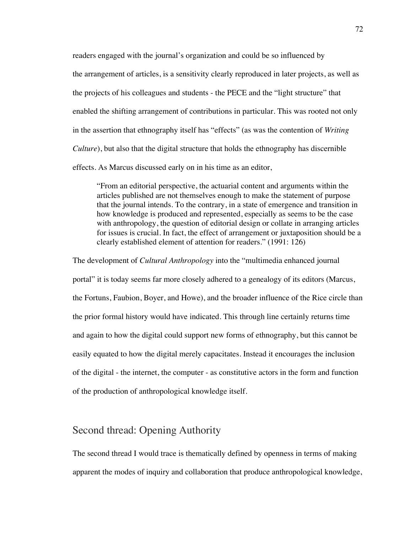readers engaged with the journal's organization and could be so influenced by the arrangement of articles, is a sensitivity clearly reproduced in later projects, as well as the projects of his colleagues and students - the PECE and the "light structure" that enabled the shifting arrangement of contributions in particular. This was rooted not only in the assertion that ethnography itself has "effects" (as was the contention of *Writing Culture*), but also that the digital structure that holds the ethnography has discernible effects. As Marcus discussed early on in his time as an editor,

"From an editorial perspective, the actuarial content and arguments within the articles published are not themselves enough to make the statement of purpose that the journal intends. To the contrary, in a state of emergence and transition in how knowledge is produced and represented, especially as seems to be the case with anthropology, the question of editorial design or collate in arranging articles for issues is crucial. In fact, the effect of arrangement or juxtaposition should be a clearly established element of attention for readers." (1991: 126)

The development of *Cultural Anthropology* into the "multimedia enhanced journal portal" it is today seems far more closely adhered to a genealogy of its editors (Marcus, the Fortuns, Faubion, Boyer, and Howe), and the broader influence of the Rice circle than the prior formal history would have indicated. This through line certainly returns time and again to how the digital could support new forms of ethnography, but this cannot be easily equated to how the digital merely capacitates. Instead it encourages the inclusion of the digital - the internet, the computer - as constitutive actors in the form and function of the production of anthropological knowledge itself.

# Second thread: Opening Authority

The second thread I would trace is thematically defined by openness in terms of making apparent the modes of inquiry and collaboration that produce anthropological knowledge,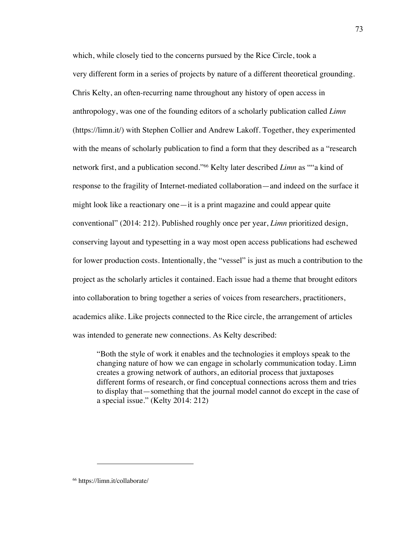which, while closely tied to the concerns pursued by the Rice Circle, took a very different form in a series of projects by nature of a different theoretical grounding. Chris Kelty, an often-recurring name throughout any history of open access in anthropology, was one of the founding editors of a scholarly publication called *Limn* (https://limn.it/) with Stephen Collier and Andrew Lakoff. Together, they experimented with the means of scholarly publication to find a form that they described as a "research network first, and a publication second."66 Kelty later described *Limn* as ""a kind of response to the fragility of Internet-mediated collaboration—and indeed on the surface it might look like a reactionary one—it is a print magazine and could appear quite conventional" (2014: 212). Published roughly once per year, *Limn* prioritized design, conserving layout and typesetting in a way most open access publications had eschewed for lower production costs. Intentionally, the "vessel" is just as much a contribution to the project as the scholarly articles it contained. Each issue had a theme that brought editors into collaboration to bring together a series of voices from researchers, practitioners, academics alike. Like projects connected to the Rice circle, the arrangement of articles was intended to generate new connections. As Kelty described:

"Both the style of work it enables and the technologies it employs speak to the changing nature of how we can engage in scholarly communication today. Limn creates a growing network of authors, an editorial process that juxtaposes different forms of research, or find conceptual connections across them and tries to display that—something that the journal model cannot do except in the case of a special issue." (Kelty 2014: 212)

<sup>66</sup> https://limn.it/collaborate/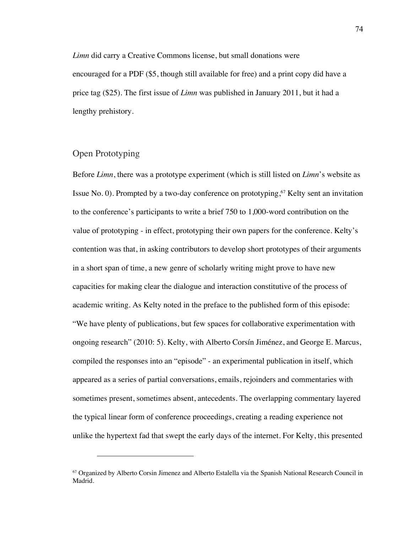*Limn* did carry a Creative Commons license, but small donations were encouraged for a PDF (\$5, though still available for free) and a print copy did have a price tag (\$25). The first issue of *Limn* was published in January 2011, but it had a lengthy prehistory.

### Open Prototyping

Before *Limn*, there was a prototype experiment (which is still listed on *Limn*'s website as Issue No. 0). Prompted by a two-day conference on prototyping,<sup> $67$ </sup> Kelty sent an invitation to the conference's participants to write a brief 750 to 1,000-word contribution on the value of prototyping - in effect, prototyping their own papers for the conference. Kelty's contention was that, in asking contributors to develop short prototypes of their arguments in a short span of time, a new genre of scholarly writing might prove to have new capacities for making clear the dialogue and interaction constitutive of the process of academic writing. As Kelty noted in the preface to the published form of this episode: "We have plenty of publications, but few spaces for collaborative experimentation with ongoing research" (2010: 5). Kelty, with Alberto Corsín Jiménez, and George E. Marcus, compiled the responses into an "episode" - an experimental publication in itself, which appeared as a series of partial conversations, emails, rejoinders and commentaries with sometimes present, sometimes absent, antecedents. The overlapping commentary layered the typical linear form of conference proceedings, creating a reading experience not unlike the hypertext fad that swept the early days of the internet. For Kelty, this presented

<sup>67</sup> Organized by Alberto Corsin Jimenez and Alberto Estalella via the Spanish National Research Council in Madrid.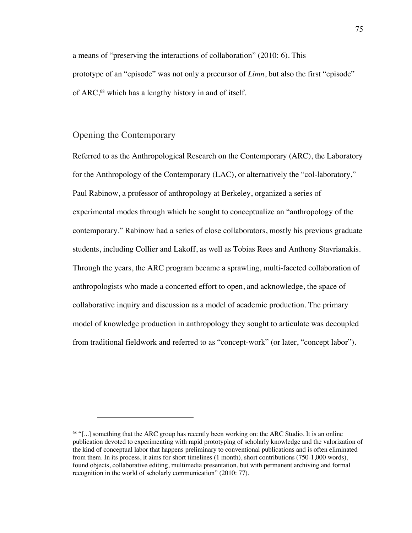a means of "preserving the interactions of collaboration" (2010: 6). This prototype of an "episode" was not only a precursor of *Limn*, but also the first "episode" of ARC,68 which has a lengthy history in and of itself.

#### Opening the Contemporary

Referred to as the Anthropological Research on the Contemporary (ARC), the Laboratory for the Anthropology of the Contemporary (LAC), or alternatively the "col-laboratory," Paul Rabinow, a professor of anthropology at Berkeley, organized a series of experimental modes through which he sought to conceptualize an "anthropology of the contemporary." Rabinow had a series of close collaborators, mostly his previous graduate students, including Collier and Lakoff, as well as Tobias Rees and Anthony Stavrianakis. Through the years, the ARC program became a sprawling, multi-faceted collaboration of anthropologists who made a concerted effort to open, and acknowledge, the space of collaborative inquiry and discussion as a model of academic production. The primary model of knowledge production in anthropology they sought to articulate was decoupled from traditional fieldwork and referred to as "concept-work" (or later, "concept labor").

<sup>68</sup> "[...] something that the ARC group has recently been working on: the ARC Studio. It is an online publication devoted to experimenting with rapid prototyping of scholarly knowledge and the valorization of the kind of conceptual labor that happens preliminary to conventional publications and is often eliminated from them. In its process, it aims for short timelines (1 month), short contributions (750-1,000 words), found objects, collaborative editing, multimedia presentation, but with permanent archiving and formal recognition in the world of scholarly communication" (2010: 77).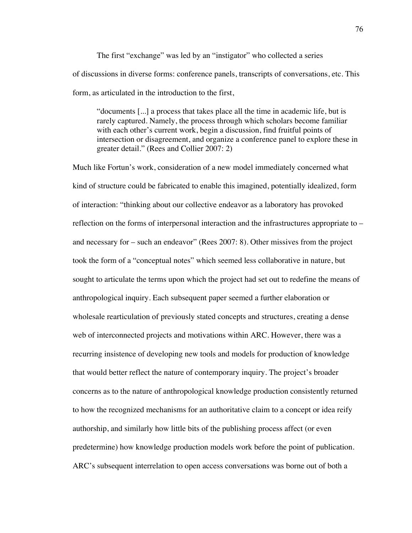The first "exchange" was led by an "instigator" who collected a series of discussions in diverse forms: conference panels, transcripts of conversations, etc. This form, as articulated in the introduction to the first,

"documents [...] a process that takes place all the time in academic life, but is rarely captured. Namely, the process through which scholars become familiar with each other's current work, begin a discussion, find fruitful points of intersection or disagreement, and organize a conference panel to explore these in greater detail." (Rees and Collier 2007: 2)

Much like Fortun's work, consideration of a new model immediately concerned what kind of structure could be fabricated to enable this imagined, potentially idealized, form of interaction: "thinking about our collective endeavor as a laboratory has provoked reflection on the forms of interpersonal interaction and the infrastructures appropriate to – and necessary for – such an endeavor" (Rees 2007: 8). Other missives from the project took the form of a "conceptual notes" which seemed less collaborative in nature, but sought to articulate the terms upon which the project had set out to redefine the means of anthropological inquiry. Each subsequent paper seemed a further elaboration or wholesale rearticulation of previously stated concepts and structures, creating a dense web of interconnected projects and motivations within ARC. However, there was a recurring insistence of developing new tools and models for production of knowledge that would better reflect the nature of contemporary inquiry. The project's broader concerns as to the nature of anthropological knowledge production consistently returned to how the recognized mechanisms for an authoritative claim to a concept or idea reify authorship, and similarly how little bits of the publishing process affect (or even predetermine) how knowledge production models work before the point of publication. ARC's subsequent interrelation to open access conversations was borne out of both a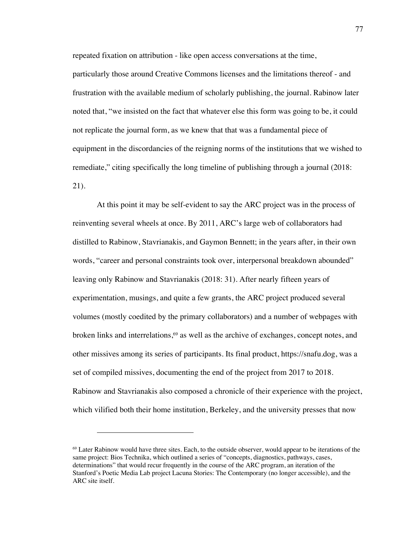repeated fixation on attribution - like open access conversations at the time, particularly those around Creative Commons licenses and the limitations thereof - and frustration with the available medium of scholarly publishing, the journal. Rabinow later noted that, "we insisted on the fact that whatever else this form was going to be, it could not replicate the journal form, as we knew that that was a fundamental piece of equipment in the discordancies of the reigning norms of the institutions that we wished to remediate," citing specifically the long timeline of publishing through a journal (2018: 21).

At this point it may be self-evident to say the ARC project was in the process of reinventing several wheels at once. By 2011, ARC's large web of collaborators had distilled to Rabinow, Stavrianakis, and Gaymon Bennett; in the years after, in their own words, "career and personal constraints took over, interpersonal breakdown abounded" leaving only Rabinow and Stavrianakis (2018: 31). After nearly fifteen years of experimentation, musings, and quite a few grants, the ARC project produced several volumes (mostly coedited by the primary collaborators) and a number of webpages with broken links and interrelations,<sup>69</sup> as well as the archive of exchanges, concept notes, and other missives among its series of participants. Its final product, https://snafu.dog, was a set of compiled missives, documenting the end of the project from 2017 to 2018. Rabinow and Stavrianakis also composed a chronicle of their experience with the project, which vilified both their home institution, Berkeley, and the university presses that now

<sup>69</sup> Later Rabinow would have three sites. Each, to the outside observer, would appear to be iterations of the same project: Bios Technika, which outlined a series of "concepts, diagnostics, pathways, cases, determinations" that would recur frequently in the course of the ARC program, an iteration of the Stanford's Poetic Media Lab project Lacuna Stories: The Contemporary (no longer accessible), and the ARC site itself.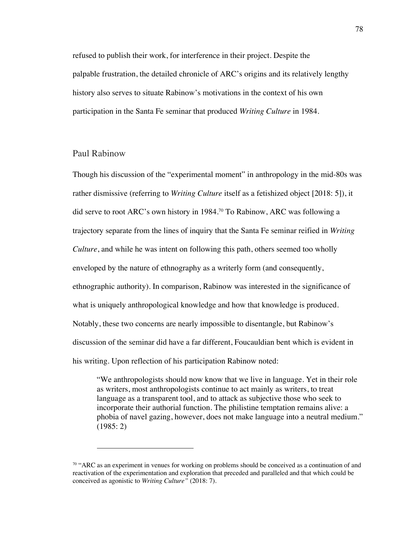refused to publish their work, for interference in their project. Despite the palpable frustration, the detailed chronicle of ARC's origins and its relatively lengthy history also serves to situate Rabinow's motivations in the context of his own participation in the Santa Fe seminar that produced *Writing Culture* in 1984.

#### Paul Rabinow

Though his discussion of the "experimental moment" in anthropology in the mid-80s was rather dismissive (referring to *Writing Culture* itself as a fetishized object [2018: 5]), it did serve to root ARC's own history in 1984.70 To Rabinow, ARC was following a trajectory separate from the lines of inquiry that the Santa Fe seminar reified in *Writing Culture*, and while he was intent on following this path, others seemed too wholly enveloped by the nature of ethnography as a writerly form (and consequently, ethnographic authority). In comparison, Rabinow was interested in the significance of what is uniquely anthropological knowledge and how that knowledge is produced. Notably, these two concerns are nearly impossible to disentangle, but Rabinow's discussion of the seminar did have a far different, Foucauldian bent which is evident in his writing. Upon reflection of his participation Rabinow noted:

"We anthropologists should now know that we live in language. Yet in their role as writers, most anthropologists continue to act mainly as writers, to treat language as a transparent tool, and to attack as subjective those who seek to incorporate their authorial function. The philistine temptation remains alive: a phobia of navel gazing, however, does not make language into a neutral medium." (1985: 2)

<sup>70</sup> "ARC as an experiment in venues for working on problems should be conceived as a continuation of and reactivation of the experimentation and exploration that preceded and paralleled and that which could be conceived as agonistic to *Writing Culture"* (2018: 7).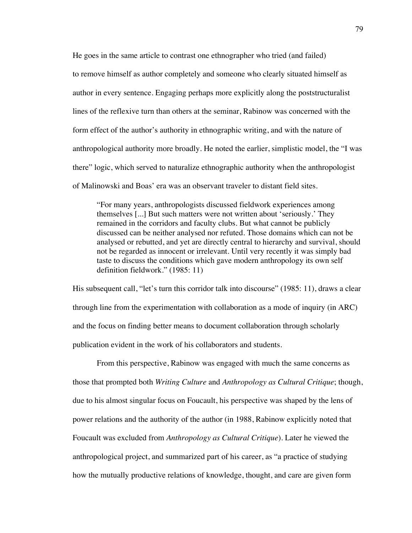He goes in the same article to contrast one ethnographer who tried (and failed) to remove himself as author completely and someone who clearly situated himself as author in every sentence. Engaging perhaps more explicitly along the poststructuralist lines of the reflexive turn than others at the seminar, Rabinow was concerned with the form effect of the author's authority in ethnographic writing, and with the nature of anthropological authority more broadly. He noted the earlier, simplistic model, the "I was there" logic, which served to naturalize ethnographic authority when the anthropologist of Malinowski and Boas' era was an observant traveler to distant field sites.

"For many years, anthropologists discussed fieldwork experiences among themselves [...] But such matters were not written about 'seriously.' They remained in the corridors and faculty clubs. But what cannot be publicly discussed can be neither analysed nor refuted. Those domains which can not be analysed or rebutted, and yet are directly central to hierarchy and survival, should not be regarded as innocent or irrelevant. Until very recently it was simply bad taste to discuss the conditions which gave modern anthropology its own self definition fieldwork." (1985: 11)

His subsequent call, "let's turn this corridor talk into discourse" (1985: 11), draws a clear through line from the experimentation with collaboration as a mode of inquiry (in ARC) and the focus on finding better means to document collaboration through scholarly publication evident in the work of his collaborators and students.

From this perspective, Rabinow was engaged with much the same concerns as those that prompted both *Writing Culture* and *Anthropology as Cultural Critique*; though, due to his almost singular focus on Foucault, his perspective was shaped by the lens of power relations and the authority of the author (in 1988, Rabinow explicitly noted that Foucault was excluded from *Anthropology as Cultural Critique*). Later he viewed the anthropological project, and summarized part of his career, as "a practice of studying how the mutually productive relations of knowledge, thought, and care are given form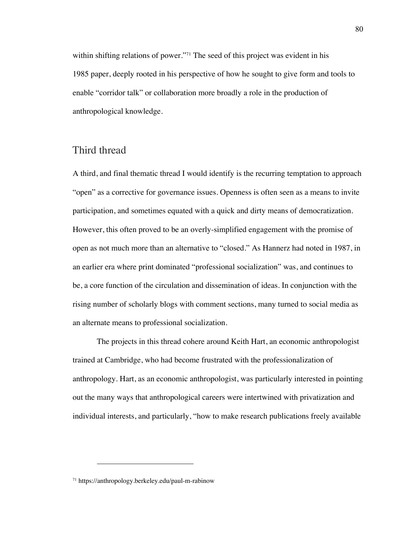within shifting relations of power."<sup>71</sup> The seed of this project was evident in his 1985 paper, deeply rooted in his perspective of how he sought to give form and tools to enable "corridor talk" or collaboration more broadly a role in the production of anthropological knowledge.

# Third thread

A third, and final thematic thread I would identify is the recurring temptation to approach "open" as a corrective for governance issues. Openness is often seen as a means to invite participation, and sometimes equated with a quick and dirty means of democratization. However, this often proved to be an overly-simplified engagement with the promise of open as not much more than an alternative to "closed." As Hannerz had noted in 1987, in an earlier era where print dominated "professional socialization" was, and continues to be, a core function of the circulation and dissemination of ideas. In conjunction with the rising number of scholarly blogs with comment sections, many turned to social media as an alternate means to professional socialization.

The projects in this thread cohere around Keith Hart, an economic anthropologist trained at Cambridge, who had become frustrated with the professionalization of anthropology. Hart, as an economic anthropologist, was particularly interested in pointing out the many ways that anthropological careers were intertwined with privatization and individual interests, and particularly, "how to make research publications freely available

<sup>71</sup> https://anthropology.berkeley.edu/paul-m-rabinow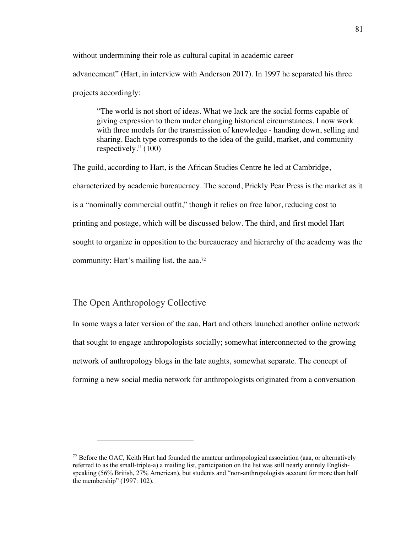without undermining their role as cultural capital in academic career advancement" (Hart, in interview with Anderson 2017). In 1997 he separated his three projects accordingly:

"The world is not short of ideas. What we lack are the social forms capable of giving expression to them under changing historical circumstances. I now work with three models for the transmission of knowledge - handing down, selling and sharing. Each type corresponds to the idea of the guild, market, and community respectively." (100)

The guild, according to Hart, is the African Studies Centre he led at Cambridge, characterized by academic bureaucracy. The second, Prickly Pear Press is the market as it is a "nominally commercial outfit," though it relies on free labor, reducing cost to printing and postage, which will be discussed below. The third, and first model Hart sought to organize in opposition to the bureaucracy and hierarchy of the academy was the community: Hart's mailing list, the aaa.72

#### The Open Anthropology Collective

In some ways a later version of the aaa, Hart and others launched another online network that sought to engage anthropologists socially; somewhat interconnected to the growing network of anthropology blogs in the late aughts, somewhat separate. The concept of forming a new social media network for anthropologists originated from a conversation

 $72$  Before the OAC, Keith Hart had founded the amateur anthropological association (aaa, or alternatively referred to as the small-triple-a) a mailing list, participation on the list was still nearly entirely Englishspeaking (56% British, 27% American), but students and "non-anthropologists account for more than half the membership" (1997: 102).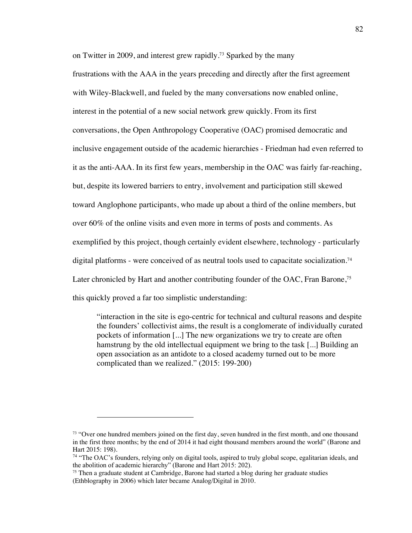on Twitter in 2009, and interest grew rapidly.73 Sparked by the many frustrations with the AAA in the years preceding and directly after the first agreement with Wiley-Blackwell, and fueled by the many conversations now enabled online, interest in the potential of a new social network grew quickly. From its first conversations, the Open Anthropology Cooperative (OAC) promised democratic and inclusive engagement outside of the academic hierarchies - Friedman had even referred to it as the anti-AAA. In its first few years, membership in the OAC was fairly far-reaching, but, despite its lowered barriers to entry, involvement and participation still skewed toward Anglophone participants, who made up about a third of the online members, but over 60% of the online visits and even more in terms of posts and comments. As exemplified by this project, though certainly evident elsewhere, technology - particularly digital platforms - were conceived of as neutral tools used to capacitate socialization.<sup>74</sup> Later chronicled by Hart and another contributing founder of the OAC, Fran Barone, 75 this quickly proved a far too simplistic understanding:

"interaction in the site is ego-centric for technical and cultural reasons and despite the founders' collectivist aims, the result is a conglomerate of individually curated pockets of information [...] The new organizations we try to create are often hamstrung by the old intellectual equipment we bring to the task [...] Building an open association as an antidote to a closed academy turned out to be more complicated than we realized." (2015: 199-200)

<sup>&</sup>lt;sup>73</sup> "Over one hundred members joined on the first day, seven hundred in the first month, and one thousand in the first three months; by the end of 2014 it had eight thousand members around the world" (Barone and Hart 2015: 198).

<sup>&</sup>lt;sup>74</sup> "The OAC's founders, relying only on digital tools, aspired to truly global scope, egalitarian ideals, and the abolition of academic hierarchy" (Barone and Hart 2015: 202).

 $75$  Then a graduate student at Cambridge, Barone had started a blog during her graduate studies (Ethblography in 2006) which later became Analog/Digital in 2010.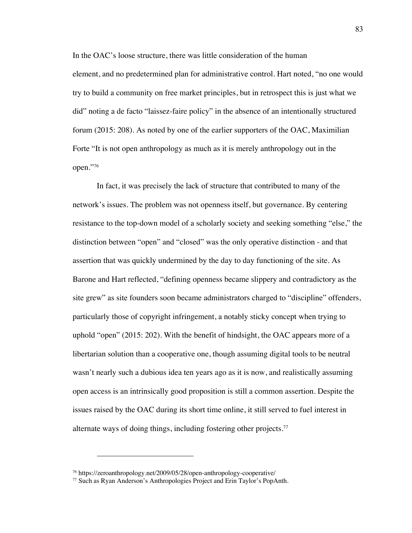In the OAC's loose structure, there was little consideration of the human element, and no predetermined plan for administrative control. Hart noted, "no one would try to build a community on free market principles, but in retrospect this is just what we did" noting a de facto "laissez-faire policy" in the absence of an intentionally structured forum (2015: 208). As noted by one of the earlier supporters of the OAC, Maximilian Forte "It is not open anthropology as much as it is merely anthropology out in the open."76

In fact, it was precisely the lack of structure that contributed to many of the network's issues. The problem was not openness itself, but governance. By centering resistance to the top-down model of a scholarly society and seeking something "else," the distinction between "open" and "closed" was the only operative distinction - and that assertion that was quickly undermined by the day to day functioning of the site. As Barone and Hart reflected, "defining openness became slippery and contradictory as the site grew" as site founders soon became administrators charged to "discipline" offenders, particularly those of copyright infringement, a notably sticky concept when trying to uphold "open" (2015: 202). With the benefit of hindsight, the OAC appears more of a libertarian solution than a cooperative one, though assuming digital tools to be neutral wasn't nearly such a dubious idea ten years ago as it is now, and realistically assuming open access is an intrinsically good proposition is still a common assertion. Despite the issues raised by the OAC during its short time online, it still served to fuel interest in alternate ways of doing things, including fostering other projects.<sup>77</sup>

<sup>76</sup> https://zeroanthropology.net/2009/05/28/open-anthropology-cooperative/

<sup>77</sup> Such as Ryan Anderson's Anthropologies Project and Erin Taylor's PopAnth.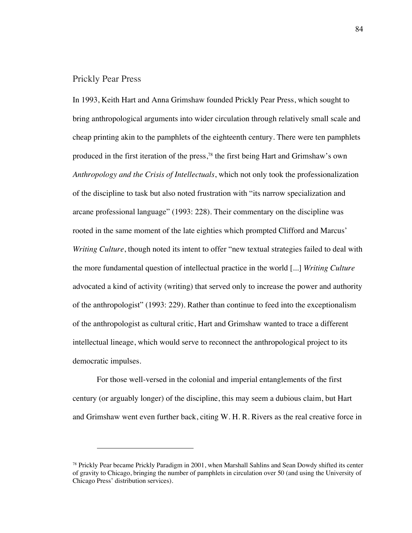#### Prickly Pear Press

In 1993, Keith Hart and Anna Grimshaw founded Prickly Pear Press, which sought to bring anthropological arguments into wider circulation through relatively small scale and cheap printing akin to the pamphlets of the eighteenth century. There were ten pamphlets produced in the first iteration of the press,78 the first being Hart and Grimshaw's own *Anthropology and the Crisis of Intellectuals*, which not only took the professionalization of the discipline to task but also noted frustration with "its narrow specialization and arcane professional language" (1993: 228). Their commentary on the discipline was rooted in the same moment of the late eighties which prompted Clifford and Marcus' *Writing Culture*, though noted its intent to offer "new textual strategies failed to deal with the more fundamental question of intellectual practice in the world [...] *Writing Culture* advocated a kind of activity (writing) that served only to increase the power and authority of the anthropologist" (1993: 229). Rather than continue to feed into the exceptionalism of the anthropologist as cultural critic, Hart and Grimshaw wanted to trace a different intellectual lineage, which would serve to reconnect the anthropological project to its democratic impulses.

For those well-versed in the colonial and imperial entanglements of the first century (or arguably longer) of the discipline, this may seem a dubious claim, but Hart and Grimshaw went even further back, citing W. H. R. Rivers as the real creative force in

<sup>78</sup> Prickly Pear became Prickly Paradigm in 2001, when Marshall Sahlins and Sean Dowdy shifted its center of gravity to Chicago, bringing the number of pamphlets in circulation over 50 (and using the University of Chicago Press' distribution services).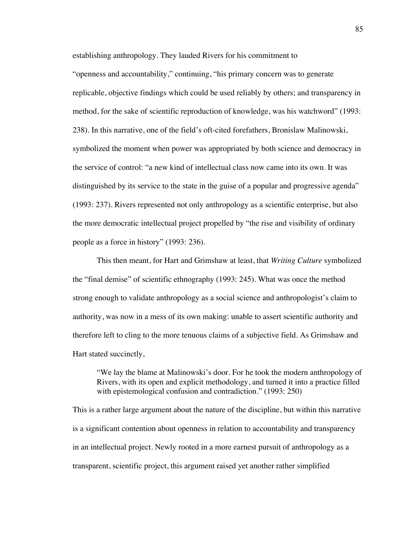establishing anthropology. They lauded Rivers for his commitment to "openness and accountability," continuing, "his primary concern was to generate replicable, objective findings which could be used reliably by others; and transparency in method, for the sake of scientific reproduction of knowledge, was his watchword" (1993: 238). In this narrative, one of the field's oft-cited forefathers, Bronislaw Malinowski, symbolized the moment when power was appropriated by both science and democracy in the service of control: "a new kind of intellectual class now came into its own. It was distinguished by its service to the state in the guise of a popular and progressive agenda" (1993: 237). Rivers represented not only anthropology as a scientific enterprise, but also the more democratic intellectual project propelled by "the rise and visibility of ordinary people as a force in history" (1993: 236).

This then meant, for Hart and Grimshaw at least, that *Writing Culture* symbolized the "final demise" of scientific ethnography (1993: 245). What was once the method strong enough to validate anthropology as a social science and anthropologist's claim to authority, was now in a mess of its own making: unable to assert scientific authority and therefore left to cling to the more tenuous claims of a subjective field. As Grimshaw and Hart stated succinctly,

"We lay the blame at Malinowski's door. For he took the modern anthropology of Rivers, with its open and explicit methodology, and turned it into a practice filled with epistemological confusion and contradiction." (1993: 250)

This is a rather large argument about the nature of the discipline, but within this narrative is a significant contention about openness in relation to accountability and transparency in an intellectual project. Newly rooted in a more earnest pursuit of anthropology as a transparent, scientific project, this argument raised yet another rather simplified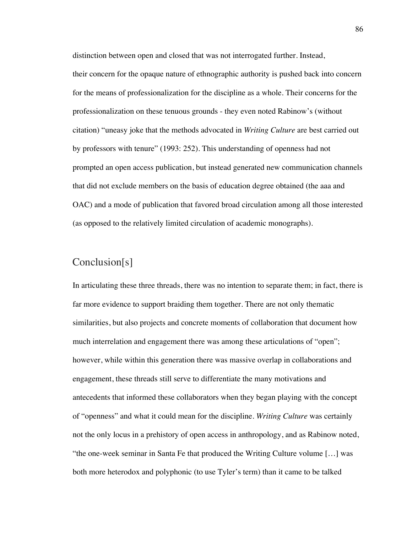distinction between open and closed that was not interrogated further. Instead, their concern for the opaque nature of ethnographic authority is pushed back into concern for the means of professionalization for the discipline as a whole. Their concerns for the professionalization on these tenuous grounds - they even noted Rabinow's (without citation) "uneasy joke that the methods advocated in *Writing Culture* are best carried out by professors with tenure" (1993: 252). This understanding of openness had not prompted an open access publication, but instead generated new communication channels that did not exclude members on the basis of education degree obtained (the aaa and OAC) and a mode of publication that favored broad circulation among all those interested (as opposed to the relatively limited circulation of academic monographs).

# Conclusion[s]

In articulating these three threads, there was no intention to separate them; in fact, there is far more evidence to support braiding them together. There are not only thematic similarities, but also projects and concrete moments of collaboration that document how much interrelation and engagement there was among these articulations of "open"; however, while within this generation there was massive overlap in collaborations and engagement, these threads still serve to differentiate the many motivations and antecedents that informed these collaborators when they began playing with the concept of "openness" and what it could mean for the discipline. *Writing Culture* was certainly not the only locus in a prehistory of open access in anthropology, and as Rabinow noted, "the one-week seminar in Santa Fe that produced the Writing Culture volume […] was both more heterodox and polyphonic (to use Tyler's term) than it came to be talked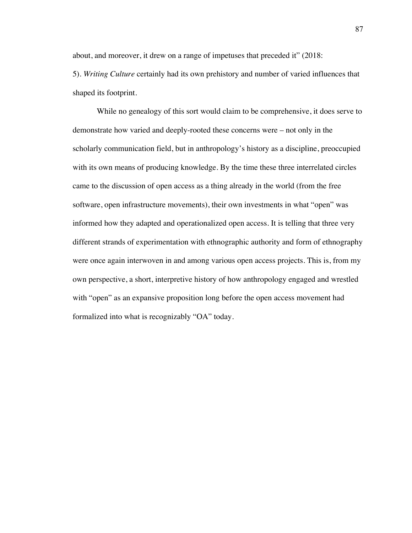about, and moreover, it drew on a range of impetuses that preceded it" (2018: 5). *Writing Culture* certainly had its own prehistory and number of varied influences that shaped its footprint.

While no genealogy of this sort would claim to be comprehensive, it does serve to demonstrate how varied and deeply-rooted these concerns were – not only in the scholarly communication field, but in anthropology's history as a discipline, preoccupied with its own means of producing knowledge. By the time these three interrelated circles came to the discussion of open access as a thing already in the world (from the free software, open infrastructure movements), their own investments in what "open" was informed how they adapted and operationalized open access. It is telling that three very different strands of experimentation with ethnographic authority and form of ethnography were once again interwoven in and among various open access projects. This is, from my own perspective, a short, interpretive history of how anthropology engaged and wrestled with "open" as an expansive proposition long before the open access movement had formalized into what is recognizably "OA" today.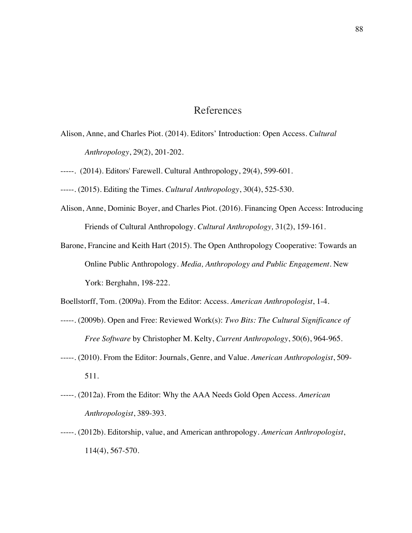# References

- Alison, Anne, and Charles Piot. (2014). Editors' Introduction: Open Access. *Cultural Anthropology*, 29(2), 201-202.
- -----. (2014). Editors' Farewell. Cultural Anthropology, 29(4), 599-601.
- -----. (2015). Editing the Times. *Cultural Anthropology*, 30(4), 525-530.
- Alison, Anne, Dominic Boyer, and Charles Piot. (2016). Financing Open Access: Introducing Friends of Cultural Anthropology. *Cultural Anthropology,* 31(2), 159-161.
- Barone, Francine and Keith Hart (2015). The Open Anthropology Cooperative: Towards an Online Public Anthropology. *Media, Anthropology and Public Engagement*. New York: Berghahn, 198-222.
- Boellstorff, Tom. (2009a). From the Editor: Access. *American Anthropologist*, 1-4.
- -----. (2009b). Open and Free: Reviewed Work(s): *Two Bits: The Cultural Significance of Free Software* by Christopher M. Kelty, *Current Anthropology*, 50(6), 964-965.
- -----. (2010). From the Editor: Journals, Genre, and Value. *American Anthropologist*, 509- 511.
- -----. (2012a). From the Editor: Why the AAA Needs Gold Open Access. *American Anthropologist*, 389-393.
- -----. (2012b). Editorship, value, and American anthropology. *American Anthropologist*, 114(4), 567-570.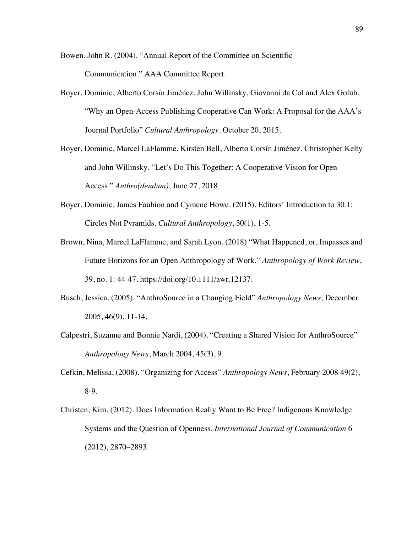Bowen, John R. (2004). "Annual Report of the Committee on Scientific Communication." AAA Committee Report.

- Boyer, Dominic, Alberto Corsín Jiménez, John Willinsky, Giovanni da Col and Alex Golub, "Why an Open-Access Publishing Cooperative Can Work: A Proposal for the AAA's Journal Portfolio" *Cultural Anthropology.* October 20, 2015.
- Boyer, Dominic, Marcel LaFlamme, Kirsten Bell, Alberto Corsín Jiménez, Christopher Kelty and John Willinsky. "Let's Do This Together: A Cooperative Vision for Open Access." *Anthro(dendum)*, June 27, 2018.
- Boyer, Dominic, James Faubion and Cymene Howe. (2015). Editors' Introduction to 30.1: Circles Not Pyramids. *Cultural Anthropology*, 30(1), 1-5.
- Brown, Nina, Marcel LaFlamme, and Sarah Lyon. (2018) "What Happened, or, Impasses and Future Horizons for an Open Anthropology of Work." *Anthropology of Work Review*, 39, no. 1: 44-47. https://doi.org/10.1111/awr.12137.
- Busch, Jessica, (2005). "AnthroSource in a Changing Field" *Anthropology News,* December 2005, 46(9), 11-14.
- Calpestri, Suzanne and Bonnie Nardi, (2004). "Creating a Shared Vision for AnthroSource" *Anthropology News*, March 2004, 45(3), 9.
- Cefkin, Melissa, (2008). "Organizing for Access" *Anthropology News*, February 2008 49(2), 8-9.
- Christen, Kim. (2012). Does Information Really Want to Be Free? Indigenous Knowledge Systems and the Question of Openness. *International Journal of Communication* 6 (2012), 2870–2893.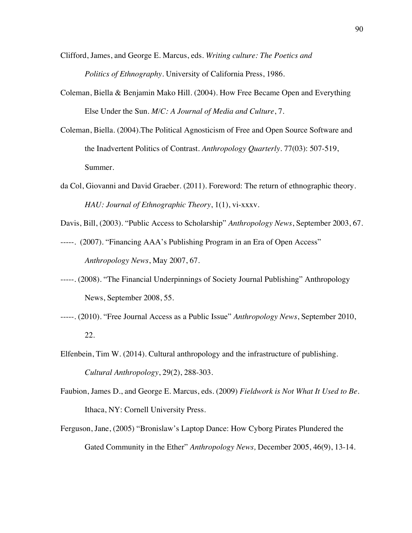- Clifford, James, and George E. Marcus, eds. *Writing culture: The Poetics and Politics of Ethnography.* University of California Press, 1986.
- Coleman, Biella & Benjamin Mako Hill. (2004). How Free Became Open and Everything Else Under the Sun. *M/C: A Journal of Media and Culture*, 7.
- Coleman, Biella. (2004).The Political Agnosticism of Free and Open Source Software and the Inadvertent Politics of Contrast. *Anthropology Quarterly*. 77(03): 507-519, Summer.
- da Col, Giovanni and David Graeber. (2011). Foreword: The return of ethnographic theory. *HAU: Journal of Ethnographic Theory*, 1(1), vi-xxxv.
- Davis, Bill, (2003). "Public Access to Scholarship" *Anthropology News*, September 2003, 67.
- -----. (2007). "Financing AAA's Publishing Program in an Era of Open Access" *Anthropology News*, May 2007, 67.
- -----. (2008). "The Financial Underpinnings of Society Journal Publishing" Anthropology News, September 2008, 55.
- -----. (2010). "Free Journal Access as a Public Issue" *Anthropology News*, September 2010, 22.
- Elfenbein, Tim W. (2014). Cultural anthropology and the infrastructure of publishing. *Cultural Anthropology*, 29(2), 288-303.
- Faubion, James D., and George E. Marcus, eds. (2009) *Fieldwork is Not What It Used to Be*. Ithaca, NY: Cornell University Press.
- Ferguson, Jane, (2005) "Bronislaw's Laptop Dance: How Cyborg Pirates Plundered the Gated Community in the Ether" *Anthropology News,* December 2005, 46(9), 13-14.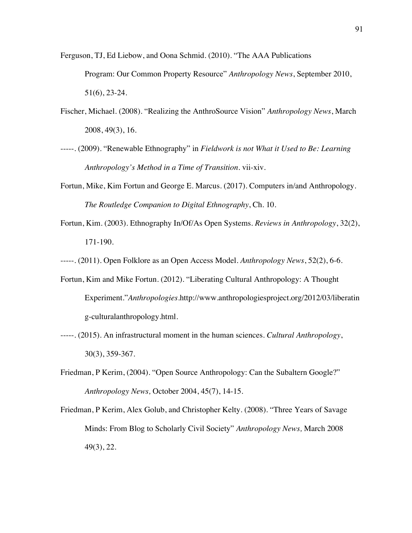Ferguson, TJ, Ed Liebow, and Oona Schmid. (2010). "The AAA Publications Program: Our Common Property Resource" *Anthropology News*, September 2010, 51(6), 23-24.

- Fischer, Michael. (2008). "Realizing the AnthroSource Vision" *Anthropology News*, March 2008, 49(3), 16.
- -----. (2009). "Renewable Ethnography" in *Fieldwork is not What it Used to Be: Learning Anthropology's Method in a Time of Transition.* vii-xiv.
- Fortun, Mike, Kim Fortun and George E. Marcus. (2017). Computers in/and Anthropology. *The Routledge Companion to Digital Ethnography*, Ch. 10.
- Fortun, Kim. (2003). Ethnography In/Of/As Open Systems. *Reviews in Anthropology*, 32(2), 171-190.

-----. (2011). Open Folklore as an Open Access Model. *Anthropology News*, 52(2), 6-6.

- Fortun, Kim and Mike Fortun. (2012). "Liberating Cultural Anthropology: A Thought Experiment."*Anthropologies*.http://www.anthropologiesproject.org/2012/03/liberatin g-culturalanthropology.html.
- -----. (2015). An infrastructural moment in the human sciences. *Cultural Anthropology*, 30(3), 359-367.
- Friedman, P Kerim, (2004). "Open Source Anthropology: Can the Subaltern Google?" *Anthropology News,* October 2004, 45(7), 14-15.
- Friedman, P Kerim, Alex Golub, and Christopher Kelty. (2008). "Three Years of Savage Minds: From Blog to Scholarly Civil Society" *Anthropology News,* March 2008 49(3), 22.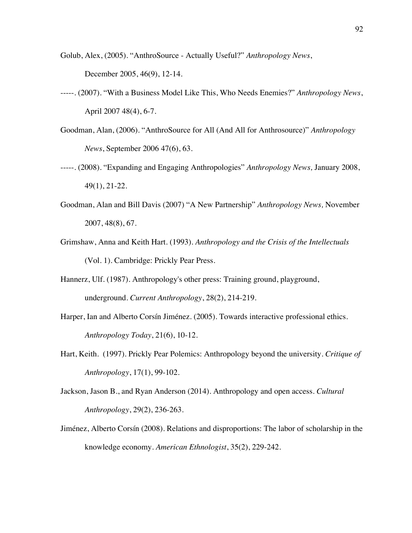- Golub, Alex, (2005). "AnthroSource Actually Useful?" *Anthropology News*, December 2005, 46(9), 12-14.
- -----. (2007). "With a Business Model Like This, Who Needs Enemies?" *Anthropology News*, April 2007 48(4), 6-7.
- Goodman, Alan, (2006). "AnthroSource for All (And All for Anthrosource)" *Anthropology News*, September 2006 47(6), 63.
- -----. (2008). "Expanding and Engaging Anthropologies" *Anthropology News,* January 2008, 49(1), 21-22.
- Goodman, Alan and Bill Davis (2007) "A New Partnership" *Anthropology News,* November 2007, 48(8), 67.
- Grimshaw, Anna and Keith Hart. (1993). *Anthropology and the Crisis of the Intellectuals* (Vol. 1). Cambridge: Prickly Pear Press.
- Hannerz, Ulf. (1987). Anthropology's other press: Training ground, playground, underground. *Current Anthropology*, 28(2), 214-219.
- Harper, Ian and Alberto Corsín Jiménez. (2005). Towards interactive professional ethics. *Anthropology Today*, 21(6), 10-12.
- Hart, Keith. (1997). Prickly Pear Polemics: Anthropology beyond the university. *Critique of Anthropology*, 17(1), 99-102.
- Jackson, Jason B., and Ryan Anderson (2014). Anthropology and open access. *Cultural Anthropology*, 29(2), 236-263.
- Jiménez, Alberto Corsín (2008). Relations and disproportions: The labor of scholarship in the knowledge economy. *American Ethnologist*, 35(2), 229-242.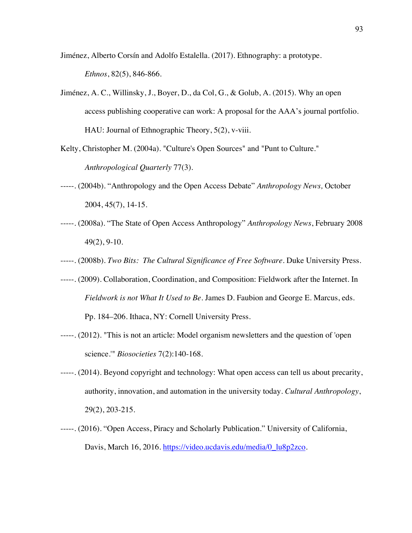- Jiménez, Alberto Corsín and Adolfo Estalella. (2017). Ethnography: a prototype. *Ethnos*, 82(5), 846-866.
- Jiménez, A. C., Willinsky, J., Boyer, D., da Col, G., & Golub, A. (2015). Why an open access publishing cooperative can work: A proposal for the AAA's journal portfolio. HAU: Journal of Ethnographic Theory, 5(2), v-viii.
- Kelty, Christopher M. (2004a). "Culture's Open Sources" and "Punt to Culture." *Anthropological Quarterly* 77(3).
- -----. (2004b). "Anthropology and the Open Access Debate" *Anthropology News,* October 2004, 45(7), 14-15.
- -----. (2008a). "The State of Open Access Anthropology" *Anthropology News*, February 2008 49(2), 9-10.
- -----. (2008b). *Two Bits: The Cultural Significance of Free Software*. Duke University Press.
- -----. (2009). Collaboration, Coordination, and Composition: Fieldwork after the Internet. In *Fieldwork is not What It Used to Be*. James D. Faubion and George E. Marcus, eds. Pp. 184–206. Ithaca, NY: Cornell University Press.
- -----. (2012). "This is not an article: Model organism newsletters and the question of 'open science.'" *Biosocieties* 7(2):140-168.
- -----. (2014). Beyond copyright and technology: What open access can tell us about precarity, authority, innovation, and automation in the university today. *Cultural Anthropology*, 29(2), 203-215.
- -----. (2016). "Open Access, Piracy and Scholarly Publication." University of California, Davis, March 16, 2016. https://video.ucdavis.edu/media/0\_lu8p2zco.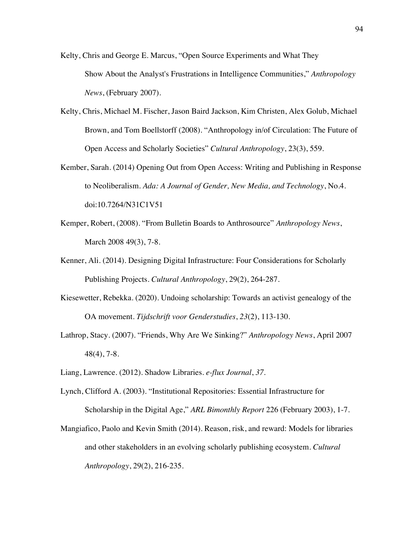- Kelty, Chris and George E. Marcus, "Open Source Experiments and What They Show About the Analyst's Frustrations in Intelligence Communities," *Anthropology News*, (February 2007).
- Kelty, Chris, Michael M. Fischer, Jason Baird Jackson, Kim Christen, Alex Golub, Michael Brown, and Tom Boellstorff (2008). "Anthropology in/of Circulation: The Future of Open Access and Scholarly Societies" *Cultural Anthropology*, 23(3), 559.
- Kember, Sarah. (2014) Opening Out from Open Access: Writing and Publishing in Response to Neoliberalism. *Ada: A Journal of Gender, New Media, and Technology*, No.4. doi:10.7264/N31C1V51
- Kemper, Robert, (2008). "From Bulletin Boards to Anthrosource" *Anthropology News*, March 2008 49(3), 7-8.
- Kenner, Ali. (2014). Designing Digital Infrastructure: Four Considerations for Scholarly Publishing Projects. *Cultural Anthropology*, 29(2), 264-287.
- Kiesewetter, Rebekka. (2020). Undoing scholarship: Towards an activist genealogy of the OA movement. *Tijdschrift voor Genderstudies*, *23*(2), 113-130.
- Lathrop, Stacy. (2007). "Friends, Why Are We Sinking?" *Anthropology News*, April 2007 48(4), 7-8.
- Liang, Lawrence. (2012). Shadow Libraries. *e-flux Journal*, *37*.
- Lynch, Clifford A. (2003). "Institutional Repositories: Essential Infrastructure for Scholarship in the Digital Age," *ARL Bimonthly Report* 226 (February 2003), 1-7.
- Mangiafico, Paolo and Kevin Smith (2014). Reason, risk, and reward: Models for libraries and other stakeholders in an evolving scholarly publishing ecosystem. *Cultural Anthropology*, 29(2), 216-235.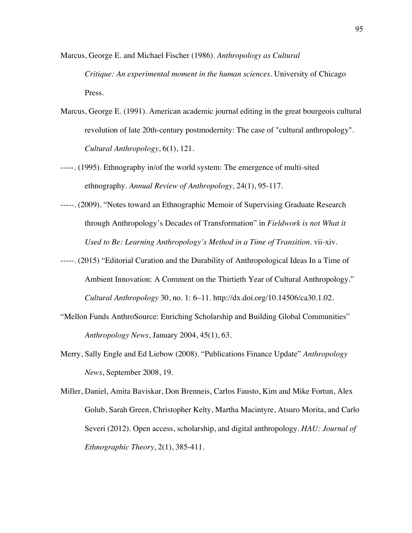Marcus, George E. and Michael Fischer (1986). *Anthropology as Cultural Critique: An experimental moment in the human sciences*. University of Chicago Press.

- Marcus, George E. (1991). American academic journal editing in the great bourgeois cultural revolution of late 20th-century postmodernity: The case of "cultural anthropology". *Cultural Anthropology*, 6(1), 121.
- -----. (1995). Ethnography in/of the world system: The emergence of multi-sited ethnography. *Annual Review of Anthropology,* 24(1), 95-117.
- -----. (2009). "Notes toward an Ethnographic Memoir of Supervising Graduate Research through Anthropology's Decades of Transformation" in *Fieldwork is not What it Used to Be: Learning Anthropology's Method in a Time of Transition*. vii-xiv.
- -----. (2015) "Editorial Curation and the Durability of Anthropological Ideas In a Time of Ambient Innovation: A Comment on the Thirtieth Year of Cultural Anthropology." *Cultural Anthropology* 30, no. 1: 6–11. http://dx.doi.org/10.14506/ca30.1.02.
- "Mellon Funds AnthroSource: Enriching Scholarship and Building Global Communities" *Anthropology News*, January 2004, 45(1), 63.
- Merry, Sally Engle and Ed Liebow (2008). "Publications Finance Update" *Anthropology News*, September 2008, 19.

Miller, Daniel, Amita Baviskar, Don Brenneis, Carlos Fausto, Kim and Mike Fortun, Alex Golub, Sarah Green, Christopher Kelty, Martha Macintyre, Atsuro Morita, and Carlo Severi (2012). Open access, scholarship, and digital anthropology. *HAU: Journal of Ethnographic Theory*, 2(1), 385-411.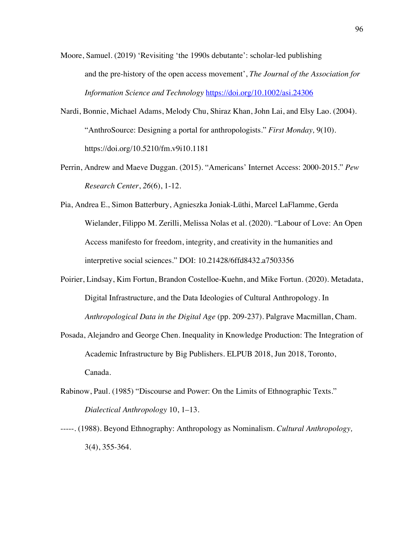- Moore, Samuel. (2019) 'Revisiting 'the 1990s debutante': scholar-led publishing and the pre-history of the open access movement', *The Journal of the Association for Information Science and Technology* https://doi.org/10.1002/asi.24306
- Nardi, Bonnie, Michael Adams, Melody Chu, Shiraz Khan, John Lai, and Elsy Lao. (2004). "AnthroSource: Designing a portal for anthropologists." *First Monday,* 9(10). https://doi.org/10.5210/fm.v9i10.1181
- Perrin, Andrew and Maeve Duggan. (2015). "Americans' Internet Access: 2000-2015." *Pew Research Center*, *26*(6), 1-12.
- Pia, Andrea E., Simon Batterbury, Agnieszka Joniak-Lüthi, Marcel LaFlamme, Gerda Wielander, Filippo M. Zerilli, Melissa Nolas et al. (2020). "Labour of Love: An Open Access manifesto for freedom, integrity, and creativity in the humanities and interpretive social sciences." DOI: 10.21428/6ffd8432.a7503356
- Poirier, Lindsay, Kim Fortun, Brandon Costelloe-Kuehn, and Mike Fortun. (2020). Metadata, Digital Infrastructure, and the Data Ideologies of Cultural Anthropology. In *Anthropological Data in the Digital Age* (pp. 209-237). Palgrave Macmillan, Cham.
- Posada, Alejandro and George Chen. Inequality in Knowledge Production: The Integration of Academic Infrastructure by Big Publishers. ELPUB 2018, Jun 2018, Toronto, Canada.
- Rabinow, Paul. (1985) "Discourse and Power: On the Limits of Ethnographic Texts." *Dialectical Anthropology* 10, 1–13.
- -----. (1988). Beyond Ethnography: Anthropology as Nominalism. *Cultural Anthropology,* 3(4), 355-364.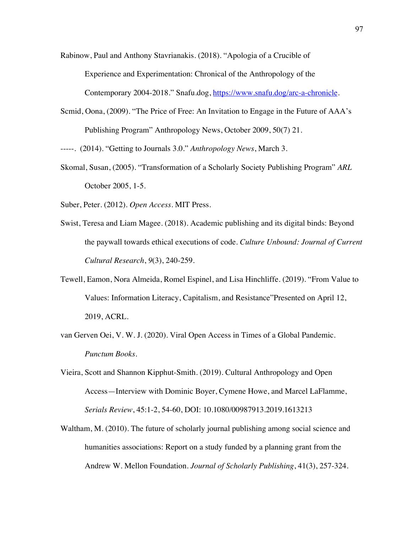Rabinow, Paul and Anthony Stavrianakis. (2018). "Apologia of a Crucible of Experience and Experimentation: Chronical of the Anthropology of the Contemporary 2004-2018." Snafu.dog, https://www.snafu.dog/arc-a-chronicle.

Scmid, Oona, (2009). "The Price of Free: An Invitation to Engage in the Future of AAA's Publishing Program" Anthropology News, October 2009, 50(7) 21.

-----. (2014). "Getting to Journals 3.0." *Anthropology News*, March 3.

Skomal, Susan, (2005). "Transformation of a Scholarly Society Publishing Program" *ARL* October 2005, 1-5.

Suber, Peter. (2012). *Open Access.* MIT Press.

- Swist, Teresa and Liam Magee. (2018). Academic publishing and its digital binds: Beyond the paywall towards ethical executions of code. *Culture Unbound: Journal of Current Cultural Research*, *9*(3), 240-259.
- Tewell, Eamon, Nora Almeida, Romel Espinel, and Lisa Hinchliffe. (2019). "From Value to Values: Information Literacy, Capitalism, and Resistance"Presented on April 12, 2019, ACRL.
- van Gerven Oei, V. W. J. (2020). Viral Open Access in Times of a Global Pandemic. *Punctum Books*.
- Vieira, Scott and Shannon Kipphut-Smith. (2019). Cultural Anthropology and Open Access—Interview with Dominic Boyer, Cymene Howe, and Marcel LaFlamme, *Serials Review*, 45:1-2, 54-60, DOI: 10.1080/00987913.2019.1613213
- Waltham, M. (2010). The future of scholarly journal publishing among social science and humanities associations: Report on a study funded by a planning grant from the Andrew W. Mellon Foundation. *Journal of Scholarly Publishing*, 41(3), 257-324.